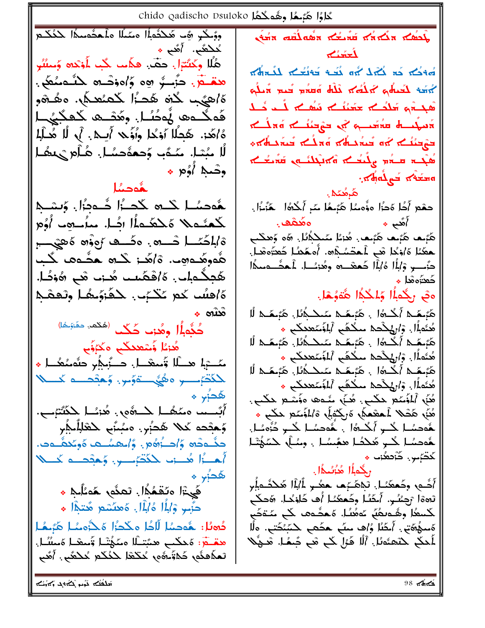كَاوُا هَبُمهُا وِهُمكُمُا Chido Qadischo Dsuloko وَوَّىلَارٍ رَّفَ مَّحْثَمُ}ُّا مِنْىلًا مِأْهِثُمِيمًا كَتُكْمِرٍ จำนัก สมั่นต์ สมั่นที่ สันสมัย สต์ مُحْجَم. أُمَّع \*  $\mathcal{L}(\mathcal{L})$ هُلَّا وِكْتُرَا. حَمَّ. فَجَّتَ كَبَ أَوْتَدَه وَسَلَّبَ يَّامُ مَا يَكْتُلْكُمْ مَنْ مَثْلُ مَا يَكْتُكُمْ يَكْتُبُكُمْ بَالْكُمْ مَا يَكْتُبُونُ هغَمَّةٍ. حَزَمَةٍ وَهِ وَ}هوْدَه للنَّمسُكِي. بَهْتُ لَحَيَاهُمْ كَمُلْهُ مَنْ الْمُسْتَمَرِ وَالْمُسْتَمَرِ الْمُسْتَمَرِ ةُاهِيَبِ لَاهَ هَدْ:ا لَكْهَنُعْلَمْ. هِ هُـ هُو تَفْهَدَتُمْ مَا تَحْتَبُكُمْ مَثْقَكُمْ الْمَسْكُمْ الْمَسْكَرْ وَالْمُسَامَعَ فَمكْــمِ هُوصُـُــا. وهُتَـــه كَـْعَكْبُيْــا بحله من المستقرئ المستمر المستوسط المستقرح المستقرح المستقرح المستقرح المستقرح المستقرح المستقرح الم هُ/هُذِ. هَجِلًا أَذِكْرَ وَأَذَى أَبِيهِ. } لَا هُـلَهُ مداله عائمة الأعداء المستحدث المتحد المستوات لْا مُئِتا. مَمَّفَ وَحِمْدُحِسَا. هُـأَمِنَ مِمْضًا حدشا مستلبناته حدائل والحساء المنكا وصَّدا أَوُم \* ختر مناسخ فرانج عدد حُودِينَا عُرمُكُمْ . هُوصِبُ الْحَسْرِ حَكْمَ أَوْ حُودُوا . وَيَسْبَطْ حقم أَحُا ةَحَرَّا هؤُهِمًا هَبَّكُما مَعْ أَكْمًا الْمُحَمَّلَ. لْكَعْنُـٰهَـٰ الْأَمَـٰكُـٰهَـٰ أُلَّا اتُـَـٰلَ مَعْلَيـَةٌ وَالْوَجْزِ ەھكىھى . أَهُم \* هُبُم هُبُم هُبُم هُبُم. هُنا سَكِلُّهُ أَنْ هُولَاتِ ة/إخْسَا حَسِينَ وَحَسَبَ مَوْرَةٍ وَصَبِيبٍ حَفَّنُا هَاوَجًا هُم أَحْضَـٰدُهِ. أُهجَعَنُـا خَعْبُوهَـا. هُوهُدويد. ةَ/هُــز كَــره هَــُده كَـب ھَجِحْـٰہاٖٮ ۚ ۃ ُ ُ ھَـصَّـَــ مَـٰـزَٮ شَــ ﴿ وَٰدًا ۖ. كَعتَوهَا \* ة/هسُ كَم كَتْبَ ِ. حَفَزَوُ هُا وتَعَمْدُ ەتى رېڭماُا وَالْحُدُّا هُفۇهَا. هُبُمُكُمْ أَكْتُوا ، هُبُمُكُمْ سُكْتُلاً، هُبُمُكُمْ لَٰ မက္တာ န حُذُّهِ أُل وهُن، حُكْم لَفَّقْدِ حَفَّرَ هُمَّا هُتُولًا. وْ/رَكِحْكَ مِكْفُ ۚ آبِلُؤُمِّعَدِكُم \* هَيْمَــمَ أَكْـــرَهُ الْمَــرَمَــمَــمَــمَــرَمِّ مَا اللَّهُ عَلَيْهَــمَــمَّـ لَهُ هُزئا وُسْعدكُم مكَرُوُّم هُتَمَلًا. وْارْبْكُكُمْ سِكْفُمْ ٱلْأَسْعَدِكْمْ \* مَّـــتِها هـــُلا قُمهْـــا. دـــتَرجُر مثَممُهُــا • هُبُعُكَ أَكْـرُهُ لَ هُبُعُكَ مُنكَدُبُ هُبُعُكَ لَهُ أَ لْكَتَبَرْبِ وَهُيُّ تَوَبِّرٍ. وَجَدْدَ كَلَّلًا هُنَّه∫ا. وْ/رَيْخُكُمْ سَكْفَى ٱلْمُنَعْدَلَبْ \* هُدُو و هُزَٰیٖ ٱلمُؤَمَّمَ حَكَبٍ . هُـُنَ مُنْـهِ وَوُّسْـم حَكَبٍ . أَبَّـــب مَمَّعُــا كــوُهِ. هُـٰهَــا كَثَّتَهِــب. هُنَّ، هَدْمٌ أَحْقَعَكُمْ هَرَكْتَهِكُمْ هَالمُؤْسَّعِ حَكْمٍ \* وَحدِّده كَلا هُدُبُر. مِبْنًى كَعْلِلُكِيْر هُدمسُا كُــرٍ أَكْــرُه! . هُدمسُــا كُــرٍ دُّوَسُــا. هُدَسُل كُـرٍ هَٰذَكُـل همَّسُـل . وسُـلِّهِ حَسَّوَٰتَـل حَفَّـوتُـ9 وَ/صـرُّ99). وَ/معسَّـت هُومُحَمَّـوت. كْتْرُس، كَاتْتْفْتْ \* أهدُ المُدنِ الْمُتَوَسِينِ. وَجَهْدَدِ كَسَلًّا رِجُدِيُّا هُزُسُمُّا. ۿ<mark>ڂ</mark>ؙڹ؞ أَثَــم وحَممَنُـل لَمِمَــٰٓمِــم ممنُــبِ ٱللَّهِ الصَّحَدُــولُمِـ هَيْتَ الصَّهْجَمَا. تَعشَى هَدَلَّكِمْ \* تَوَوَّا ۚ رَحِنُـٰـ ۖ ، أَنظُـٰلَ وَحَمِّكُـٰلَ أُف خَاوْخُـلَ. وَحَكَــِ ۖ حَبَّبِ وَ}ِلَمَا هُ}ِلَالٍ. هُمحَسَّمِ مُحَبِّلًا \* كْسِعْا وِهُــەنمُهُ مُعْشَا. ەُــعشُــەم كُــ مُنْــةضُــ دُوبُل: هُوجِسًا لَّاجًا وكَذَا وَكَرُوسًا هَيُسًا ەُمەھُ‰تى. اُمڭا وُاف مىگ ھڪھے لائىنِگتى. ەلَّا مقتر: هَككب مِسَتِتْلَا مِنْهُتْلَ وَّسِعْلِ مَسْتُلْ. لَمْحَكِ حَتَمَتَهُ لَ اللَّهُ فَوْلِ كَبِي هَبِي جَنِسًا. مَعَنُوا لَهُ اللَّهُ تَعَدُّفُونَى خَدْتَنُّوْهُ لِمَنْحَظِ حَدُكُمْ مُحْمَّى أَهُى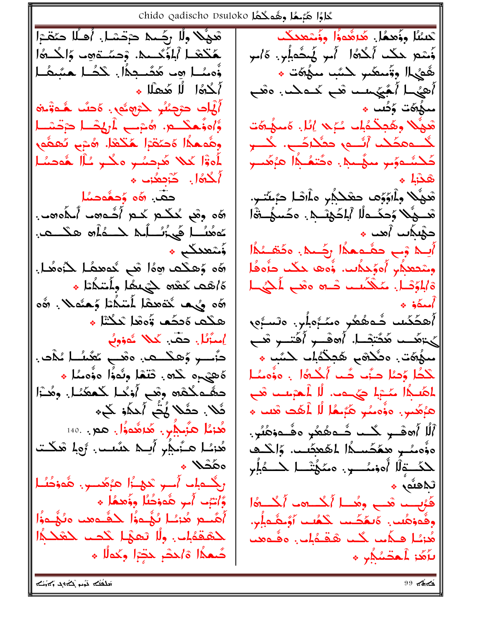|                                                                                                                                                                                                                                                                                                                     | كَاوُا هَبْعُا وهُمكْهُا Mido Qadischo Dsuloko                                                        |
|---------------------------------------------------------------------------------------------------------------------------------------------------------------------------------------------------------------------------------------------------------------------------------------------------------------------|-------------------------------------------------------------------------------------------------------|
| هَهْلًا وِلَا رَجِّــه حرْحَسْـا. أَهــُلا حَنْقَــْزِا                                                                                                                                                                                                                                                             | تَتَنْتُلُ وِؤُهِمًا. هَٰذَهُواْ وَؤُسْعَدَكُ                                                         |
| هَنْكُمْ أَبْلُؤُكُــما. وْحِسْـةِرْمِـد وَالْحُــرْهَا                                                                                                                                                                                                                                                             | ذَّسْمِ حَكَّبَ ٱلْحُرْهَ ۖ أَمِنٍ يُمَثَّمَلُونَ هَ ُمْنِ                                            |
| وْهِمُا هِ مُحَْبِّدًا. كَحُا هِبُبِهَا                                                                                                                                                                                                                                                                             | هْدُياً الْمُؤْسِيقُسِ لَكْتُبْ سَيُرْهُتْ *                                                          |
| أَحْدُوا لَلْهُ هُدِهِنَّالٍ * وَ الْمَسْتَقَالِ * وَ الْمَسْتَقَالِ * وَ الْمَسْتَقَالِ * وَ الْمَس                                                                                                                                                                                                                | أَهْيُما أَهْيَيْسِتْ شَبِّ كَسْمَرْتِهِمْ أَسْرَحْهَا. وَهُبّ                                        |
| أَهْلُوا حَرْجِئْنُو ۖ خَرْرُهِ ثُمٍّ . هُجِنَّتَ ۖ ـَهُـوَوْٓـرَهُ                                                                                                                                                                                                                                                 |                                                                                                       |
| وُاهِ ُمكسر. هُبْب لمَركتُ حَتَّسًا                                                                                                                                                                                                                                                                                 | ەْتْيْلَا وْھُجْنَـْـەُبْكْ ئَـرْبَلا يْـاْلْ. ەَسْتُمْتْتْ                                           |
| وهُمهاً أَحتَقَرَا هُنْهَا. هُـْبَ نُعفُو                                                                                                                                                                                                                                                                           | گے۔مکٹ آئے، حثدکے. گے                                                                                 |
| لمُوڤَا كَلا هُرِجِسُنِ وَكُنْ مُثَلَّا هُوَجِسًا.                                                                                                                                                                                                                                                                  | كَكْشُەوَّىر مەھَىمە. ەكْتْمْبەا ھۇھَسر                                                               |
| الْكَاثَا. كَأْبِعِكْنِكَ *                                                                                                                                                                                                                                                                                         | $\bullet$ 1.2                                                                                         |
| حقب وه وُحِعْدَمِنْدَ                                                                                                                                                                                                                                                                                               | مْدِيْلًا وِلْمَاوَوِّهِ حَمْلِكُمْ وَلَمَاتَنَا حَبَّسَتِينَ                                         |
| ،قَ وَهْدٍ نُمَكَّــْمِ مُحـمِ أَضُّـهِ مَا أَسْلَمُهِ مِنْ                                                                                                                                                                                                                                                         | هَـــوْلا وُحكَـــه لَا ٱبِلْكَوْنَـــدْ. •كَــموُـــةْ ا                                             |
| عَمْنُــا فَيْنُــلَما حَــفْلَمْ هَــْمَــم.                                                                                                                                                                                                                                                                       | المؤتمر المعادل المستخدم المستخدم والمستخدم والمستخدم والمستخدم والمستخدم والمستخدم والمستخدم والمستخ |
| ھَە وُھڭم ھِەُل ھُم ێُھھھُىل ڵڔُوھُىل.                                                                                                                                                                                                                                                                              | أَيــد وْبِ حَمَّــمَـمَدًا رَجَّــد وَحَقَــنُدَأَ<br>وشططكم أەؤخكات. ۋەھا ھكتا جاۋەقا               |
| هُ الْقُمَ خَمْرَه حَيْبِهِمَا وِلَمْتَمَاتِ *                                                                                                                                                                                                                                                                      | ة/لمَرَّصْلَ. مَنْكُسُب صْـْهِ هَتْمِ لَمْكِيْمَا                                                     |
| 0َة : محمدة لمَتْمُتلَمِّ لمَصْحَبٌ معرَى 0َة                                                                                                                                                                                                                                                                       |                                                                                                       |
| هڭم ەَدجُم تُومْل بْكُتْل م                                                                                                                                                                                                                                                                                         | أَهكَكُنك شُەھُھُر ەمَئۇەلِر. ەلسۇق                                                                   |
| إِسْزُنُل. حقَّ. كَمْلا شُوْوِيُ                                                                                                                                                                                                                                                                                    |                                                                                                       |
| دَّىسو وُهڭسى. ەقْب مُعْسُل مُلَّاف.                                                                                                                                                                                                                                                                                | سۇھَت. ەئكھى ھُجڭەك كىب ھ                                                                             |
| ەُھىرە كەي ئىقا وِئُودًا ەذْەملە                                                                                                                                                                                                                                                                                    | لْكَتُلُّ وَصَلَا حَنَّبَ كُنْتُ أَنْكُلُّهُ! ﴾ ووُّوسُنْل                                            |
| حڤَــمكْـڤـتە وڤب /ُوْكْــا كَــْعكْـَـا. وِهُــْزَا                                                                                                                                                                                                                                                                | لمَصَّدًا مَتْتَهَا كَيْدَتْ الْمُعْرَضَةِ مِنْ الْمَحْمَدِينَ                                        |
| ثَلاً. حثَلاً هُتَّ أَمكُوْ كُلُّ ،                                                                                                                                                                                                                                                                                 | هَزْهُبُو. وَوُوَمِّيْ هُزُمُهُا لَا أَرْهُتْ قَتِيبٌ وَ                                              |
| هُدَيْلُ هَزَيْجِي. هُدَهَّدُودُّل. هغ. . 140.                                                                                                                                                                                                                                                                      | أَلَّا أُهفَــدٍ كُــد كُــدهُعُدٍ دفُّـدفَعُدٍ.                                                      |
| هُنسُا هِـنَمِيْرِ أَبِــِهِ حَسَبٍ. وَهِا هَكْـت                                                                                                                                                                                                                                                                   | ەۋەسىر ھەكسىدا لمۇھكىس. ۋاڭىف                                                                         |
| $\frac{1}{3}$ $\frac{1}{3}$ $\frac{1}{3}$ $\frac{1}{3}$ $\frac{1}{3}$ $\frac{1}{3}$ $\frac{1}{3}$ $\frac{1}{3}$ $\frac{1}{3}$ $\frac{1}{3}$ $\frac{1}{3}$ $\frac{1}{3}$ $\frac{1}{3}$ $\frac{1}{3}$ $\frac{1}{3}$ $\frac{1}{3}$ $\frac{1}{3}$ $\frac{1}{3}$ $\frac{1}{3}$ $\frac{1}{3}$ $\frac{1}{3}$ $\frac{1}{3}$ | َحْكَـــٰٓةِٱلْ أُهوْمُــــــــوٍ. مَمَّهُتَـْـــل كَـــٰهُ أَبِر                                     |
| رِكْــٰـٰہِـٰ أُـــــوٖ تَـٰٰهِــُوۡا عَوۡمَـٰــو ٖ. هُـُوۡحَـُـٰلَ                                                                                                                                                                                                                                                 | تكلم في المستخدم المستخدم المستخدم والمستخدم المستخدم والمستخدم والمستخدم المستخدم والمستخدم المستخد  |
| وُٱتِبَ أَسِ هُوَدَٰىًا وِؤُهٰدًا ﴾                                                                                                                                                                                                                                                                                 | كَوُلِـــد تَعَـــع وتُعَـــل أَنْكَـــــرَّدَا أَنْكَــــرَّةُ ا                                     |
| أَهَّـــع هُـٰٓئـَــل نُؤْـــه وَاللَّـــفُـــه مَنْ عَـــووا                                                                                                                                                                                                                                                       | وِڤُەؤەُك، ەُنمُكَــت تْكْمُلت ٱوُنجُّــەلِمُّر.                                                      |
| لِكْمُقْمُلُونَ. وَلَا تَعَهْلُ كُحْمَدٍ لِكَفْلَكُمُا                                                                                                                                                                                                                                                              | هُزئا فَـكَمْتَ كُنْتَ هُـقَـهُإِلَىٰ. وقَـوهما                                                       |
| حُـمأا 13هـُـم حجّرًا وحُدلًا *                                                                                                                                                                                                                                                                                     | بِأَهَٰذِ أَحْضَلُهُمِ *                                                                              |
|                                                                                                                                                                                                                                                                                                                     | $99 \frac{1}{\pi \pi \Delta}$                                                                         |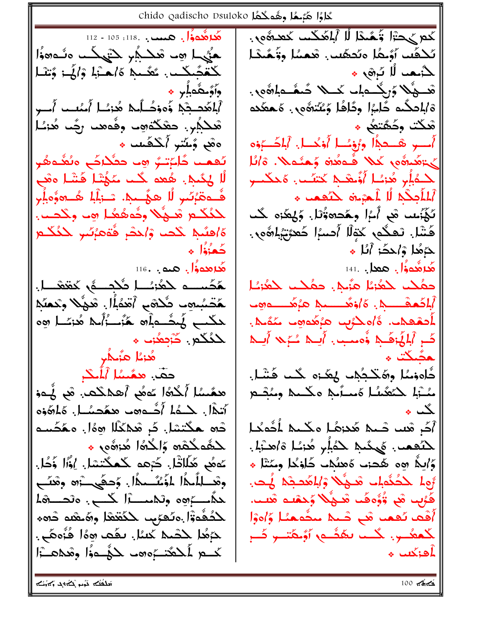كَاوُا هَبُمهُا وِهُمكُمُا Chido Qadischo Dsuloko هَدَاهُدُواْ ، هست ، 118. 105 - 112 كَمْ يَحْتَرَا قُسَّمْا لَا أَبْلَغَكْتَ كَعْدَقُونَ. هَيُّهَا هِـ مَحْكِمُ حَتَّىكُ مِثْعَهَّا تَكْفَّبَ أَوُّبِّكُمْ مَتَّحَفِّبٍ. مَّعْشَا وَقُمَّنْدَا ݣَعْجُىكْـــ، مُعْـــدِ هَ/حَــْ;! وْ/كُــ: وُتتْـا لِحَبْعِيبِ لَمَّا تَرِقَى \* تَعَــوُلًا وَرِيْـَــولِمَــ كَـــلا صَــقَــولِمُوَهِ. وأؤْمِثْدِكُم \* ٱبِلْعَصِجَةِ ۚ وَوَدَٰـلَكَ هُزَىٰـَا ٱمْنُــَـَّ ٱسْـرِ ة/احكُـه حَاـبُرا وِحَاهُا وَيُتَنفُّى ِ. هَـعمَدَه هْلِجُمْرٍ. حَعْكُدُوم وِقُومب رَجَّى هُزَيُّا تَعَكْتُ وَكُثَّنَتْكُمْ \* أُسْبِ هُــدِدًا ورُوْسُــا أُوْحُـــا. ٱبِلصَّـَرُوْه ەھْع وُمنَّنْر أَكْلَفُسْ \* تَھمَـٰ ڈَاجْتَـٰرُ ہِف حَثَّٰدَاکَے ہَنُھُّےھُرِ ى تك مُصْدَّة وَهَدَاه مَعْ الله عَلَيْهِ مِنْ الله لْكُمْلُو هُٰٓئِكُمْ أُؤُمِّعُكُمْ كُتْئَبٍ ۚ وَجَكَّسُو لًا لِحَٰبِهِ. هُعه لَحْب سَهُتَا فَشَا هِمْ فَــوةَ رَبّـر لَّا هِجَـــبِهِ. تــزجَلِ هُـــووُولُر أَمْلَكُمْ لَا أَحْبَرَ هَا كَتُحْمَّب لْحُكْكُمْ شَجِيْلًا وَدّْدَهُمْـْ أَمَّدَ وَخْصَبٍ. تَّكْتُنِّسَ ثَنِيَّ أَسْرًا وَهَجَدَّةَ تُذَاءِ وَلِيَعْنَ مَكْتَ ة/هِنَّبِهِ كُلْحَتَ وَ/جَشْرِ هُتَجْرَبُتُنِ جَجُكُمْ هَٰتْلَ. تَعَكُّمِ كَةِلًا أَصِبُرا خَعْرَّتِيُلِهُومِ. كُمْزُوْلُ ﴾ | حَزْهُا وْاحْدًا أَنَا \* هُدَهُ وُلْ: هَنْ : 116.  $\mathbf{a}$ | مَدرِمُدوُ | . معل $\mathbf{a}$ . . 141. هَدَّســـه حَمُّرْـُـــا حُجَدـــهُ، كَقَفْـــا. حفُك حَعُّبْنَا مَّبْهِ. حفُك حَعُّبَنَا هَدْسُمِهِ دَكْلُهِم أَتَعْمُلُهِ. شَهْلًا وتَعْمَلِهِ مكْبِ هُحْسَمِلُه هُنُسْأُلُمْ هُزَسًا هِهِ لِمُحَمَّدِ. ةَ/ەلْكُرْب هُرُهُدە مَّدَّمُدا. كَمْ أَبْلَٰئُ وَكُلِّي وَالْمَسْمَى، أَيْنَكُمْ كُرْبَكَ أَيْنَكُمْ لِمُكُمْ. كَرْدِهُنِي \* هُذِيًا هِنُمَكِ ا هشَكْتْ \* حقّ ممّشا ألمُكر دُّاه;مْمْا وِهَكْجُدْ لِهَٰ;ه كُـْ فَشْلَ. همَّسُا أَحْدُّا عَمُّع أَهكَكُم. هَي فُء مُنْزَلِ لِمَعْمُلِ وَسِنَبِهِ وَكُمِهِ وَمُحْصَرِ أتداً. حَـمُا أُخُـوه محَمَّصُـا. هَاهَوْه یگ ہ أَكَرِ قَعِبٍ كَنْبِهِ هَٰذَاهُمْ مَكْتَبِهِ لَمُحْمَدًا ۖ دْه هكْتْسْلْ. كْرْ شْهْكْلْلْ رْهْلْ. ەھْكْسە لمَعْمَلُهُم وَالْمُهَا هُزْهُمِ \* لْمَنْصُوبِ وَالْمَسْطِ لِمَشْرِهِ مُتَوَلِّدٍ وَاحْتَمَاءِ . عَمْمٍ هَٰلَاتْا. خَرْمِه ـكَـمِكْتشا. إِوّْا وَّحُل. وَّابِدْ وہ ھَدن ہُمبُک کُلوْکُل مِمَتْلَ \* أوما للحُدُّم**ات شَيْلاً وُ/امُحَدِثَهْ لَمِنَ**. وثَعَــالمُعَلَّم الْمُنْـُــمِدًا. وَحقِّي — أنَّ وثَعَـّـحِ فَهُلِ هُمْ وُّؤُهفُ شَـوْبُلا وُحَقْلَه مُلْتَ. حَدُّبٍ وَصَدَرًا كُلِّ وَصَدَرًا مَنْ الْمُرْسَنَ فَيْ لِكُفُوتُوا وَتَعْرَبِ لِكَعْفَا وَهَمْعُنَا هُمْ وَهُمْ يَ أَقْفَ تُفْعَدُ قُبْ شَيْئًا بِيَشْمَعْتُلْ وَادْوَا لكَرْهُا لِكَسْلا كُعِبًا. يَقُمْ وَوَٰا قُزْوَهَى: كْمْعُسْسْ، ݣْسْتْ تْمُغْسُمْ، أَوْتْكْتَسْسْ كْسْرْ كُمِع لَمَحْقَتِهُ وهو حَذْهُوؤُا وقَعِدْهَا. أفزكس \*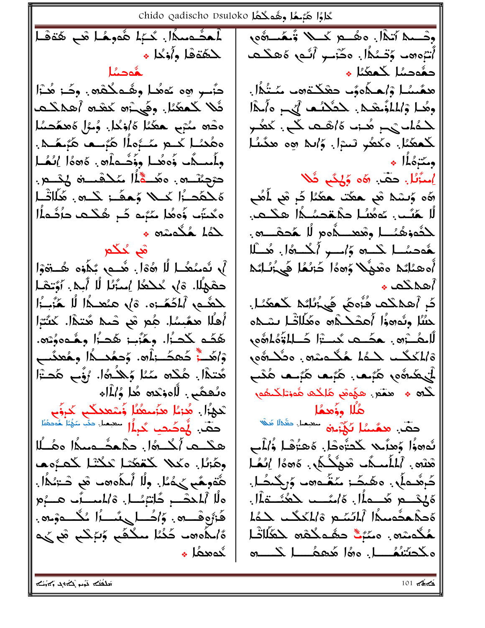| كَاوُا هَبُنُهَا وَهُمَكْهُا Dsuloko كَاوُا Chido Qadischo Dsuloko                                                                    |                                                                                                                |
|---------------------------------------------------------------------------------------------------------------------------------------|----------------------------------------------------------------------------------------------------------------|
| لْمَحْــٰمِــٰماً. كَــَہُـٰ هُـٰمِــٰمَـٰا هُـبِ ۖ هَٰـٰٓهَـٰـٰا                                                                     | وتَسمك أتكْل هفُسط كمسلا وُسْفَسطُهِ                                                                           |
| لْمَعْدَهْا وِأُوْخُا *                                                                                                               | ٱتزەھە وٌتْـَىْكَالْ. ەكْنْسو ٱلَـّٰهِ ەُھْكْـْھَـ                                                             |
| المُّذَابِ المُّذَابِّ الْمُسَارِّ الْمُسَارِّ الْمُسَارِّ الْمُسَارِّ الْمُسَارِّ الْمُسَارِّ الْمُسَارِّ الْ                        | حمَّەحسًا گُمعَّنُا *                                                                                          |
| دَّىبِ ۞ مَّەھُـا وِھُـەڭھُ7. وِكُـٰ; ھُـُرَا                                                                                         | ھمَسُل وْاحكَادۇب ھۆڭتەھە مَتْتُكُلْ.                                                                          |
| ئُلا كُمْعَنْدْ. وَفَيْءَ۞ كَنْدُ۞ أَعْمَلْكُتْ                                                                                       | وهُما وْالْمَلْؤْمِعْكُمْ. حْتَكْسُمْ أَيْهِم هْ الْحَلَّا                                                     |
| ەڭھ مُتْرَى حَقَنُا ەُ/مْكَا. وُمْرَا ەَھْھَدىنُا                                                                                     | لحَمْلَت يَبْ هُـزت هُ/شَـت كُب . كَعُب                                                                        |
| وهُدُا كَـــم مَـــرُواْ هُرَـــم هُرُــمَـــم.                                                                                       | لْكَعِتْمَاءُ. 5ْكَتْݣُو نْسْرَاءِ وَإِلَيْهِ 6ِ 20ْكْتُلْمَ                                                   |
| وأسلَّف وُدهُما ووُحْــدلَمن وَادهُ! إِنْـهُــا                                                                                       | ويترة ألم من المناسب المناسب المناسب المناسب المناسب المناسب المناسب المناسب المناسب المناسب المناسب المناسب ا |
| حْرَجِنْتُــرَهُ . هَ هُــــةٌ مُمْــــدَّ مِـــدَّ مِـــدَّ مِ جِــَـــــــــــــــــــــــــــــــ                                  | إسْتُلْ. حقَّ. 6ه وَلِيَّة قُلا                                                                                |
| هَكَمَدُا كَــلا وَحَفَــز كَــره . هَٰلَاتْــا                                                                                       | ھُو وُسْما ھُی حَقَّتْ حَقَّنَا کَرِ ھُی لَمُعَی                                                               |
| ەڭتتَ ذَەھُل مَبَّد كَرِ ھُكْلُ حَافْدَاً!                                                                                            | لًا هَنَّب. عَمْنُـل حدَّـقحـنُــدًا هـكــعـ.                                                                  |
| $\bullet$ order that                                                                                                                  | لْحُدُوهُمُـــا وِتَععـــدُومِ لَا ـمُحصْـــمِ.                                                                |
| قع ككم                                                                                                                                | هُّەحسُّــا كَـــــه وَ/ـــــو أَكْـــــوهُ!. هُــــُلا                                                        |
| ﴾ نُمنُعُــا لَٰا هُءَا. هُــــمِ بُـدُوْه هُـــةوْا                                                                                  | أەھىُلْكا ەتىنى كۆھەل كْرْىُغَا فَيْزُنْلْنَا                                                                  |
| حمْمِلًا. ۞لا حُكْمُا إِسْرَٰنُا لَا أَجِدْ. أَوَّتْمْـا                                                                              | $\delta$ and $\delta$ and $\delta$                                                                             |
| لِحَمَّــٰهِ ٱلْمُحَمَّـٰ: 3) هنُعــٰهُا لَا هُزَّــٰزُا                                                                              | دَ أَهدكَ هُنُوهُمْ فَيخُلْبُدْ كَعِمَدًا.                                                                     |
| أَهلَا همُسُلٍّ. هُم مْ حْسِمْ هُتِمْا. كَنُتْرَا                                                                                     | حلُّلُ ونُوهوَٰا أَهشَكَــدُه وهَكَلَاتَــا بِـشَــدُه                                                         |
| هَكُم كَحِزًا. وِهَّنْتِ هَجَزًا وِهُمُودُه.                                                                                          | الْمَطْآهِ. حَصَّــمَا مُنْـــٰٓا ضَلْلَةُهُلْهُور                                                             |
| وْاهَمْ ۚ حَمْحَـ زَاْرَه. وَحِمُدْهُا وِحُمْنَبِ                                                                                     | ة/لمَكْت حَدُّلَ هُكُـمْتُمْ. مَثْلُـمُوْمِ                                                                    |
| هُتِمْلَ. هُكُم مَمْا وَجْدُهُا. رُؤْبٍ هَٰدِ ٓا                                                                                      | لْمَكْمَةُ مِنْهُمْ . هَٰبُمُ ، هُذَا مَثَمَّلَ مِنْهُمْ مَنْ                                                  |
| ەنُھھُّى ِ. لُاەوْكە ھُا وُ}، اُلَّام                                                                                                 | لْكُلِّهِ * مَعْمَرٍ. هِجُوشَ هَالْكُمْ هُوزَالْكُنفُور<br>هُلَّا وذُهمُا                                      |
| تَّكُوْزًا. هُزْمًا هَزَّمُمَعُنًا وَمُتَعَكِّلُها كَرَوَّةٍ<br>حَقٌّ. فُوَضَّعِي كَرِمُّا <sup>سعيماً. حَدِّ عَوْمًا هُجَعُنًا</sup> | حقّ محمَّسلا تَكَذَّمَه سعما تَقَطَّ مَنَّهُ                                                                   |
| هكــم أَحْـــةُ . حَمْعتُــمِـما مَــُـلَا                                                                                            | لُّهِ وَلَا وَمِنَ مِنْ مَا اللَّهُ وَا مَعْنُوْهَا وُالْمَسِ                                                  |
| وهَزْئا. هَكْلًا كَمْعَدَا تَكْتُبْلُ كُعْبُوهِ                                                                                       | ەْتْلُە، }ْلْمُسْكُب مْجْنُسْكُمْ. \$10\$ إِنْعُا                                                              |
| هُتَوهُم ِكُمُمَا. وِلَمْ أَحْذُرُهُ مِنْ شَيْئًا.                                                                                    | كَرِهُـولُمْ. وهُنكَـز مُنْقُوهب وُرِكِّنكُـا.                                                                 |
| وْلَا ٱلْمَحْسَبِ حُاتِبُسًا. وْالْمَسْأَبِ هَـــرُمْ                                                                                 |                                                                                                                |
| هُرْوُهِ هِ وَٱلْمَسْلَمِ لِلْمُسْرَارِ مِنْ مَسْوَوْءِهِ .                                                                           | ەدىم ھەممەكا كەلگىگى كەلگە                                                                                     |
| ەُ مِلاَ مِنْ كَبُنَا مِنْكُمْ مِنْكِسَةٍ مِنْ مَنْ كَبَارَةٍ مِنْ                                                                    | هُكُومْهِ. ومُبُنٌّ حِشُوكُمْهِ كَعَلَاتُهِ                                                                    |
| <b>یُدمدمُا ﴾</b>                                                                                                                     | ەكحنّىئەــــــــــــ ا ەھا ھَىھىھــــــــــا كــــــــــــە                                                    |

<u>Eifrí Jirth pá ríslá</u>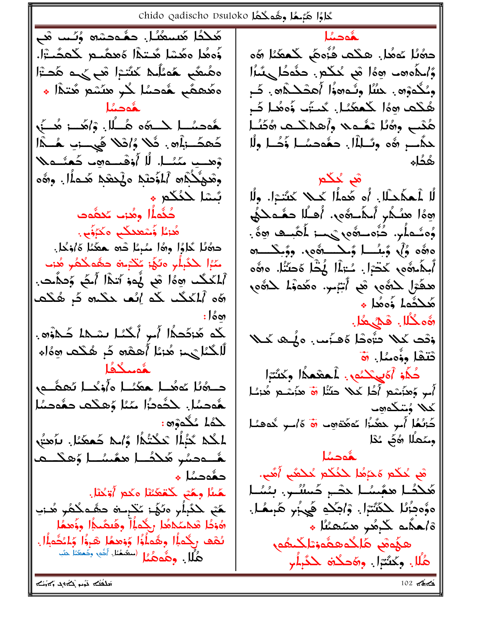كَاوُا هَبُمهُا وِهُمكُمُا Chido Qadischo Dsuloko مُكْتُلُ مُسْتَمُّلًا. حَقَّەھشە وُنَّىب شَي مأوصينا ذُوهُا وهُنا هُـتمْا وُههُــمِ كَعجُــتْزا. دەُنا مُەھَا. ھڭف فُزُەھُ كُمْعَنَا ھَە اَتَّـصَدَّ صَرَّ لِـمَّا كَنْتَـرَّا مَّـمٍ كَمِيمَّةٍ مَّصْتَةٍ وهُهمَّى هُوصُل كُر هِنَشْمِ هُتِمَّا \* وِيُكُوْوُهِ . جِبْنُا وِيُوهِوْا أَعِضْكِيْهِ . ضَرِ هُكُم هِهُمْ كُعِعَيْنَا. يُحتَّبُ وُهِعُمْ كُمْ لِمُوصِبُ هُوصِسُا كَنْ وَاللَّهُ وَالْمُنْ مُنْ هُنْبٍ وِهُلًا تَغْـهِدْ وِٱهْلِكْـهِـهِ هُكُـُـلًا كَعِكَـــزِلْمِي. ثَلا وُائْلا فَي ــزبِ هُـــدْا حدًّى و هُو وتَسَالَمَا. حصَّوصيُسَا وَّحُسَا وِلَمَّا وْهِــبْ مِنْنُــا. لَٰلْ أُوْقْعَــدْهِ حَكْــدْ ۿۮؙ؊ وثَعِهْكُمْهِ ٱلمُؤَمِنْهِ ولْمَحْفَظِ هَٰـوَلَٰمَا . وَهُو شی گگم لًا أَحكَمحِبْلا. أَو هَٰداً الحَكِ حَتَنْتِهِا. ولَا ئىشا خىگى ، حُذَّمَلُ | وهُزب مُحَقَّقِ هِهُا هِنُـكُمِ أَحِكَمَـهُمِ. أَهـلُا حصَّـمَـحُهُم هُزِيًا وُسْعِدِكُمْ مِكْرُوُمٍ. حدُمُل كَاوُل وِرَهُ| مُبِيْل دُرِهِ حِيَّيْلِ هَ/وَجُلِ. ەھُە وُلَىٰ وَّبِئُسَا وَمِلْسَّىھُە، ووَّبِنْسَــدَّ مَبُرْا لِكَبِلُرِ وَتَهَٰذٍ تَكْثِيهَ حَقَّهِكُمُو هُذِب أَجِدُوهُم كَخَرَا. سُتِمْلَ لِخُشْلَ مَحْتُنُا. وهُو اْلْمَكْكَ هِوْا هُمْ يُوْمْ ٱتْݣَالْ أَمْثَى وَصِلَّاتِ. هِهُرًا لِحَوُّهِ ۚ ثَمِ ٱبْتَبِسِ وَهُوءُ ۖ لَحَوُّهِ ﴾ ھُو  $\Lambda$ کُنگ کُھ اِنُ**ف** مِنْکِسِ کَمِ ھُنگِھ | هَٰٓٓٓٓٓٓدُهُم وَهُوا ﴾  $: \mathcal{V}$ ဝေး أَهْمِكْلًا. قَتْلَى هُلْ لَكُمْ هَٰذِكُمُا أَسِ أَلَكْنَا بِشَكْلَهُ كَكَنْوَهُ . وْتُتْ كُلْلًا تَتَّوَدَّا وَقَرَّسَ. وَلُمْ كَلَّلًا لَّاكْتَا ٓ مَنْ الْعَمْرَ ۖ مَنْ مَكْتَبَ وَوَاءً ۖ قتفا وذْهِمْا ق مُصْلُحُل دُمَّاهِ أَهْمِيْكُمْ. أَحْشَمْهُ الْمِحْتَةِ حدةُنَا عَمْدًا هِمَّنْدًا ه}ُوْحُدًا نَهِمْدِهِ أَسِ وَهَزَعْهِمْ أَكُلُّ كَلُّلٌ حَتَنًا فَي هَزَعْهِمْ هُزَعًا هُوصُلُ. حَدُّودُا مَمْا وَهكْف حَقُوصُل كملا ۇشكەھ لِّهُمُ مُكْمَوْهِ: دَّنَهُا أَسِ حَعَّدًا عَمَّقَوِفٍ ﴿ وَلَى اللَّهِ خَدْفَنَا لمكْم كَبُلًا تَحْكَنُمُا وَّاسِمْ كَمِعْمَا. بِأَهْتُبِ وسَّعلًا هُکَ غُدَّا مُوصِيُا هُـــوَصُلِ هُـٰلاُنُـــا هِـمُـَـنُـــا وُهكَـــف قَعَ خُكْمَ ةَجَهُدَ حَبَّكُمْ خُلَقَتِي أَهُبٍ. حمُّوصُلْ ﴾ هَٰٓدُكُـٰا همُّسُـا هضُـٰہِ كَسُنُـٰبِ. بِنُسُّـا هَمِنْا وِهَبْنِ كَمْعَكِنْنَا وَكُمْ أَوْكُنَا. ٥ؤ٥دُنُا حَكَنُّةٍٳ. وْإِجْكِ فَيْ مَ هَٰهِمْلَ. هَبْ لِكَبِلُرٍ مَنَهَٰ: مَكْرِسة حشَّـه كُـمُر هُـزبِ هُوْحُا هُدْسُدُهُدَا رِجُدْبُالٌ وِصَٰعَبِدُا وَذُهِمًا ة/همَّد كَرِهُو هِمَّدْهُمَّا \* ىُـقَف رِكُـّماُ أَ وَهُمَّاُؤُا وَوَهِـعُا هُـرُواْ وَاعْثُـماُا.<br>هُاا. وهُـمَـمُـُا سَعْـمُـْا. أَشَا رَحْمَـنَا مَبْ ھۇەھر ھَالْكەھھُەزىْلگىھُەر هُلَا. وكَتُتْرَا. وهَجَدُه حَذَبِكُمِ بَلْيُلْكُمْ يُهُومُ لِكُمُوْمٌ بِكُمْ الْمُسْتَدَمَّةِ بِمَا يَسْتَدَمُّ  $102 \pi \pi^2$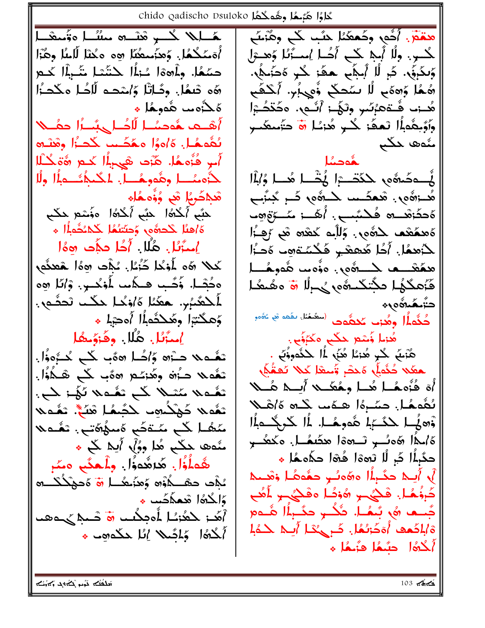كَاوُا هَبُمهُا وِهُمكْهُا Chido gadischo Dsuloko هَقَوْ. أَدُّمِ وَحَمِعَنَا مِنْبِ كُلِّ وِمُّنْبَ ـَمَــاللا ـُــــــو مْتَــــه مشَــا هُمْمشَــا أَةَمَكْهُلْ. وَهِزَمِيعُكُلْ وهِ وَكُنْلا لِّلْمِنْلْ وِهَٰزَا كْتُو. وَلَا أَبِيهِ كُنْ أَشَا إِسْتَئَا وَهُدَالِ حسَّمًا. وأَ80 أَخذًا كَتَبْدا شَبِٱا حَم وَبِكَرِفَى. كَبِ لَّا أَبِكِمَ حَقَّةٍ كُلِّ ةَجَنِّكَى. هُمُا وَههَم لَا سَمْعَكُمْ وُهِيزُو. أَحْكَمُه هُه ثَعِمًا. وِئَـاتًا وُاسْحـه لَّاحُـا مكْحـُرَا ەڭدەپ ھُەوھا ھ هُــٰ; ۖ فَـُـٰٓةَهُۥُنُـٰرٖ وِلَهُـٰٓ; ٱلـَّـٰهِ. ۚ هَكُنَّكُــٰٓ;ا أصف أسبي الأسأل للشامة بصبة أ وَأَوْجِعُهِ أَلَّا تَعْفَّرْ حُرْجُنَا لِلْهِ حَتَّمِيعُنِي لُقُدهُا. ةَادْوَا مَعَّصُّسَا لَكَدْ:ا وَثَعْلَـاهُ مْدَه دكْم أَسٍ قُزْهِهَا. هَزْمٍ هَيْ إِلَّا كُلُّ رَوْةَكُلَّا حُودِيُنَا لِّــوَدُوهِ حَكَّفَـــرَا لِمُثْــا هُـــا وُلِمُلْ كُرْدِمُكُمْ وَهُدُوهُكُمْ. لَمَكْتَجُمُّدُوبُهُ وَلَهُ مْدْكُرِبُلْ هُو وُؤْهِ هُلْهِ هُدَاهُ مِنْ هُمُكَسَبِ لَمَدِهُ مِنْ كَبِرِ كَبِيَنِ مِنْ الْمُحَمَّدِينَ َحِبَّىٰ ۖ أَحْدُهُ! ۚ حَبَّى أَحْدُهُ! ۚ وَفُسْعِ حَكَّى ەَحدَّەْھَـــە ھُكْسُبَب. أَهَّـــز مَـُـــرَّةِ وَمِـ هَ/قِبُل كَدِوَّةِ وَحَتَبُتُمُل كَلاَيُدُوبُلُّكَ وَالْمُحَدِّدِينَ الْمَجْدِينَ فَي هُ هَهُهُم لَدُوْهِ وَالْمِد كَعْدُهِ مِّع رَجِبُهُ إمبَّرْنَل. هُلَل. أَجُل حجَّت هوا لأهمًا. أَمَّا هُهِمْ وَكُسَّةُومَ وَحَزَّا كَمِلًا هَ مِ لَمْ كُلْ كُنُمْ. يُثْبُ هِ وَ أَ هُعِنُو ۖ همَعْـــما حَــــرُهُورِ. وؤُوسا هُومِمُـــا ەكْتْــا. ۆُكّــب قــكامىي گۈڭـــو. ۋاڭا ھە فَزَعكُهُا مِثْتِكْتُوْهِ رُسُولُ لَهُ مَعْتَفَا لَمْحْشَبُر. حمَّنْا هَ/وْحُـا حكّــ تَحصُّـعِ. **شبكى ئەن** صُفْماً | وهُزم مُحَمَّدت (سعَّمُنَا. بِفَقِ ثَمَّ رَبُّهُم وَهكْتِرًا وهَكْثُمِلًا أُهجَبِك \* هُٰڹا فُسْع حَكَّمٍ مَكَبُفٍّ. إِمِيَّتُل. هُلَّل. وِهَوَّمِعْل هُّنْبَعُ لِكْمٍ هُٰذِمًا هُنَّىٰ لَمَا لِكَفُّوفُوَّىٰ . تَعْبَدِ دَـٰٓ;ہ وَٱحُـا ہوَبِ كَبِ كُــرُووُّا. لْمَعْلَا خُذْمِكُمْ وَالْمَعْدُمُ كَلَا تَعَقُّلُهُمْ ا تَعْمَلا حَزْنَه وِهَٰئِكُمْ «هُبْ لَكُمْ شَكْرُواْ. أَة فُتُوهُا هُا وهُقَـــلا أَبِـــلا هُـــلا تَقُمِد سَنَنْدَ لَكَمْ تَقُمِد تَنْهَا: لَمْنَ: لَّقُومُ]. حَسَّرَهُ| هِـدَمَ كَلَّهِ هَـُوْ لَا تَعُدِيا كَوْلَامُوب لِلصَّعُلِ شَنَحٌ. تَعُدِيا وْهِهُما حَدَّجُهِ هُوهُما. لَمَّا حَجِجَّے الْمَ سَھُـا كَــِ سَـتفَكِ هَسَهُمَّتـَ ـِ تَعُــمَــلا ەُ/ىدَا ھَەئىپ ئىھەْل ھكْىغْــا. مكھُــب منَّده حكَّمٍ هُا ووُلِّي أَيم كُلِّ \* حَدِّمُا جَي لًا تَحووا هُوْا حَكُوهُا \* ِّعْمِلُوْلَ. هُدِهُووُل. وأَلَّمَنَّى مِنْهِ لَ أَيِــدَ حَكَــرِمُّا وَوَوَنَــرٍ حَـقُومُـا وَقَسَـدَ مُبْلَد حصَّــدُوْن وَهزَمعُـــا فَ هَدهْكُــُــــــه كُرْفُهُا. فْكَيْبِ هُوْشًا هِفْكِبِ لِّمُّحِ وَالْحُدُّا شَعِكْضَب جُنْبُ ﴾ فِي الله الله عنه الله عنه الله عنه ولا يَعْدَم أَهَٰذِ حَعَٰٓئِنَا أُوجِكُت ۖ قَاسَمٍ يَءْهَت ة/اصَّعْتْ أَةَخَرْتُهُا. ضَرِيحْنَا أَبِيهِ حَدَّا. أَحْدُهُ الْمَحْمَدِ إِمَّا حَكْمُوتَ \* أَحْدُهُ | حِبُمُا فَنُمُا \*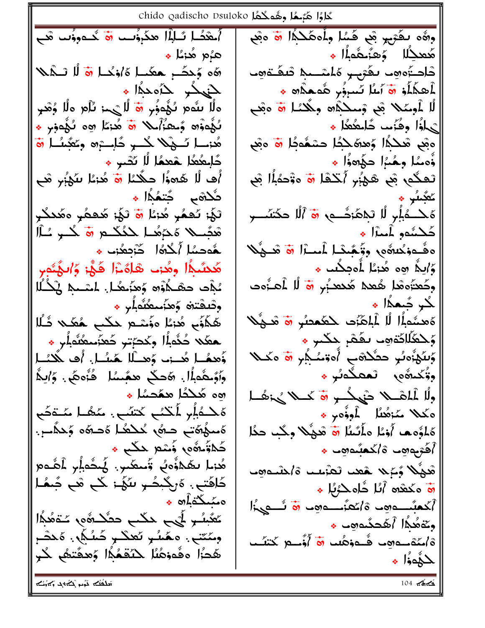كَاوُا هَبُمهُا وِهُمكْهُا Chido gadischo Dsuloko أَمْعَدًا نَـلِلَّا مِكَبُّوب ۖ يَ حُـووُب مَّـ وَهُمْ بِغَيْهِرٍ بِّي فَسُلٍ وِلْمَعْلَمُ أَنَّهُ مِثْبِ |مُعدِلًا وَعزَعْمَاً ﴾ هرُم هُزِيُلُ \* 6ّة، وَحدَّــ مِعْمَـــا هَ/وَحْــا قَ لَّا تَــمْكَا دَاحِبَّەھِ ىگْتَى ِ ەَاسْمە دْىگەھ لمنهكو لمأهداً و أَهكَلَوْ قَ آَمَلُ تَسرؤُو هُمِهَاهِ \* ەلْلَ ىثُمَمْ نُؤْمَوُّبِ ﴿ لَٰٓا يُحِبَّ نُلْمٍ وَلَٰلَ وُهْبِ لًا أُوسًلا بْنِي وَسِكْلُاهِ وِللَّهُ أَنَّ وَبْعَى لُؤُووْرَ وُمِعْزُاْمِلًا إِنَّ هُٰٓئِمَا اللَّهِ لُؤُووْرٍ ﴾ حَمَلُوا وقُوَّم حَلِّعَظُلْ ﴾ وَهِم هَكِدًا وَهِوَمَكِدًا حَسْفُودًا قَ وَهِم هُذها تَــوْبَـلا كُـــو هُـالِـــثره وحُجَّمُــا ق دَّابِعُعُا هُعِمًا لَّا نَصْبٍ \* أؤْمِنُا وِهُبُرا حَكَّاهُواْ ﴾ ٍّاُف لًا هَموُ احكُن*ُا قَ مُ*نسُّا سَكِنُو مَن تَعكُم، ثَبِي عَنْ أَبْ أَكْثَا أَنْ هَ وَتُحَمُّلُا ثَبِي ئَلاھُم جُنھُلًا ﴾ هَـْـــمُبِّر لَٰا تَبْاهَٰ:هُــــم ۖ أَلَٰا حَكْسَـــر لَّكُمْ: نَعْفُرٍ هُٰٓءَبُنَّا ۞ لَكُمْ: هُڪمُرٍ هَهُدَكُـُرٍ هْثَمِيلًا هَجَهُما حَنُكُمْ قَ كُبِرِ سُأَلَ كُكِنْيُومِ لْمُعَالِقِ وفُءنِكْلاةُو، وتُمُبِكْلِ أُسِيراً فَ تَسِيثُلا هُوَجِسًا أَيْخُوهُا ۖ خُزْجَعُنِي \* وَّابِدُّ وه هُزْمًا لُمُوجِكُت \* هَٰدئَبِهُۢا وِهُٰٓنِٮ هَاهُنْۥَا فَوُّٰٓنَ وَ﴾َائِهُنُّهِۥ |وحَمْتَوَوْهَا هُعْدَ مُحْمَدِّبِنِ إِنَّهَ لَا لَمْ أُوصُوبَ مُلِّآت حصَّـدُوْن وَمنَنصُـل لمسْـبِهِ وَكَـنُـلا | كُلِّ جُلْعَكَا ﴾ وثَىڤتة وَهزَمىعُنُّهٖاُرٖ ۞ هَكَوۡى هُٰٓئِمَا هَٰٓئُمۡعَ حَكَىٰ هُعَکِ ثَـٰلًا َهُ هِشُمِلًا لَّا لَمِلِّکَنُو ۖ حَظ**َمِد**َيُو ۖ قَدْ شَعِيْلًا ۖ قَدْ شَعِيْلًا ۖ وَحْمَلَاادّەوم بەھْمْ جِحْبِ \* ـهمَكَلا حُذْهَلُا وكَحَبِّتَرِ حُمْنُمَمْتُمَلِّرِ ۞ وَسَكِنُّوسُو حَثَلَاهُم أُوقِسُكُمُو قَ وَعُمَلًا ذُهمُــا هُـــزب وَهـــُلا هَـسُــا. أَهـ لَلْكـُــا وَٱوۡعِثۡمَآاً. ۞حكَّے معۡمَسُا ۖ قُنُّوهَى ۚ. وَۙٛابِدَّ وَتُكْتَبُونَ لَعْقَدْتُكُمْ \* 00 هَٰلاَتُا همَّحسًا ﴾ الحفنح محمك حتى مستكريتَه محسدة لما أو ەَڪەُلُم لَمْكْبَ كَتْسَى. مَنْھُـا مَنْـةَكَبِ ەكملا مەزگىئا گەۋەپ پە ەُسۈمەت دەپ ئىلھا ەدەە كىڭىر. مَٰلَوُّہِ ﴾ أَوْعًا ہِ أَنَّسُلَ ۞ شَوْيَكا وِكُب حَدًّا كَلمُؤْمِرُهُ) وُسْعِ لِمَكْمٍ \* أَفَوْجِهِ وَالْكُمِبُورِ ﴾ هُذِمَا بَعُكَوْوَبُ وَمُنَعَمِنِ ۖ يُخْفَظِينَ لَمُحَافِرَ لَمَحْقَوْمِ هْدُبْلا وُعَ بِلا هُعْدَ تَعْزَىب 16كْتُدەەب كَافَتى ِ. ەَركْبِحُــرِ سَّهُــز كَــح صَّــمُــا <del>اها</del> مكعْده أَمُّا خُامِكْرُبًا \*  $\bullet$   $\circ$   $\mathring{\mathring{L}}$   $\circ$   $\mathring{\mathring{L}}$ أَبْرِمِ ثُمَّ صَحِصَةَ مَتَدَاةَ حَجَمَ الْمَسْتَمَرَةَ تَعَبُّسُو لَيْ حَكَّبٍ حَثَّفُ مِنْ مَتَمَعِينَ الْمَعْدِيمَا |وێەھؗۮا ٱھٗڪڱڡ٥ڡ ٭ ومَمَّتَـنِ ۚ وَهُمُنُـرٍ نَعَظُـرٍ ضَلَـٰكِي ۚ وَحَصَّرِ ةامَّدْسويوم هُــدۇمُلما قَ أُؤْسِع كَتْتَب هَدَٰۥًا وَقُودُمُنُا ۖ حَدَّقَهُۖ ۖ وَاللَّهُ وَصَدَّمُ ۖ لَكُـرٍ لِحَوْدُوا ﴾ <u>المنابه بانظر بابند الأهلة</u>  $104 \times \pi$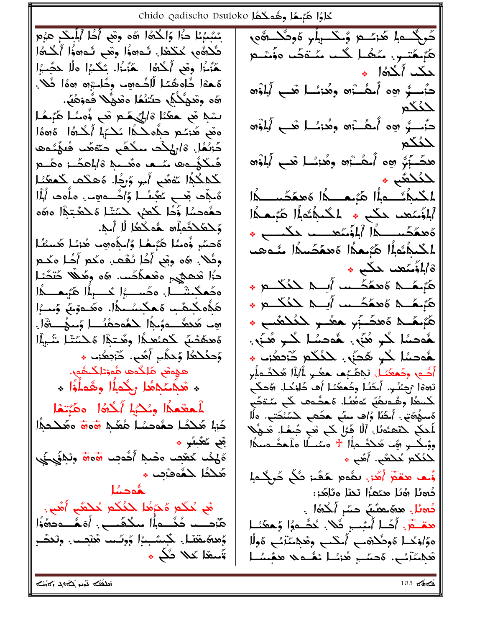كَاوُا هَبُمهُا وِهُمكُمُا Chido Qadischo Dsuloko مَّبْبُهُا دُٰا وَالْحُوَّا وَّه وَهْدٍ أَكُلَّ أَبْلُِحْ هِبْهِمْ كْرِكْسْمِهْ هُنْسُــعْ وُسْكَـــْبِلُمْ هُوشُكْــْقُىمْ طَّهُوبِ كُطْعْلَ. نُـهوذُا وِثْبِ نُـهوذُا أَكْـرُهُا هُبْعُتِي. مَمْعُما كُبْ مَتْوَجَّبْ وَفُسْعِرْ هَّنْتُوا وِهْدٍ أَحْدُهُ! هَٰنَّتُوا بَكْتُوا هِلًا حَجَّـبُوا حكَّ أَحْدُهُ! \* هُـهوَا خُاهِقَـُـا لَاخُــوهِــ وِخُلــبْرَه هوَا ثَـلا. دَّنَــــَرُ ۞ ٥ أَنكَـــْرَه وهُـٰزَـُـــا هَـــِ ٱبِلْوَْه هَٰه وقْدِيْكُمْ} حَتْتُمُا هِقْدِيْكَ فُودَمُّهُ. لحنكم لشَبْ ثَبِ حَقَيْهِ مَلْا عَلَيْهُمْ شَيْءٍ فُوسُمْا هَبُسُهْا دَّنَـــوٌ وَهِ أَنكَـــْرَه وِهُـٰزَـُــا شَـــح أَبِلُوْهِ هَمْ هُنسُم حِبُّهِكُما مُكِبِّلٍ أَكْسُوا ﴾ حنكم كَرْتُغَا. 13ركتُ سَكْفَى حَتَّمَّت فُتَكَّدَهَ هكُــَ أَبْرٌ وَهِ أَمْــكُــْ;ه وهُـٰهَـٰــا هَـــع أَبَاؤُه قَىكَيْمَت سَمِ مَعْمِدَةَ وَلِلْعَضَـٰزِ مِصُـْع لمنُلْعُب \* كْهْكُمُّا مُّەمَّى أَبِ وَرَجًا. ەَھْكُمْ كُمْعَنْدَا لمُسْلِمُكُوا مُبْعَالُهُ مَعْضَدِرًا دُبِلُوت بِّحِبِ حَجَّبُنَا وَٱخْتَوِيتَ وَأُوتُ ٱلْمُ حِفْوَصُل وَّدُل كَعْبُ كِمَّتْهِ وَكَفَّتِهِ الْمُؤْمَّرُ وَوَوَ أَبْلَغْسَفْ حَكَمٍ \* لَمُكْتَجِدُهُ أَلْمَحْ مَكْتَبِهِ وَحْمَحُدْهُواْهِ حُوحُمُا لَا أَحِمْ. ەَھمَكَسىلمَا آباؤَمَّھىسى ھگىسى \* ەَحسَّ فُوسُل هَٰزَىغَا وُٱبِدَوْوَت هُزْسًا هَيْسُلُل لمَكْتَجَلًا هُبُتْعَدًا هُجْكَتْتِكًا يُتَّوَهَب وِثُلاً. ۞ه وقِي أَحُا نُفْع. هكُمْ أَحُـا هكُـمْ ة/باذُمَّعب هكَم \*  $\mid$ دَٰا مْعِلِي مْعِكْدَس. وَه وِمَعْلًا دَّتَدَا هَبْعَــد هَمحَــَــب أَبِــد لمَـنُكَــم \* وَحَمِّكِتْنَا وَ وَحَسَبُوا كَسِراً الصَّرِ مِنَ الْمُؤْتِينَ هَبْعَــد هَععَمَـــب أَبِــد لمَنْكَـــم \* ھَدُّەڭىمَّب مَعَكِّىسُـىدًا. ەھُـەۋىعٌ وَمــُرَا هَبْمَــدْ هَمحَــَـٰبَر حمعُـــرِ للنُلطَب \* هِ - هَٰذِهُــــوۡهِدُٰا ۖ حَــُمۡدَحُنُـــا وَٰٮــوَٰـــۃَ ا هَ مَعْشَبٌ لَحْمُسُماْ وِهُتِمْا هَكْسُتْا شَيْراًا هُوصِبُل كُلِّي هُنِّي. هُوصِبُنَا كُلِّي هُنَّي. هُوصُل كُلِّ هُجَّىٰ. كَتُكُمْ خَرْجَعْنِتْ \* وَحِذُكِهُا وَحِدَّمِ أَهُبٍ. كُبْتِعُنِت \* ههمةُ هَٰلِكُمْهِ هُوزَلِكُنْهُمْ. أَثُــه وحُـمعَنُـل ثَـبْمَــرَما حصـُــر أَلَٰٰٓا مَحْـدْــٰمأٰنِر \* قَدْمَمُكُمْلار رِجْمِلًا وَهُم**َلُوْ!** \* تَوَوْا رُحِنُبُ. أَبِضُلَ وِجُعِنَدًا أَفْ جَاوَجُنَا. وَجَحَبَ كْسِعُا وِهُــْمِطُهُ مُعَمُّلاً. ەَـعشُــْم كَــْ مُـتْوَكِّ أعشمأا ونحبا ألحاه وهزتها ەَسۈرەَتى. أَيضًا وُاف يېڭى جەڭچى بەشئەتتى. دال كَيْهُ هَكْدُا حَقَّوْسُا هُعَكُمْ وَوَوَ وَهُكُمْ وَحُمَّا لَمْكَى حَتَمَتَهُ لَ أَلَّا فَئِلَ كَے هَي جَمهُا. هَـهَٰلا بْ*ک* کَعَّبِتُہٖ ٭ ووُبِكْتُ وَمَا مُكْشُّدَا \* مِنْتَ الْمُحَسَّدِ الْمُحَسَّدِينَ كَانُفْ لَمَعْيَفٍ وَشَبِّعَ أَشُوبِ وَمَوَّةً وَلَجْفَيْنَيْ لَكُكُمۡ يُحۡضَىٰ ۖ أُهُى \* هُكْدُا كِمُّەھْرَْب وَّم مَعَمَّ أُهُوْ. بِمُوم هَقَة ثُلُّ خَرِيْكُوا أوحينا دُوبُا وُبُا مِيَعِزًا نَحْلَ وَبُلِهَٰ: قَعِ مُكَمّ مَجَهُدَ حَبِّقُدِ مُحْقَّعِ أَهُمٍ. دُوبُلْ. هرەُ حَسَّى حَسَّى أَحْدُهُ . هَّوْحَــــد حُخَّــــمِلّْا مِنْكُفَـــــى . أُهْضُـــودهُوُّا محمَّــعَرَ. أَحُــل أَمَّيـــر هُلا. حُدَّــدوُل وَحمَدُــل وَهِهَمْتَقَالَ. كَبْسُبْهُ| وُوتَـٰب هَبْصـب. وتَحَصَّرِ ەۆ/ۈكسا ەُوھُلاھىپ آىكىپ وھْلِمْتْلَب ەُولًا | تُسعْلُ كَمْلاً ضُكُمْ \* مْهِمْنَّائِبِ. هَجِسًبِ هُزئا تَعْــمِهِ هِجَنئُــا بَلْيُلْكُمْ يُهُومُ لِكُمُوْمٌ بِكُمْ الْمُسْتَدَمَّةِ بِمَا يَسْتَدَمُّ  $105 \times \frac{1}{20}$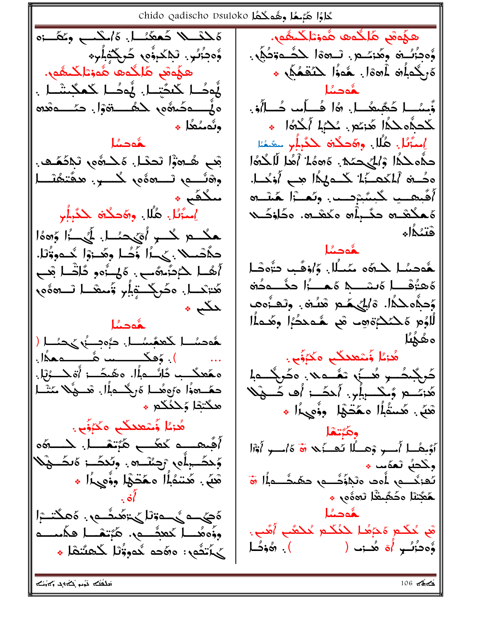كَاوُا هَبُمهُا وِهُمكْهُا Chido gadischo Dsuloko هَ لِمَكْمِ لَا هُ هَهُمُ اللهِ عَلَى اللهِ مِنْهُ فِي مَعْ ھۇەھى ھَاڭدى ھُوزاڭىھُە. وُهجُلُو. ثَمْكُروُه خُرِجُوْلُرِ. وُودُكُ وَهُنِّكُ وَ. تَـــ60\$ لَكُــدَوْدُيُّهِ . هِ هُوهُمْ هَٰا دُهِ هُوزَا كُنْهُومْ. هُ رِجُدِيَاتُهُ أَ30\$. هُدَوْا كَنَفْعُكُمْ \* يْمكْل كَمَحْتِــل. هُمكْــل كَـمَكْتِشْــل . هُوصِيُا ەن مەدەپ كەسىتەۋل كىسەتدە ذِّحسُـــا حَصَّـمُـــا. هُا فُـــأمد حُـــالَّهِ. لْحَجَّاءِحَدًا هَٰنِصَ لِحَبِّهِ أَحْدُوا ﴾ وثمنمْكل \* ـ مُّەحسُل إِسْرَبُلْ. هُلّا. وِرَهُدَفَ حَذَرَابِ سِعْمُهُ بْعِ هُـِ هَوْٓا تَحِدْا. هُكْـ هُو نَكِكَمُـ هِ. حِفْهِ حَمَّا وَلَمْكِ حَمَّدٌ. هَ 16% أَهْلَ لَلْكُمُّا وڤَلُّـــــمٍ لَـــــــهڤوم لَكـــــــــــو . مَعْـتَمَفَلَـــــــ ءكُــة ٱلمُكعــزَلَمْ كَــولِكُمَا هِــو أَوْحُـــا. أَقَبِهِــب كَيْشَوْمِــب. وتَعَــزًا هَنْتُــِ ه مىڭگە \* إِسْتَمَالِ هُلَا. وِرَهُ حَكْمَهِ حَكَيْلِهِ ەھكىھى دېگە ئەنگىلى مكاوكىلا قتئكاء هام الْمَسْرِ الْمَحْمَدِ الْمَسْتَمَاءِ مِنْ الْمَحْمَدِ المُهدسُ حكْصْبِكَ : حَدُّلَ ذَكَرَ وهَدْوْلَ حُدووُّلْل هُوصُــا ۖ لَــٰهُو مَمَــلًا ﴾ وَٱوْهَـٰب حَثَّوهـَـا أَهُــا كَرْدَ: هُــ وَي أُوو دَّاتُــا هُــح هُهْتُوْصًا هُبِشَبِيةٍ هُجَمَيْزًا حَذَبَهِ مَدُوَّةٍ هُتِرْحَـــا. وَحُرِجٌـــتِهِفُرِ وَمُسِعْــا تَــــوةُو وَحِدُّه حَكَّا. وَ}لِيَ مَع هُنُـهَ. وِتَعَـَّوْهَ حكىي ھ لْلُوُم مَكْتَكَرَةُهِ ۖ هُـ هُـ مَحْدُرُا وهُـ مَلْا مأودينا هُوصسُـــا كَعمَّسُـــا. دَوْمِــــوُ كَحسُـــا (<br>... ). وُهكـــــــــــــه هُــــــــــــوهاُا. ەھكىلا هُوْمًا وُسْعَدِكُمْ مِكْبُوَّى ِ. ەھَىدگىب دَّائْىملاً. ەھَىدَ : أَة كَسْرُبْلَ. ضَكِبْصُـــو هُـــنَى تصْـــه. دَ صَرْبُـــم! م<br>هَنسُــم وَحُكـــ بِأِبِ. أَحصَــز أَف ضَــهِ لا حصَّــهؤا هَوَهُـــا هُرَكْـــهأا. هَــــهُلا مَتْـــا مكْتْدَا وَحْدُكُم ۞ هَنَّى. هَنْتُمِلًا مَعَّضَهَا وَوُّیْ الْمُ هُزِيُل وُسْعِدِكُم مَكَرُوُمٍ. وهذتما أَقَبِهِـــهِ كَعَلَـــبِ هَزَتِهَـــا كَلْمَهُ أَوْجِعُــا أَــــو وْهـــلَا تَـْدَـــزَىٰ ۖ هَ هَاــــو أَوْآلَ كَمِكْسِرِلُمْ، رَجِئْنَـــه. وِنُدَكَـــز هَانَكَـــوْبَلَا ولكتعُ لَعْفَسٍ ﴾ تُعزّنُـــمِ لِمُوت وتَب**ْزُخُـــ**مِ حمّضُــولُمُ <mark>نَ</mark> هَهَ. هَنهُ أَمْ هُدَهُا وَوْعِيهُ ﴾ هُهُبْتَلَ وَحُهُبِعَثَا نَوَةُو ﴾ ائىتگەة . رەگىغىترنى لئاقىم ئەكى ئە لمُمصِيُل قَعِ خُكْمٍ مَجَهُدَ حَبُقُدِ حُحْقَبٍ أَهُبٍ. وِؤُوهُكُلَّ كَعَثِّكُمْ. هُبُتُهْكُلُّ فَكُنَّكُمْكُمْ وُّەدْئُلُــرٍ أَهْ هُـــ;َــا ( ) . شَوْتُــا ِّي ُتضُّه: 50هڪ گمووُ*تا* گھسُّڪا \* بَلْيُلْكُمْ يُهُومُ لِكُمُوْمٌ بِكُمْ الْمُسْتَدَمَّةِ بِمَا يَسْتَدَمُّ  $106 \times \pi$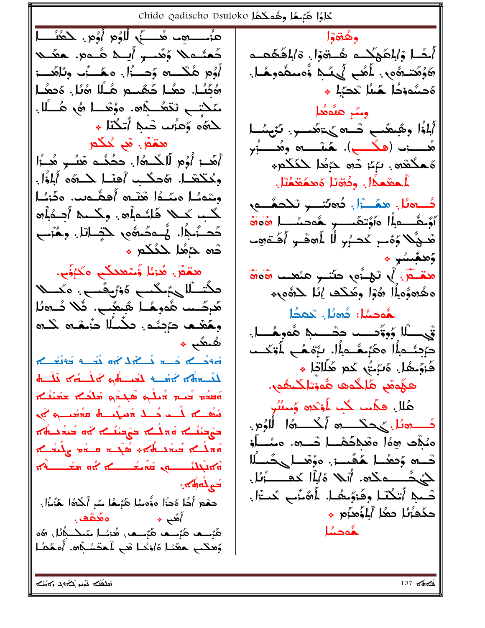كَاوُا هَبُمهُا وِهُمكْهُا Chido gadischo Dsuloko وهُبْهْوا كَمْشُـٰه لَا وَمُنْـبِ أَبِـٰهَ هُـٰدُهِ. ـمعَـٰــلا أَمحُــا وْ/امْجَكْــم هُــقوْا. وْ/اهْهُمــم أُؤم هُكْسِهِ وَحِسْرًا. مِمْسَنُو وِتُلِّغُسِ: الْمُؤْهَّنَــْ1ْ10 مِنْ لَمْلَــرٍ لَّــدٍ فَاسْتَمْعُوهَــلَّــ هُحِشُودُا هُبِيُا تَحَرُّدُ ﴾ سَّكْتِبِ تَغْضُــِكُلُهُ. دَوُقْـــا هُي هُـــُلَا. ومًى عنَّفَعُل لِهُ وَهُوَاتَ شَيْئًا ﴾ [أَسْكُنَا ﴾ أَبْلُؤْا وِهِّيْتُفْبِ ثَــْهِ يُّتِكُنْـــوِ. تَوَّيْنُــا مغقق. هي مُكم هُــــــــز، (هــُـــــــــ). ـمَّـنْـــــــــه وهُـــــــزُمِ أَهَٰــز أُوُمِ لَّاحُـــهَٰا. ححُكُــه هْنُــبٍ هُــزُا هُ مَكْشَرُهِ . تَبَّدُ دَرَه جَرْهُا حَكَكَمْ \* وكَكْشَا. وَحَكَّــب أَهْلَا كَــوَه وَ أَبْلَوْلَ. أحشمأل ودُقائل وَمحَمَّقَحُبْل. ومْعَصُلِ مِمْسُوْلِ هُنْسُو أُهِهُبِعِينِ. وَكَرْسُلِ لكب كملا فَلْهُوأَن وكُمط أَصوْلُوه كُصِبْكِمَا. هُـعكَمِثَمِ لِكَثِمالَا. وهُنْب هْـجُلا وَهُــرِ كَحـُرُر لَا لَمُحقَــرِ أَكَـتَـوهِــ دُه حَرِّهُا حَكْكُم \* ۇھ**قى**سُى ھ هقعَ. هُزئا زَسْعِدِكُم مَكَرْنُمٍ. هغة: أَبْ نَهْ أَمِ حَتَسْرِ هَاهِمَ مَعْمَد الْمُحَمَّدَ ىڭشىلل<sub>ىڭ</sub>بىگىپ ةۆت<sub>ت</sub>قىپ ، ەكسىلا هِ هُوَوَمِلًا وُوَا وِهُكُفَ إِمَّا كُرْهُوبِهِ هُرِكَــب هُومِــُـا هُبِمَّبــي. فَلا كُــهلُا هُوصِمًا: دُرُومًا. تَعْجُلُ وهَقْتُ دَرْمِتُتْ. مَكْتُلًا دَرْمْتُه كُلُّه قَي الله وَوقُف من حفْسِيهِ هُومُ ال ھُىگُى پ دَرْجِئُــدِ)ْا دَهَّرْمُــدِ)ْا. بِرَّة هُـــ أَوْكَـــد یک بنائن سے ملک کا کا کہ اس کے بیٹ کی هَزْوُحِمَا. ةَتَبْشُ كَمِ هَٰلَاتِا ﴾ للكنة الالمسائل للمستفل محتائلا الألها المنفس هِ هُوش هَا گُوه هُوزا كُنْهُمْ. مكنْتُمْ مَكْتُمْ مِكْتُمْ مِكْتُمْ مِنْتَ وَمَنْتُكُمْ ھُلل فجَامت بُکت اُوْتَدَه وَمِيلُوْتِ مَعْ ہے کہ دُنے وَسِیْسِتہ مَعْدَ ہِمْ کُو ئُــــــــومُّل: كَـحِكْــــــوه أَبْكَــــوهُ اللَّهُومِ. بالمستأملة الملائح المستمر المستمر المستفقية مُبْلَد وهُ ا مُعْمَدُهُـــا تَـــــو. مِنُـــأَوْ محد عنفر ومشد محتركه معناه منعت محفاءة تْـــدە وَحَدُّــا هَقَـــز. ەوْتْنــانْــمَـــُلَّا برش سخته میڈ بڑے شامنے میں شام کرایڑے لِّكُوكُ مِسْمَدْهُ، أَنْكُمْ وَالْمِلَّا جُمْسِيَّتُلْ. **می جای راه کی** ب تْــٰمِ أَتكْنَـا وِهَوَٰحِمُـا. لَمَمْنَى كَنْـتَرا. حقَمَ أَحَا وَحَزَا وَوَّوسًا هَبَّكُمَا سَرِ أَكْثَرُا هَنَّبَاً. حكَفَّرُبُلِ حِمُّا آَبِلَوُهِ وَمِنَ \* أهُب ، معُكْف . هَزَسِم هَزَسْمٍ هَزَسمٍ. هُزئا مَنْكِيهُمْلَ. هَء وَهكَبِ حَقَنًا ةَاوَيُنَا هَبِ لَمَصَنُبِهُمَ. أَهمَمْنَا بَلْيُلْكُمْ يُهُومُ لِكُمُوْمٌ بِكُمْ الْمُسْتَدَمَّةِ بِمَا يَسْتَدَمُّ

 $107$   $\pi$ *n* $\frac{6}{5}$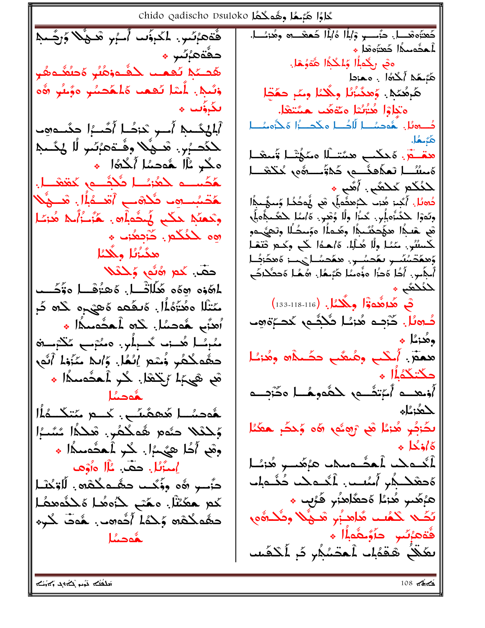كَاوُا هَبُمهُا وِهُمكْهُا (Chido gadischo Dsuloko فُقْهَبُس, لِمُدْوَّس أُسْبُر شَــوْكًا وَرَضُــدِهِ لْمَحْمِيجُا جَعَتُوهَا \* حَقَّةَهَارَسُن \* ەڤى رېڭماُ! وَالْحُلَّا! هُقۇهَا. هُصِبُهِ تُقِعَبُ لِكُمُوهُبُ وَصَلَّاهُمُو هَبُمَهُمْ أَكْثُلُ . معنط وْتُبِهِ. أَيْتَا تُعْمَى كَالْمُصِيُّرِ دَوْيَتُرِ ۞هُ َ هَٰٓ هُمَّدٌ. وَهَدَّنُوْنَا وِهَٰٓ هَٰٓ وَمَّعٍ حَمَّتَا ىڭۇپ ھ ەتداۋا ھُتُرُسًا مقعَّد جِسَّتَعْلَ فُــِيَّانَ ـِ هُوَجِبُنَــَا لَاجُــَـا وَكَجَــَزُا وَكُرُونُــَـا أَبْلَهُكُسِيا أُسَــرٍ تَدَهُــا أُهُسَــرُا حَمَّـــوقِ ئ.هُا. لْحَكْصَرُم. هُــوْثُلا وقُــتَاهرُكُـمْ لَا لِكَــْمِهِ مقصّ ، هَ حكّب مسَّتَالًا مِنَهُنْتًا تُسِعْدًا مكْبِ عْلَا هُدْمَسْا أَحْدُهُا ﴾ هَمسُلًا تَعَدُّفُونَ صَدْقُوتُ مُتَحْسَلَ هَدَّسَـــم حَمْرُسُـــل مُحَجَّـــم، حَمَّمْـــل. للنُكْم كَلاهُبِ. أُهُبِ \* حَصّْبِـــوم كُلاهَـــم أقصـــهُلُم هـــوكُلا دُوبُل: أَبُد: هُنِتْ حَزْهَقُمِلَ هُو فُوجُدًا وَسَهَّيمًا! وتَحْمَلُهُ حَكَّى هُمْشُوبُلُهِ. هُنُسْأُلُكُ هُزَسًا وِنَهُوْا ۚ خَذَّ ثَمِيْنِ ۚ جَدَٰرَا ۗ وِلَّا ۖ وُهْقٍ ۚ وَٱسْا ۖ خَعَمَدُهِ أَيِّ هْمْ هْبِ\$ا هِجُحِمْنُيْهِ! وَهُـٰهِ}ا هوَمِيضُلا وتَهِيْجُو ٥٥ لملكم. كَاتِمْنِي \* كَسْتُبِ. مَمْا وِلًا هُـلَها. هَ/هـهُ! كَبِ وكَــم قَتَهْـل مكُنُرُا وهُكْنَا وَهِمَتَسُبُسِ بِمُصَبِّبٍ. هِمُصَبَّلِيُ مَعَنَدِكُمْ الْمُسْتَدِينَ حَقٌّ. كُمْ هُنُّو وُلْحُلًا -أَبِجَٰسٍ. أَجَا هَجَٰا هؤُمِنًا هَبُّبِعًا. هُعًا هَجَعَكُرَكَ لمَوْدِهِ وَوَدَ هَٰكُلاَتْـــلْ. وَهِتُوْقَـــل وَقُصَـــه **ثَى هَٰدَهْدَوْٓا وِيَكْسُاْ. (118-118-13)** مَتْلًا ەھْتَۇلُمَّا. ۇىگىمە ۇھىرە تكە كَر صُحمُل. كُبْصِ هُنسُل شَكْتُمِ لَحْصَبَة هِ أهدَٰى هُءَدسُلَ. ݣُلُّه الْمَدُّوسكُلْ \* مُبْشَا هُــزب كُــزِلُر. مِنْتِنِــ كَتْتِرْــزه وهُذْئِكُمْ \* هعقل أيكب وهُبعُب حصُّبه وهُزْيًا حڤَمكْضُرِ وُسْعِرٍ إِنُمُّلَ. وُ/بِهِ مَنْوَمْ أَنُّهِ حكتكهأا \* هَمْ هَيْءَا رُكْلُاً. كُمْ أَحْصَدُهُ \* أُفعد أُكتفُ مِ للمُفوهُ المَّوْسِد المفودسا هُوصُلِ هُههُمُــ ). كَـــم مَتكَـــهُلُّا لمحناء لَكُوْبُرِ هُوْمًا هُمْ رُوهَهُمْ وَهُ وَحَكَّرٍ هَقَمًا وَحْدْلًا حَثُوم هُوحُكُمُو. مْحَكُمْ! يُسُبُرُا كافكا \* وقَعِ أَحًا هِيُمَ}. كُمْ أَهْدُهما هُ أنْسمك أهضُمسها هزُهُنب هُزئنا إِسْرُبُل. حقَّ. عُلَّا هِرُوْهَا ەَدىھْكىگُر أَمْنُىت. كَمُّدەك دُنُّەلم دَّىبِ ۞ه وذُكَــب حصَّــمكمْهو. لَّاقِكْسًا هزْهُىبِ هُٰزْءُ هُحَمَّاهِ زُبِ فَرُبٍ \* كَعِ حَكَمْتَا. مَمَّتَ لِأَوْهَا وَلَحْفُوهَا يَّكُلا كَلْعُبْتَ مَُلْحِبُنِ مُحَكِّلًا وَثَكْتُوهِ، حڤُمكْكُمْ وَحْدُمُ أَحُوهب. هُوَتَ لَكُومُ | فُقَعَبُنُـبِ ۖ حَأَوُّــقُهِ أَلَــ \* هُودِيُنَا ىكَحْلُ ھُقْمُلِ أَحْصَبُمُ مَ أَكْفَس

بَلْهُمُكُمْ لَمُوْمَ بِهُمْ بَلْقُولُهُمْ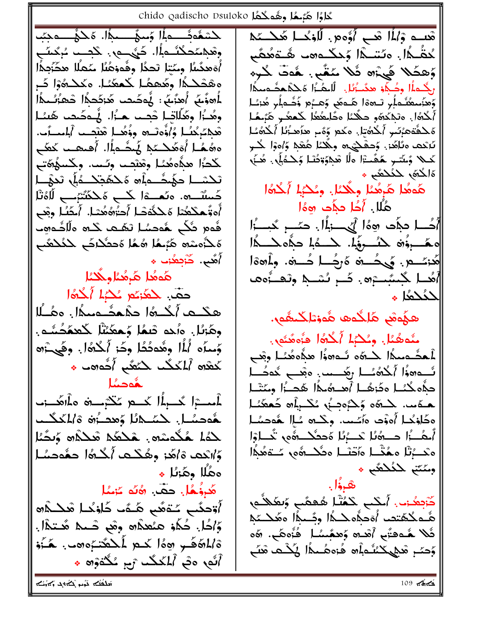كَاوُا هَبُمُا وِهُمكْهُا Chido gadischo Dsuloko لِمْتَعُوثُـــوَلَمْ وَسَهْـــمِدًا. هَلَيْـــوَبَبَ هْبَ وَ}ِمَا هُبِ أَوْهِ مِ. لَامْكُمَا هُكَسَمَهُ وِهْدِمْمُحكْنُــهِ/ْا. حَيْ مِهِ . كَجــبِ مُرَمَّسَيِ حُقُــدًا. وَتَسَــدًا وَحكـــدەت شَــتەمُعََــح أَةهدُمُا ومَيّتا تحدُا وفُدوَهُمُا مَكلًا هكَجَدًا وُهكُمْ فَبِيَّةٍ ثُلا مُنْقُبٍ. هُوَتَ لَحُوءِ وَهْدَكْمًا وَهُهِمًا كَعِمَّنَا. وَكَكَمُوْا ضَرِ رِيْكُماْلِ وِجُبَاوِ مِجْجَانُلِ. لَلْبِعُجُلْ مَكِنْدَهِجُدِمِيدًا لْمَوْمَعٌ أُهْبَّعٌ: فُوَهَّىت هُرْهُجِمَّا شَهْزُسُمَّا وَهَنَسْتُنْسَلُو تَــ30 هَــدَى وَهــرُمْ وَضَـٰـدِلُو هُـْـنَــا وهُــُ;ا وهَـُلاتِــا حْجــــ ــــُ:ا. هُــوصَّحـــ هَـنـُــا أَحْدُهُا. وتَمَكَّمُو حَدَّمُا وَخَاجَجُعًا كَعْجُبٍ هَٰهُمَا هْجَنَّہُكُنَّا وُٱؤْدَلْتُ وَذُهُــا هُبْتِــب ٱلْمِنْتُو.. ەَ كَقْتَحَرُبُسِ أَكْمُتِلَ. وكَعَرِ وَوَّسِ هِزَهِـزُبُلِ أَكْمُوْسًا تَرْبَعُكُ مَتَاهَدَ. وَحَفَّلَتَيْ: وِلَّكُنَّا مُعْظِ وَاهْوَا لَكُــرِ وشُهْا أُوْهَٰكُمُمْ يُبِدُوبُهُ. أَقْبَعْتُ كَعَبِ كَــلا وُخَتَــرِ هَقَــتْ( هلْ هَذِوَوَتُنَا وَحَــٰهُ)ًى. هُــَى لَكْتُرَا هِدُّەهُمْا وَهْتِصَ وِنَسَ. وِكَسَوُهُت ةالحُمَّى لمُنْحَشَّى \* تَكْسَّـا حَمُّخُـــوأُ, مَكْعَجِّكَــوُلِّ تَحْهَــا هَمعُل هَرمُنا وِهَٰذا. وِسُكَيْلِ أَجْدُهَا كَسْتَـــره. وتُعـــدْا كَـــح مُحْكَّتَبْـــح لَّاهُتْا هُلًا. أَحُل مِلَم هؤا أُه تُـمكَعُنَا مَكْفَصْا أَحْرُهُ مُنْدَا. أَحَصُا وِبْحِي أُصُّـا دِمَوْت رِهِهُ! أَيْنَـــزِيُّا. حَسَّــ كَبِـــزُا فْەم ئْكَى خُەدىئا تْھَـْھَـ كْـْھ ەلَّاشُەھِـْ 0هُـــرُونَ حَنُـــرَوۡ}. حَـــدُ} حَذُه حَـــدُا ەَخُومْە هَبُـمُا ھُـمُا ەَحثَـٰائَــ حَـَٰـٰـٰـــْشَـٰـٰ مَـٰـٰـٰـٰـٰـضَــِـ هُدَكَـــمْ . وَيَـــدُهُ وَيُــــا حُـــدَه. وِلْمُعَهَّارَ أُهٌبِ. كَأْبِعِكْنِ \* هُوهُا هُرِهُمُاوِيلُكُمُا أَهُــا كُمِّئِيـــْرَهِ . كُــرِ نُسْـــدِ وِنْـفــزُوهــ حقّ حَعَّنِهِ حَكْمًا أَحْدُا حدُحمًا \* هكــم أَحْـــهُ احكَــمعُــمسكُ ا. مصُــلًا هِ هُوهُمْ هَٰلِكُوهِ هُوزَالِكُنْهُمْ. وهَٰزِئل واُحد ثَنعُل وَحفَّنْنَا كَعجَمَٰحُشَد. مْدَهْمُلْ. وْكَبْلُ أَكْدُهُ ا فْتُوهَدْي. وَسِدَه ٱلْمَا وِهُدَدُهُا وِدَ ٱلْحُدَّةِ . وَفَيْءَ ٥ أهضُمبدًا للبهَم نُبوهوُا مِدْمَمُنا وقِب كَتْتُهُ أَلْمَكْتُ لَكْتُبُ أُدُّهُ ﴾ تُـــەھۈُا أَكْـُهُـُــا رَهَــــب وَهْـــى كُـُدكُـــا مُوصِيُا حذَّه كُنُا هَدَّهُا أُهِـهُـدًا هُدَّا مِنْتَـا أمعةِ الحُرِماُ الحَسِمِ حَكْرَسِهِ وَالْهَيْتِ هـَمَـٰ. لَـٰهُ٥ وَلَـٰٓءُدِــُو يُكْـِرِلُهِ كَعِمَّـُـل هُوصُلْ. حَسَّـهْلُا وُهجْرُهْ وْالْمُكَسَّـ وَكَافِكُمْ أُوْفُدُ وَأَسَّىبٌ. وِكْنُدُو سُلًّا خُوصِبُنَا ۖ لْحُمْلَ هُكُمْتُمْ. هْلْعُلَا مْلْكُمْ وْبَشْدًا أَبِصُــزُا حـــوُنُا كَـــرُنُا وَحفُكــوُور تُـــاوْا مثبرتا ممثل متشل متحل مشمي تحفظ وَالنَّحْمَ ةَاهَٰ: وهُكْمَا أَكْسُوا حَقَّوْصُلَّا وسُتتى لمُنْلفُ \* ەھْلَا وهَزْىُل م ۿۥۏ۠ٳ هُدِوُهُا. حقّ هُنُه مُنسَل كَرْبِعُنْ فِي الْكُلْبِ الْكُفْتُلْ هُدْهُبٍ وَتَعَلِّلُكُمْ وَ أَوْحِئَبِ عُـٰٓءَمُبِ هَـٰٓءُٮ خُلوۡكُـا مُحْــٰٰٓءُ۞ هُــوكُهُتم أَوْحِدُوكِـدُا وِجُــدِدًا وهُكــمَدِ وَ}كُل. كُلُّو عنُعدْ؟ وقع كَــدْ هُــتذْأل. ثَلا هُـودَتَٰبِ أَمْـرِه وَمحَمِّسُـا ۖ هُزُوهَبٍ. وَه ةالمَاهَبِ وَهُمْ كَنْ الْمَعْنَةِ وَمِنَ حَمْزُوْ وَّحَسُرٍ مُعَيَّكَتُنَّدَيْهِ هُزَهِ هُنَا إِنَّكَسَ هُنَّـ الَّهِ، وقَع ا*ل*ْكَكَّب <sub>كَتْ</sub> كُتْمُوْهِ \* بَلْمُلْهُمْ لَمُوْمَ بِهُمْ بَلْقُلْمَ  $109 \times \pi$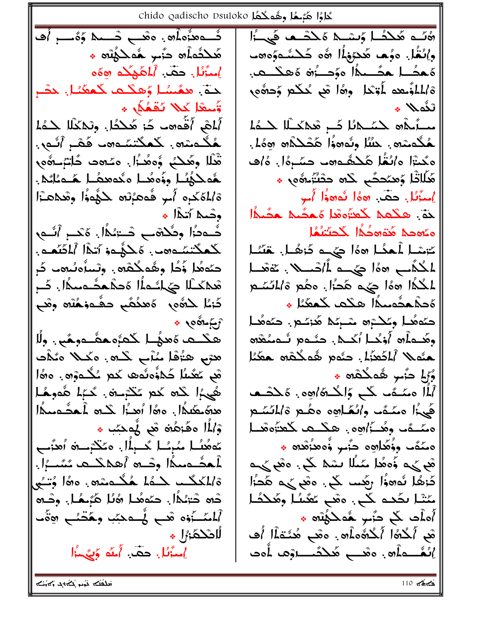كَاوُا هَبُمهُا وِهُمكُمُا Chido Qadischo Dsuloko ثَـــوهنُّوماً و. وقب تَـــمه وَوَّـــــرٍ أَف امُنَــم هَٰــدُـــل وَبِــثَـــد هَــدَـــم فَيِــزَا وِيُنْقُلُ. ٥وُهـ، هَٰذِوَٰذُلُ ۞٥ كَكْشُـهوَ٥٥هـ، هُكْثُمْلُهِ حَزْبٍ هُمَكَهُلُه \* إمزُنُل. حقّ ألمَّهكُم وهَ هُهجُما هجٌمِيها وَوُحِدُوْهُ وَهكْمِي. حة. معُسُل وُهكم كَعِمَدًا. حصْر هُ/لمَلَوُّبِعِدِ لَمُوْتِدَا وَهُمَّا هُمْ يُحَكِّعِ وَجَهُّور وَّسِعْلِ كَلا تَقْمُلُهِ مِ تگەلا ھ أَلمهُم أَقُوهم هُ: هَٰذَهُا. ونَمْكُلُا حَـهُ! مسأمةَ حسَّى اللَّهُ عَلَى مَعَامَدُ الْمَسْمَدُ هُكُمنْدَهِ . حَسُّلَ وِنُوهُوْا هُشْكَلَاهِ هِوْمًا . هُگەشھ. ݣُمْكْتْسُەھە قُصْرِ أَلْتُمْ. تْثْلَا ومُكْبُ وُهِمْنُوا وَحَدِدٍ كَاتَبِــةُو ەڭتْزَا ەائْغَا ھَكْھُەھە ھِئىرەْل. ەُاھ هُمكِهُُما وؤُههُما معُمعهُما هُـمانُكا. هَٰلَاتْا وَمئحصٌ ۖ ذَٰه حثَنَّاءهُ ﴾ ة/لمَكَّرِه أَس فُوعَرْتَه كَثْمَوْا وِتَعَمَّدَا إمثَرُّلْ. حقَّ. 3% ثُودُّا أُس حَةٍ. هكْمُمْ كَعَتُوهُمْ وَحَقَّيْهِ حَصَّمُ وصْدِ أَتْدًا ﴾ كُــودُا وِصُٰلَاهَـــب كَــْتِنُكُلُّ. هَنْـــرِ ٱنَـُــعِ وكوحط هذووكما كحننتها سَنْمَا أَهْدًا هَيْ أَهْمَا لَيْهَا. هَنَّمَا. لْكَمْكْتْسُوەب. ەَجْرُومْ أَتْدَّا أَلْمَتُمُو. حَمَٰهُمْ ذُكُرْ وِهُمَكُمْهِ. وِتَسَأُمَنُنَّهُمْ كَرِ لمحْدًى حوهُ! حَيْ؎ لِمُاصْلِهِ. تفقما هْدْكْلًا صَلْحُمْلًا هُدْهَشْدْمِدًا. كُخْ لمَحْمًا هؤا كَهِم هَدُا. مِمُع وْلِمَتْتَمِ أَهْدَاهِدُه مِلَّا هِكُم لَكْمِعَيْلِ \* كَنْنَا لِحَدُّهِ، هَمْحُكُم حَفَّـهِ مَعْنَه وَمْبِ حَمْمُط وَعَكْتِرْهِ مُسْبِئَةً هُزْعُتُو . حَمْمُصَلًّا وهُــولُمس أُوْحُــل أَحُــــمْ . حصُّـوم شُــومُهْرُه هكْــمَا هَمْهَــا كَمْرُه مِمْــومِمَّــى ولَّا هتها هَنُوهَا مُنْ بِ كَلْهِ. مَكْلًا مَكْلُف هَنُهِ ﴾ [الأَهْلَىٰ: حِنُومٍ هُوكُهُمْ هِعَدًا، هْمْ عُعُمُلْ حُمْؤُهِنُوهَ كُمْ عُكْمَوْنَ وَهَٰا أَوْرَٰلُ حَزْمَهِ هُمَكُمْهِ \* أَلْمَا مَمْكُب كُبِ وَالْحُدَّةَ اللَّهِ مَكْتَبِ هُيمُ! لَاه لَمو تَكْرُبُهُ. تُمَمِّلُ هُموهُمْ هدَهُ حَمْدًا. وَهَا أَهْدُا كَلَّهِ لَمْ هُدُومِهَا كَيْدًا مِمْكُ والْعُلِّينَ مِمْكُمْ وْالْمُنْكُمْ وَالْمَا هَ هَٰذِهُ هُمْ يُهْدَيْب \* مِمْكُوبٍ وِهُكْرُامِهِ وَهُكْلِمَا لَمُعَتَّوَهُمْ ا مَمَّمَّت وِؤُهَّدَاهِهِ حَزَّبٍ وُّهِهَزُهْدِهِ ﴾ كَمُعْشَا مُبْشَا كَسِيلًا. مَكْثِرَسِيْهِ ٱهْتَسِي مے کوہ . کے ممتع اللّٰہ اللّٰہ کوہ کے لوگ أهدُّ عبدًا وتَّـــهِ أهلكـــم تُسُّـــرًا. ة/لمَكَــْــ لَــهُـهُ هُكَــمِنْتِينَ وَرَهُ ۚ وَتَــُـهِي دْه دْ:نْݣَالْ حَمّْمْلْ هْلْلْ هَبْكْلْ وْصْه مَتْنَا بِحَدِ كَبِ. وَهْبِ مَعْبُدا وِهَكْدًا أَلْمَنْـزُوْهِ هُــــهِ فُـــمَحْبُ وهُنَّــْبِ هِأَمْــ || أەلمك كى دَّىر ۿەللۇتە \* َّفِي أَكْدُّا أَكْدُّەءُ». ەقْعِي هُنَّتَمْلَلِ أُف لُاحْكَكُرُ لِ \* إِسْتَمَالِ حَقٍّ أَسَهُ وَيَهْدَأَ 

بَنْ الْمُلْكِمَ لَمُ مِنْ الْمُلْكَمَةِ مِنْ الْمُلْكَمَةِ مِنْ الْمُلْكَمَةِ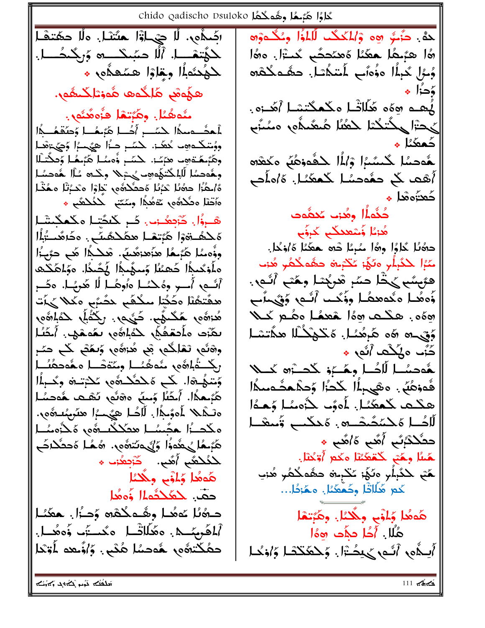كَاوُا هَبُمهُا وِهُمكْهُا Chido gadischo Dsuloko اضَكْمِهِ. لَا حَيْحَاوْا حَشَيْبًا. ولَا حَمَّتَهُـا حَدّْ. حَزْبُرٌ وَهُ وَالْمُكَكَّبِ لَلْلَوْْلَ وِيُكُووُو هَ احْبُحُا هِعَمَا هَمْمَحِصَّ مُحْزَا. وهَ ا لِحَهُجُدُوبُاً و**جَ**اوْا هِمُعَدُّورٍ \* وُمِرًا كَبِمًا وَوَٰوَى ۖ أَسْلَاتِ ۖ حَقَّـهِ كُـٰقَتِهِ وُدُّا ﴾ هِ هُوهُمْ هَٰلِكُوهِ هُوزَالِكُنْهُمْ. لُمِعِيهِ مِهَم هَٰكَلاَتْها مِكْعِكْتِسْها أَهَيْزِهِ . مُدَهُمُا. وهُبَّتْهَا فَزُوهُنَّهِ. جثَّنُوه مِهْمَعْمَةُ لَمَثْمَا لِمَتَكَنَّ لِمَتَكَمَّ اتَّصَرّ أَهذُ وسمَّا حَسَّرٍ أَحُسا هَرُهُا وَحَنَّفَهُ وَٱ وؤسِّكُموم مُعَنّ. لَمَنْهِ دَرُّا هِيُبُرُا وَجَيْءَهَا كُمْكَمُا \* وهَّزْتُمْتَةِ مِنْ مِنْ الْمُسْرِ وُّوسُا هُرُهُا وُحِكْتِلًا هُوصِمًا كَسَبُرًا وْالْمَا حَقُومُهُ وكَعْدُه وهُوصُمْ الْمُكْتَكِمُوهِ بِهِجْمَعَ وَكَنْ عَالَمَ وَهُوَ الْمُوصَفَةِ. أَهْمَا لَمْ حَقَّاحِسًا لَكَعْفَتُا. ةَاهلُاص ةُاعْدًٰا حَمُّلْ كَبُرُا هُحِثَكْمُو تَجْاوْا مِكْبُرَّا مِعْذًا كَعتَوهُا \* هَ تَصْلُ مَثْلُاهُ مِنْ مَعْدًا لَّا مِنْتَمْ مَنْ لَكُلْحُمْ \* كُثُماُ! وهُنِ كَعفُوت ھُـِرِوُّا . كَرْحِعُـْ وَبِ كَلَّكَتِـا مكْمِكْتِتْ ا هُزئا وُسْعدكُم كَرِوُم ەَ كَمُّةْوَا هُبُتْهَـا مَمَّكْمُبُّى. ەكْتْمَتْبُوْا حدُمُل كَاوُل وِرَهُ| مُبِيْل دُرِهِ حِيَّيْلِ هَ/وَجُلِ. وِؤْمِنُا هَٰٓبُـِهَا هٰٓزَهِ; هُـٰٓدَجُّا هُـِ حَيۡـٰٓ;ا مَبُرْا لِكَبِلُرِ وَتَهَٰذٍ تَكْثِيرَةَ حَقَّوَكُمْرٍ هُذِب ەلُوْكَىجاْ خَعْنُا وُسِهَّىجاْ لَمُحَْدًا. ەوَلمَكْت . وعَهْ لِمَعْهِ مِنْ الْمَسْرِ صَلَّىٰ الْمَسْرِ صِنْعِيْهِ مِنْسَمِيْهِ عَلَيْهِ مِنْسِيْهِمْ أَنَّــمِ أَــــرِ وَهُـكْــا هُوهُــا لُا هُرَيْــا. هكَــرِ وَّەھُــا ەڭدەدھُــا ووَّگـــا  $\int$ لَــْمِ وَقِيْــالَـــعِ هفَتهُنَا هکُدُنا سكفَ حكَسَنٍ مَكَلا كَلَتَ هُاهُ، هَكَمْشٌ، حَيْمٌ. حَيْثُمُ هُمُوا مُ 2009. هكت روهُ/ هَعْمُهُ وَهُمْ مَسْرٌ لطَّرْت مأَتقفُكِ لِكَالِمُونَ لِمُمَعْنِي. أَيضُلْ وَفِي وَهُ مَ مَرِهُمُ لَ مَتَحِيْكُمُ الْمَحْتَمَاتِ مَعَا وِهْنُو، تَعْلِكُو، بْغِ هُزْهُو، وَيَمَّتْ لَكِي حَتَّـرٍ دَّبَ وَيُكْمَدُ أَنَّهِ \* ركَّــتُهْلِقُورٍ مُنْوَهُـــا ومَنْوَكَـــا وهُوَجِفُنُــا هُوصُط لَّاحُط وِهَــَمَ ذَكَرَتَهُ كَــــلا وَسَمُ هَا. كُلّ هَ حَثَفَ هُ مِ حَثَبَتْ وَحَبِمُا فَوهَهُمْ. وهَي أَلْمَ كَدُرًا وَحِدْهِ مُحْمَدُ هَّبُــِمَدًا. أَيضًا وَيبَّ هِ وَقَيْمٍ تَشْــِفَ هُوَجِيبًا. ھكىم كَمِعَنَا. أُووًى كَرْومُا وَهِدًا ەنىڭىلا لمُووَّىدًا. لَّاحُـا ھِيَـــُزا ھئومِنْنے وَي. لَّائُــا ەَحْمَّصْتَــە. ەَحكَـــى تَصْعْــا ەڭجار مجَسَا مەڭگىگە ۋە ئەشل َ حَثَكُثَرُ*نَّ*ى أُهُّى هَ/هُـُـم \* هَّبُـمُّا يُـهُمْ. ﴿ وَلَا يَكْسَوْا إِنَّهُمْ لَهُمْ مَثْلاتُ هَمِنْا وهَبْنِ كَمْعَكِنْنَا وَكُمْ أَوْكُنَا. للخُلْفَ إِمَّى الْمَرْمَنُونَ \* هَٰٓتِ للنَّبِلُرِ ءنَّهُۥْ مُكْبِيةَ حَقَّدَكْتُو هُـٰٓتِ هَمعُل وَلَمْوِ وِلْمُلْمَا كَم مَلَاتْا وحُمْعَيْل مِمْرْدًا... حقّ حَفَدْ وَاللَّهُ وَاللَّهُ دەُنا مَەمْل وھُدىڭگە وَدُرُا. ھمَنْىل ِهَمَعَلَّا وَلَمْنَى مِلْكِئَلَ. وَهَبَّتِهَلَّا أَلمَفُوبِهُـــمْ. وهُلَلاَثْـــل ومُّــــزَّب وُوهُـــل. هُلُّا. أُحُا حِكَم وهُ! حفُكْتَبُومِ هُوصِبُا هُنْبٍ. وَٱوْۡىهِ الۡوَيۡدَا أَبِـدُّهِ أَنْـمَـٰـٰٓءَا بِهَـٰـٰٓءَا وَالْحَمَـٰلَ وَالْحَمَـٰلِ وَالْحَـٰلِ بَعْلِهُمْ لَهُمْ الْمُؤْمَرُ مِنْ الْمُؤْمَنَ  $111$   $\pi$ *th* $\pi$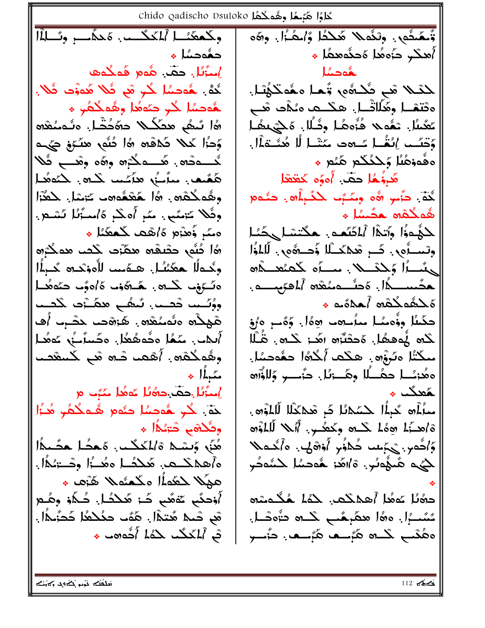كَاوُا هَبُمهُا وِهُمكْهُا Chido gadischo Dsuloko وكمعَنْدا ألمْكُف، هَدَّمَدٍ وتُطَلَّا وَّمَعُشُوبٍ وِتَنُولًا مَكْلُّطٍ وَإِمْطُرًٰا ِ وَهُو أُهكُر حَزَهِ هُل هُحثُه هِمَا ﴾ حڤوحسًا \* إمزُنُل. حقَّ. هُوم فَوكُوها ه دممًا للسَلا مَع شُلْشُور تُعا معُمتكهُنَا. نُدُّ. هُەصمُا حُر مْعِ فُلا مُدوْد فُلا. هثتف ومَكَلاَثْ). هكــم مُكْت شَب هُوصُل كُر حَدَهُا وِهُوكُمُر ﴾ هُا سُعُى مدكَـــــــلا حمَّدُ حَمَّـــل مَسْمَعُه مَعْمَلُهِ. تَعْمَد فُنُوهُا وِثْلًا، هَنْ مِعْمَا وَحَزًا عَملاً ضَافَتِهِ شَا ضُفَىٰ مِنْتَوَىٰ حَيْثَ وَّدَنَــب إِنْغُــل مَـــ90 مَنْـْــل لَّا هُدَّــة،لَّال ئَــــەدْھ. ھُــــەڭبُرە وڤوە وڤـــــې فُلا ەفُەزەمُىُّا وَحْكُكُم هَىُمْ \* هُمُم، مأمُّ هُلَّمَ مَا كُلُّهُ. كَمُوهُا هُدِوُٰهُا حَقٌّ. أُووُه كَعْفَا وشَّەكْتْمْمْ. 3 كَمْعْكُمُومْ تْزْسْلْ. كْعْزَا كُمْ. حَزْمِ ۞ُه وَمَّرُم كَكُرِلُهِ. حَتْمِهِ وثَلا سُبْعَبٍ. مَمْ أَ2م هَ/مِمُّوْلِ تَسْعِ. هُمْكُمْهِ هِجُسُا ﴾ أَحْذُمُووُ السَّلَاةُ ٱلْمُحَمَّدِ بِ مَكْتَسْمًا حَكْسًا ﴾ مِمَّرٍ وَمِنْزِمٍ وَارْقِعِي لِكَمِعَيْلٍ ﴾ وِتَسِباُهِ . كَبِ هُمْكَسْلَا وَُحِيثَهِ . لَالْمُؤَا هُا مُنَّه حصْفُه هكَّرْت كُف همكُرُه وِكُدلًا هِكَنُنَا. هِدَسب لِلْمَوْكِنِ كُبِيرًا يئَسَارًا وَحَكَمَتْ وَمَسْمَدٍ وَالْمَسْتَرَىٰ هدًىسىداً. ەَدئىدىمْعْدە آلمەتبىسە. ەئىرُوْب كەن. ھَـەُوْب ەُ/ەوُب ھەھُـا  $\bullet$  a sha $\delta$  or  $\Delta$  a should be ووُلَّــٰت تَـْفـَـت ِ. تَنھُے مِیمَـٰٓءَت تَلْفـَـت هُهِكُو ونُمْعُوْو. هُزوْها حصْبِ أُف حكْمُلُّ وذُهِمُا مِدُرْسِهِمْ رَوِهَا. وَهُمْ وَرُوْ أَلكت. مَنْعُل مَشْمَلاً. مَضْبَرْتُ لَمَعْنَا لَّكُمْ يُوْهِمُلْ. وَحَصَّرُه اهُدْ كُلُّهِ. قُلْل وِهُمكْمُهِ. أَهْمَد دُه مْعِ كَمْعْصَد مىڭئا ەئرۋەي. ھىكم أىڭدە كەھەمئىل وهُنسًا حصُّلًا وصَّنَّك. حَنْسِ وَلِلزَّآهِ مكرأا \* إمارُهُا.حقّ حدُّمُا هَمُوا مَنْ م كەنگىر ھ حَةً. كُبِ هُوصُمُ حَيُومٍ هُـوكُمُو هُـزُا مِبِزْلُو جُدِيًّا كَسَّلَانًا مَ هُلِكَيْا لَالزُونَ. ةاهنَّا هِهْا كُمْ وِكْعُبٍ. أَلَمْ لَااذْوُه وئَكْلُوم وْتَنْكُلُّا \* هُنَىٰ وَسَسْطِ ةَالْمُكْتَبِ. ةَحْصَلَ حَصَّدَأَا وَٱصُّو، يَجْسَدُ حُمْوَٰرٍ أَوْهُولٍ. هَٱنْحَمَلا هأهمكــم. هَكْسًا ههُــزًا وصْـرْكُما. لِّكُيْمَ هَُبُهُوسُو. ۞ااهُذ هُوصِمُل لِكَبُوصُو ههُلا لمعَمْدًا مكْعِنْدِلا هَٰزَمٍ \* أُوْحِكُم مَّەهُم كُمْ هَٰلِكُمْلِ. كُلُّوْ وِهُـْمِ دەُنا ئەھْا أھىلىگى. خەلم ھگەشە مْعِ شَـٰمُ مُتَـٰمَّاً. هُمَّـ حنُـٰكَمُّا خَصَّكاً. مُمْسِرًا. وَوَٰٓا مِكْرِهُبِ ݣُــْ دِرْوَهْـا. تَى ٱلمَّكْتَ لَهُمُ ٱتَّدْهَبَ \* ەھُكىم كىلە ھَبُسى ھَبُسىم. ھُنسىر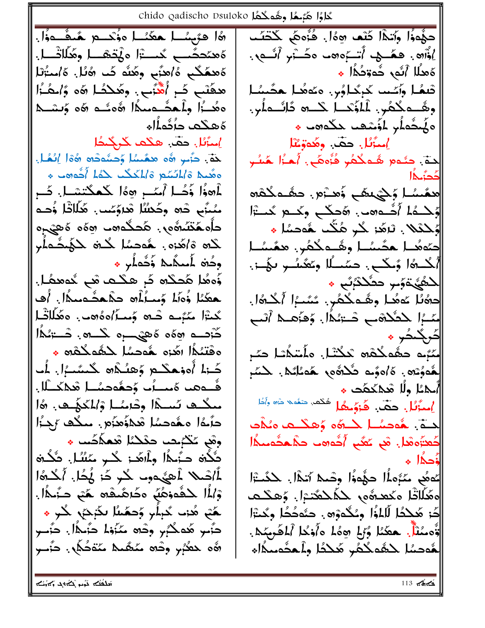كَاوُا هَبُمهُا وِهُمكْهُا Chido gadischo Dsuloko هُا هرُمِسُــا همَّنْــا هوُنْــــم هُــفٌـــهُواْ. حَهُووُا وَتَنَاهَ الْهُمَا وَوَالَ. فُنُوهَى كَتَصَّت إِذْْاهِ . هِمَمْ لِي أَتْمُ وهب هَدْ تَهْرَ أَنْسَمِ . ەَھكَكَى ەُاھْبَى وِهَٰدُ كَ ھُلُّا. ەُامىتُرْل |ەَهلَا آَنُم خُووْدُهُ! ﴾ هَفَنْبِ ضَرِ أُهَّْنَبٍ. وِهُكْشًا هُو وُامِضُرَٰا تْنِعُا وَٱسِّب كَبِكَاوُنٍ. مَدَهُا حَصَّنًا ەھُــاْلْ ولْمَــُــممكْل ھُەئــم ھَە وَيْسَــكَ وِهُــوكُمُو. لْمُؤْتَـــا كَـــو دَّائُــولُو. ةهكْم حَاثُولُه! دْهُمَامُ بِاذْسَٰفِ بِذَاءُ ﴾ إسْتَبْلَ حَمّ. هكم كَرِجْهَا إمدَّائل حقّ وهُدوْمُثَل لَّغَةٍ. حَبَّى اللَّهُ مَعَّسُلُ وَحَسَّوْتُهُ الْأَوَّا إِنْمَالَ. لِحَةٌ. حَتَّمَعَ هُمَكُمُو فُتُوهَىٰ. أَحَدًّا حَمَيْتِ ەھُىم ةالمُنَسَّم ةالمَكْك لِكُمَّا أُخُورُ \* لْمَوْا وَّكُل أَمَّــ وَوَا كَمَكْتَسْلَ كَبِّ لاهَمُسُلْمٌ وَحَيْمَهُمْ وَهُدَرَهِ . حَشَّمَكُمْه ممُنَّى دُه وكَمْتُا هُدَوِّمًى ۚ هَٰلَاتُا وُحد وُكْسُهُا أُشُدْهَبْ. هُجكُنِ وِكَسْعْ كَمِنْتَزَا داُه هَٰتَسُوُّهِ . هُدَ دُومت وَوَّه وَهِيْ وَ وُلْحَمْلاً . تَاهُدْ لَكُو هُنَّكَ هُوَصُلُ \* لكە ۋاھُزە . ھُەھسُل كُىڭ لگەشُھلُ**ر** حَدَهُــا هَـمُـسُــا وِهُــمكُمُو. همُسُــا وِدُهَ لَمُعَكُّمِ وَّثَمَلُو \* أَأَكْتُهُ! وُحَكَّبٍ : حَمَّىتُ الْمِتَعَمَّسُو بِهَتَّ : ذَٰہَ مَکْلَّٰہَ کَہِ عَنْکَمَ شَمِ غُمْعَمَاً. الْدْهُيَّةُوَّى حَثَّلاَءُبَّى ۞ لْعَظَمَا ذُوَّلًا وَسَنُلُهُ حَكْلَمْحُوسِكًا. أُفْ حَدُّمًا مَعمَدا وهُـعكْعُرِ. مُنْسَبًا أَكْـدُا. كَتْرًا مَنَّزَمَتْ دَرْدَ وَمَسَرًّاهِ\$20. وَهَكَلاَتْنَا مَّــُ إِلَــٰهِمْــا حَــٰتِكُمَّا. وُهَوَّهــدْ أَتَب كَتْرْسِمْ مِهْمْ هُمْهُمْ مِنْ هُمْ مُسْتَوَجَّدُ الْمُسْتَوَجَّدُ ∣َّكَرجٌدكُو ٭ ەقتىْدا آھُزە ھُەھسا لاھُەڭدە \* مَّبَّد حَقَّدَكْمُه مْكْتْلْ. مأَسْلُمْه حَبْ كَّامُ أَدْفِعْكُمْ وَهْلُمُهَ كُنْسُمُ}. لَمْتَ أَهْدَوُدْهِ ﴾ (وَوُحِد كُلُّاؤُومِ هُدَائُكَا لَكُمْ إِلَيْهِمْ مَدَائِكَا الْمُدَمَّرِ فَـــوهـــ هُـــــأَب وُحـعُوحـنُـــل مْحَمَّــُـللّ ِ أأسلمئل وألم شملكتكت \*  $\left\| \frac{1}{2} \sum_{i=1}^{n} \frac{1}{i!} \sum_{j=1}^{n} \frac{1}{j!} \sum_{j=1}^{n} \frac{1}{j!} \sum_{j=1}^{n} \frac{1}{j!} \sum_{j=1}^{n} \frac{1}{j!} \sum_{j=1}^{n} \frac{1}{j!} \sum_{j=1}^{n} \frac{1}{j!} \sum_{j=1}^{n} \frac{1}{j!} \sum_{j=1}^{n} \frac{1}{j!} \sum_{j=1}^{n} \frac{1}{j!} \sum_{j=1}^{n} \frac{1}{j!} \sum_{j=1}^{n} \$ مىڭى ئىسىلا وتىئىل ۋالمككىگە. ھ جِّيمًا مِعْجِمًا هَدَؤُهَوَمِ . سَكُفَ رَجِعًا لحتة. هُوصُط لحدةٌ وَهكتم وَنَذْف وثَمِ مُكْبُرِينَ حَدْثَا شَعَلَمَتُ \* كَعِتَوْهَا. هُمْ يَعْبُ أَحْدُومَا حَمْهَدُومِمْ! ئَكْة حَنَّىدًا وِلْمَعْظِ حُبِ مَثَنَّا. ئَكْتَ ذحكاله لَمُ اَصْلاً لَمَ يُحَمُّونَ حَكْرٍ ضَرَ لَهُ صَلَّىٰ الْمَحْدَةُ الْمَحْدَةُ الْمَحْدَةُ الْمَحْدَة مُعَهُم حَبَّوماً حَهْدَوًا وصْحِ آتِجْلَ حَكَتْرًا وْ)لَمَا كَحْفُوهُكَ وَحَرَهُنَدْوَهِ هَبْ حَبَّىهَا. وَهَٰلَاتُا وَكَعِدُوْهِ كَلَاحُتَتِهِ ۖ وَعِكْمَ َهَّتِي هُـْمَـٰ كَـٰهِـلُو وَحَصَّنًا نَخْبِـتَىٰ كُـُو \* أَخَرْ هَٰكَٰطُ لَّالَمُوْا ۖ وِيُكُووُهِ . حَثَوَخُطُ وِيُحِبْرَا دَّىبِ هَدكْبُبِ وِدْهِ مَنْزُوْلِ دَّىٰدًا. دَّىب أَوْْدَمْنَلْْ. هكْنَا وُرَّاجِ 20\$، دَأَوْخَا أَمَاهَجِيَكِمْ. ، هُ دَهُبُر ودَه مَكْمَدْ مَنْدَكُلٍّ. دَّنْب لِمُوصِمًا لِحَقُوحُكُمُ مَكْدًا وِلْمِحُوسِكَاهِ

<u>المنابه بالم المرام المرام المرام المرام المرام المرام المرام المرام المرام المرام المرام المرام ال</u>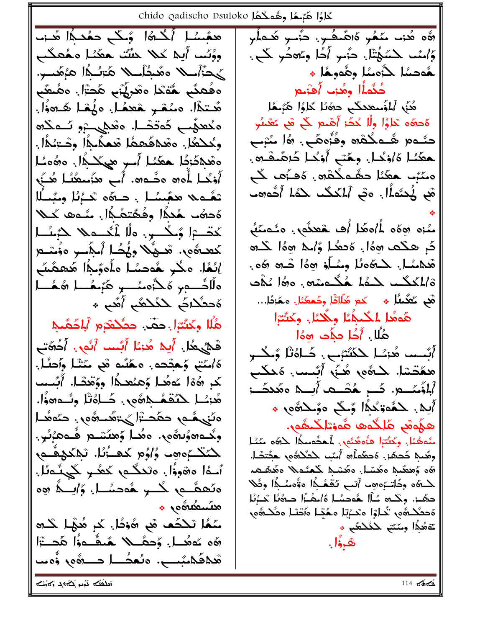كَاوُا هَبُمهُا وِهُمكْهُا Chido gadischo Dsuloko همَّسُا أَحْدُّا وَجِحْبِ حَقُدِهَٗا هُـٰٓتِ ۞ٛه هُزم مُنْعُرٍ ٥٥هُمعُــُرٍ. حزَّمــرٍ هُــدلَٰرٍ وؤتُسا أَبِيا كَيْلًا بِمِنْتَ بِمَعْتَا وَجُعَكْبٍ وَأَسُب لِكَمُوْتَلَ. حَزْمِهِ أَكْلَ وِيُهِكُو لَكَنَّ. حْجَنَّ ٱسْلاَ وَهُدِّأَسَلاَ هَٰـٰٓدُاْ هَزْهُـٰتِ وَ هُدَسُل جُوْمِمُل وِهُومِهُل ﴾ ەفْعنْم ۿَّة ْدَا ەشْرِيْزْم هُجْرَا . ەھُمَّم حُثُماُ! وهُنِ أَقْنُبِهِ هُنَّىٰ ٱلمُؤْسِعِدِكَبِ حَمُّنًا كَاوُا هَٰٓئِمَّا هُـتمْلَ. مِنْعَـدٍ ـعْمِعْـل. مِنْعَـل هَـمِدْل. هَجهَه كَاوُا ولًا خُجَّةٍ أَهْبِعِ كُلِّ هُوَ عُقْبَتُو ەكتتۇب كەتتىل ەقتىمىترو ئىمكت حنُـهِ هُـهكُـهُ وفُنُّوهَــ وُا مُبْب وكلحُدا. 5هُدْهُهُمْ هُمْمُدِمُّا وشَــْزَعْدًا. ـْمَعَنُـٰا هَ/وْخُـا. وِـمَّتَـى أَوْخُـا خَاصَّـْدَى. ەھْكِتْبُا ھَكْنَا أَبِ هِكْكِبًا. ەھْمْنَا ەمئېّ ھطّئا دېھىكتى . ەقبَحا كَم أَوْكُمَا لِمُوهِ وَشَـوهِ. أَبِ هزَمِيهُنَّا هُـزَى هْمِ يُحْثَمُاً!. ٥ڨ ٱلمُكْكَّبِ لَكُمَّا أَحُّهِ هَبِ تَعْدِيد هِمُسُلْ . دِيهُهِ تَدْرُبُلُ وَمُبْسُلًا كَحْمُد هُدْمًا وَفُعَّتْهُدًا. مُنْحَفَّ كَتْلَا مُنْزَه هِهُه لِمُأْهَمُوا أَفْ هُعَدْوَبٍ. هَنُمَنَّكُمْ كَذَّبْرَا وُحُكْسٍ. وَلَا أَخْــوِيْ بِدْيَنَـا كَرِ هِكُمَ مِوْا. وَصِمًا وُامِدْ مِوْا كُلُمْ كَعْدِوْهِ. شَـٰهُلا وِهُكُـا أَبِكَبِ وَفُسْـع هُدَمُمُا. حَدَّەمُلَّا وِمُبَلَّوْ 160 كَـ 30 %. إِنْعًا. دَخْرِ هُوَجِئًا دَاُوَمُجَّا هُجْمَعَتَب ة/لمَكَب لهاءُ هُكَمِنْدُهِ. وَهُمْ يُؤْمِ ەللىشــەر ەلمەھــــر ھەكىلى الىمــا هُم كَعَمْلُل \* لَحَمْ هَلَاتْلُ وَجُمْعَمْلُ. مَمَّرْدًا... ەَحثَلامَ للنُلْتُبِ أُمَّبِ \* ||مَموْل لمُكْتَمُنَا وتَكْتَار وكَتَبْتَوا هُلًا وكتُبْرا. حقٌّ. حفَّكْعْرَم أَبْلَحَقَيْهِ هُلًا. أَحُل حِجَّف هِهُ! قَحْهُ هَٰذَا. أَيِكَ هُٰٓزَٰءُلُمْ أَبَّسَتَ أَنَّهَ ۚ. أَخُمَّتَ أَبُّـــب هُـٰٓئــا لِكَنُّتَبِــ ۖ. كَـاهُتْا وُلكــرِ هُ/مُتَعٍ وَجَهْدَهِ. مَجَّنَّدُ هُوَ مَتْنَا وَأَحِبَّا. همَّتْسًا. كَـرُّە هُـَّى أَبُّــب. ەَحكَـب كَرِ هُوْا عُوهُما وُهِنُعِيدًا ووُتَعَصْلَ أَبُّسِب آباؤُسِّـــمْ. كَـــرِ هُتَـــمَــهُ أَبِـــمْ هَمُدَكَـــز هُزِسًا كَنَفْعُكُمْ وَهُوبٍ. كَـاهُ تَلْ وِنُــوهِ وُّا. أَبِهِ. حَمَّدَتُكُمُّا وُحَكِّ وَوُحْدَثُورٍ \* لمَعْضِ . رِهِ مُسْتَمِّرَ ابْنَـْصِفْصِ رِصِمْرِيْنِهِ ھۇەھى ھَلگەھ ھُەزىلگىھُە. وِكُدەۋْبۇەر، وھُل ؤەنئشىغ قُنومۇنُدٍ. مُدْهُدًا. وكَتُتْرَا فَزْدَهُكُمْ. أُحْدُدْمَدًا لَحْدَدَ مَنْدًا لِمَنْكَبَرِهِ وَأَوْمِ كَعَـزُنًا. تَمْكَمِعُـم وِهُمِهِ كَحِهَةٍ. هَحِهَمْأُو أُمِّب لِحَكْلُوهِ حِجَّتِهَا. ٱ؎ٵ ە۞وۈٗا.. ەتىگىم كَتْݣُى كَيْتّْمَانْا. ھُە وُھھُىم ەھُسْل ەھُسْم كُمْسُمْلا ەھُھْىم لِهُ، وَخَلَّـٰہُ‰ أَنَّبِ تَقْهُـٰٰہُا ہَوْٓہَـٰٰہِۢا وَثُلا ەئھھًے گے خُوصُط. وَأَيْنَظُ وَهُ حكَم:. وكَــــرَّهُ سُــاً الصُّحَسُــا هُ احكُــاً صَرْفًا تَـــرُبُّا مسَمُسُوُهِ \* هَحثَكُـرُهُ ۖ خُـارَا مَكَّنَا مَـهُنِّـا مَنْصْلَا مثَكَّرُهُ ۖ سَّمُا تَنْكُفْ هُو هُوَدًا. كَمْ هُوْمًا كَلُّهِ تَّةَهُدًا وَسَّتَمَ لِمُكْلِّفَ \* هَه عَمْداً. وَحصُــلا هُــڤُــهوُّا هَٰحـــٰٓزَا **څرؤل**. هُدْهُدْئِيبٍ. ەنُعْصُلْ صَــْمُومْ وُّەت بَعْلَفُتُهِ مَوْمَعَ بِمَاءَ الْمُسْتَمَرَّةِ مِنْ الْمُسْتَمَرَّةِ مِنْ الْمُسْتَمَرَّةِ مِنْ الْ  $114 \pi \pi 4$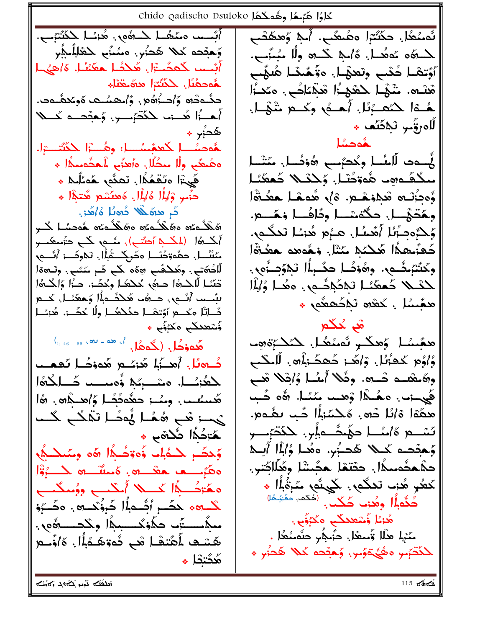كَاوُا هَبُمهُا وِهُمكُمُا Chido Qadischo Dsuloko أَبَّـــت مَمَّعُــا كَــوُّى. هُـْـُـا كَمَّتْرَب. تُمنُعُل. حكَّتُهُ مَمُعَّبٍ. أَبِهِ وَمَعَّفَبٍ وَحقِّحه كَلا هَجُبُرٍ. مِنْتَبِي لِكَعْلِلَكِيْلِ كمة مُوهُدا. وُهْدِ كُنْ وِلَا مُبْنُوب. أَبَّــب كَمَصَـــتْل. مَكْكُــل هِمَّتْنُـل هَ/هِيُــل أَوُّتَهْا حُدْبٍ وِنَعَهْا. وَقُصَّدْا هُبِّمَب هُ حَمُنُل. كَكَتَبَرا مِنْ مَعْتَلِ. هْتُـهِ. شَهْـا حَهْمِـُّوْ هُجْمَاكُــى. مَحْـُوْا حِفْءَدُهِ وَاصَّرْهُمْ. وَٱلْعِشْبِ هُوَيُحِفْءُتِ. هُــْمَا لِمَـٰصَـٰئِلًا. أَحــهُ وكَـــمِ شَهْــلِ. أُهــُزُا هُـــزب للكَتَبُــــوِ. وَهبْحـــه كَــــلا لَّاهِ رَوُّسِ لَـٰاكَنَّف \* هُدُّ;ِرٖ ٭ هُوصُط كَعمُسُط: ومُصْرًا كَمُتَصَرًا. لْمُـــوتَ لَلْمُـُــل وِحُدَّئِـــب (وُوْحُـــل. مَنْتُــل ەمْبْعَّى وْلَا مْجُلَا. ەَاھْبَى لْمْجُومْبِدَا ﴾ سَلَّكُ وَهِ بَا هُوَتُمْلَى وَجَلْدُ لَا كَعِفَدُ ل هُ صَلْنَاهُ مَفْعَدًا. تَعِدُّو مَعْمَلَكُمْ \* حَنَّبِ وَ}ِلَمَا هُ}ِلَالٍ. هُمحَنَّتُم مُحَتَّمًا \* وُودُتُه مْدْفِعْصْرْ. وْلْمَ هُوهْمَا حَعْدَةْ ا ضَ مدهَ لَمَلا صُوبُل وُاهُدِ. ھَلَاۡےَ مِ مَلَاۡے مِ مِنَا مِنَ مِنَا کُے مِن مُوصِبُ لِے ج وَٓۮٖوحزُنُا ٱهۡسُـٰا. هـرُم هُزسُـا تَحكُـٰهِ. حُدْبُـهِـدُا هَٰلِـدَةِ سَتَا. وَحُومِد حَمَدُةَا مَسَّــل. حمَّمَّوْضُــــل مكْرِجْـــتُهُلُّل. ثمْوِكَـــز أُنُـــمِي .وكَتُبْشُــُـــه. وهُوْشُــا حَشَــْ إِلَٰهَ لَـٰهِ وَسَوْمٍ بِهِ مِنْ وَالْمَعْمَ لَّاَدُهَّتِ ۽ وِهُدهُب وِهُو کُلِّ کُمْ مُنَّبٍ ۽ وِلـُـ20\$ا تْسَّلْ لَلْكُنُّهَ احْسُى حُكْشًا وِحُكُوْ. حَزَّا وَاجْتُوَا لِكَتْبِ الْحَمْثَاءِ تَذْكَرْشُونِ. وهُا وُإِلَّا ببَّـــب أَنَّـــهِ. دَـــوه سَيْنَــْــودُا وَجِعَبُــا. كَـــع معَبِّسُلَ مَحْمَدَه لَلاَحُمْعُومِ \* ئَــاتْل ہكــــم آوٌتھَـــا حكٰـحٰهُـــا ولًا حُكَـــز. هُزئـــا شی مُکّم ؤشعدكم مكرُوُم \* ھۇسلا ۇھڭىر ئەسۇل كىكزەۋب  $\int_{1,46-55}$   $\left(\frac{\sqrt{2}}{2} \right)$  ,  $\int_{2}^{1} \frac{\cos 1}{2} \cdot \cos 1 \cdot \cos 1 \cdot \sin 1 \cdot \sin 1 \cdot \sin 1 \cdot \sin 1 \cdot \sin 1 \cdot \sin 1 \cdot \sin 1 \cdot \sin 1 \cdot \sin 1 \cdot \sin 1 \cdot \sin 1 \cdot \sin 1 \cdot \sin 1 \cdot \sin 1 \cdot \sin 1 \cdot \sin 1 \cdot \sin 1 \cdot \sin 1 \cdot \sin 1 \cdot \sin 1 \cdot \sin 1 \cdot \sin 1 \cdot \sin 1 \cdot \sin 1 \cdot \sin 1 \cdot \sin 1 \$ وُٱوُمِ كَعْزُلًا. وْٱهَٰذِ خَعْضَزْلُهِ ۚ. لَّاسْكُبِ كُـــوبًا. أُهـــزًا هُـْئـــو هُدْفَــا بُــْــمـــ وهَمْعْنَدُهُ شَدُّهُ. وَثَلاَ أَمْلًا وُإِيْلاَ ثَنِي لحَعُّرْسُــا. مِتْـــرِّبِهِ وُمِينَـبَ كَــالْحُوَّا فَي زمانِ وَهُـدًا وَهـــــ مَنْــا. وَهُو دَّـب هُسِسُبٍ. وَسُنَ حَعْدَدُهُمْ وَأَهْلُمُ مِنْ الْهَ ههَٰهَا وْٱمْلْ دُهِ. وْحَسَّنْهِاْ حَبِّ بِعَْدِهِ. تَحِمَّدَ سَكَّمَتَ الْمُحَمَّلِ هُمَّا تَكْلُبَ كُنْسَمَ مُتِدَٰدًا ئُكْشَى ﴾ وَحدْدے كَـــلا هَدــزُر. وهُــا وُ/أَا أَبِـــم وَحدًا لِلْمَامِ وَوَوَدُمُ أَنَّ وَمَنْكُمُ حكْمحُمبكُا. حثتمْا عَجَنتْنا ومَكْلاَحْتو.  $\hat{\mathcal{F}}$ كَع*ْكُ*مٍ هُذِبٍ تَحَكُّهِ . كَلِيحُهُ مَمْرَةُ أُمُّ .<br>دُهُوَلُمُّ وهُذِبٍ دَكَبٍ . <sup>(هُكُم</sup>ٌ عَفَيَهِ هَا وهَتِدُواْ حَسِيلًا أَسْكَنَبَ وَوُسَكَنَبَ لْكُلُّمْ لِمَكَّمِ أَبُّسْمِلًا كَرَؤُكْسُو . وَكُنَّوْ هُزئا وُسْعَدِكُمْ وِكَرُوَٰىٰ: سدًُ تَ حَدُونَد جِدًا وكُدِرُونَ . مَتْهَا هِلَا وَّسْعْلَ. جَزْنِجُنِ جَثْمَحُلَ . هَسْـ هَاهُتفَـا هُـ خُمّقهُ أَا. هَا وَّسـم لْكُتّْرُسِ وَهُيُّةَوُسٍ. وُجَبْدَه كَلا هَدُسٍ \* مَحَّتْقَا \* بَرْ الْمُعَامَ الْمُوْسَمِينَ مِنْ الْمُوْسَمِينَ مِنْ الْمُوْسَمَةِ مِنْ الْمُوْسَمَةِ مِنْ الْمُو  $115 \pi \pi 4$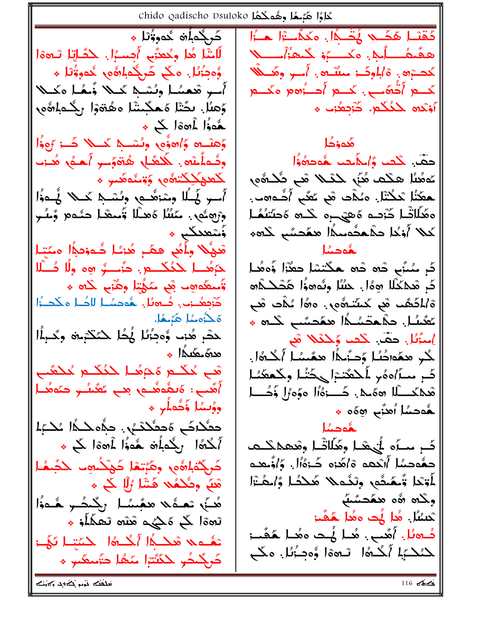كَاوُا هَبُمهُا وِهُمكْهُا Chido gadischo Dsuloko كَقْتَا هَضَى هُذُبُهُ!. مَحَمَّتْ الصَّرَٰا َ حُمِيْكُمِلُانَ تُدووُّلُل \* لَاسْلَ هُا وِحُعْنَى أَحِسْرًا. كَذَاتِنَا تَـ30| وُودُلُل. وكُمْ حُرِكُو اِهُورٍ لَكُووُلُلْ \* كحدْرُه. وْالْمُوَكَّرْ مْشْتُرُهْ. أُسْبَرْ وَهُكُلًّا كَسِعِ أَشْهَبٍ. كَسِعِ أَحِسْرُهِ وَكَسِعِ أسو همسًا ويُشبط حُبلًا وُجهًا وجُبلًا وَهلًا. ىضَنَّا ەَھڳىتْلەھۋەۋا رېگەلمۇە أَوْلَدُه لِلْمُكُمْ. كَاتِحْقُوْتْ \* هُدُواْ أَ30\$ ﴾ وَهِنَدِهِ وَإِنهَاهُمْ وَنُسْبِهِ كَمِيلًا كُسْرَعَ وَوَوَّا كُدؤكُ حقّ . لَكْمَتْ وُٱسْلَمْتْتْ هُوَجَرُوْاْ وثَـملُـنْهن. لَمُكْتَلِ هُـقَوِّـبِ أَـهـهُ، هُــزت ݣْعْكِكْتْلْتّْقُومْ وّْقْشُوطْسْ \* كَمُعْلَا هِكْمَ هُزًى لِمُنْظَلَا مْعَ شُلْمُهُمْ أُمِيو لَمِسْلًا وِسْتَرْهُدِ وَنُسْبِهِ كَمِيلاً لِمُسَوَّلَ هَعَنَٰا تَكْتَا. هُكْمُت مْع صَحَّى أُشُمْهَت. وْرُوهُو، مَمْلُأُ وَمَطْأً وَمَعْطَ حَنُوهِ وَمُنُـو ەھَلَّاتْسَا خَرْصَد ەَھیْمِرە خْلُاھ ەَحتَنتُھُـا كَلَّلا أَوْكُلْ هَدَّهَهُمَدُا مَعَجَسًا كَلَّهُ ﴾ ؤشعدكم \* مْرِيْكَ وِلَمْي هِمَّے مُرْسُل شُوْمِيْلِ وَحَيَّلَ وَمَيْتِ المفدمية كَ مُمْنُى دُه دُه هَكْتَمْا حَعْزَا وَّهِ مُا حَرْهُـــا حَـدُكْـــم . حَزُــــرٌ وه ولًا حُـــْلَا كَرِ هَٰكِكُلَا هِهُ!. حَسُّا وِنُوهووُا هَٰدَكَ هُو وَسَعَدِهِ وَمَن مَدْيَنَا وَهَّنِي كُلُهَ \* كَرْبِعْدَى . فُومُلْ هُومِسْدَ لِلصَّارِ مَكْمَدُّل هُ/ادَّهُــه مْع كَـسَّـرْهُم. وهُ كُلُّف مْع ەڭ مىلا ھۇيغا. كَعْسُلْ. حِكْمَتْسُمُّا هِمَّحْسَبِ ݣُـْرُهِ \* حصْرِ هُـٰٓنِ وُودِّنُلْ هُـُـٰلَ كَـُـٰذٓدِهَ وِحُـٰبِلُا إسْرُبُل: حقَّ. كَصَّ وَحَدْثَلا مْعَ مدەّ ھكىكا پ لْكُمْ هَمُوَاجُلًا وَجَزَيْجًا هُمُسُلِّ أَيْكُرُهَا. قب مُكْم مَحَرِّهُا حَكْكُم مُحْقَب كَمِ مِمَاًّاهُمْ لَمَحْشَرَاحِكُنُّا وِكَعْمَدُا أَهُب : هَى هُدهُـــم مِن حَمْسُــر حَمَاهُـــا هْدِكْكُمْ لَلْا 30\$. جَدْءُٱلْ 30\$ إِنَّ ذُكْرِ ا وۇيسا ۆچەلەپ » هُ مِصْلا اُهنَّى وە ب حثَكرتَبِ هَحثَكثَــُبِ. حذَّهكدُا عُكــَدُا  $\lim_{\alpha \to 0}$ كَّبِ مِسَرُه لِمُحْمِطِظٍ وَهَٰلِلنَّصَا وِهُدِهِدْكُلْمَتَّ أَكْتُهَا رَبُّكُمْ أَنْ هُمَوْا أَرْدَةَ لَكَنَّ \* حِفْوصِمَا أَاتْعَقَدْ وْأَهَدُو حَـرْوَٰاْلِ. وَأَوْسَعَتْ كَرِجْدَا. وَمَرْتَعْا كَوْكُنُوب لِكَيْمًا لَمُتِكَلِ تُسَمَّدُو وَتَدْهَلا مُحَكْمًا وُٱحكْتَرَا هْلَمْ وِئُلْهُلَّا فَشَا رُلَّا كُلّْ \* |ولاده ۵ٌ۵ همٌحسٌنٌ هُــَىٰ تمــةَــد همَّــسًــا وكِـُـحُــو هُــدؤًا | بْنِسْلًا. هُا هُت ههُا هَقَيْز تَوەا ݣُـ ەَكْعَ مْتَو تْعَكَلُوْ \* ضُهلًا. أُهُب . هُـا هُـد ههُـا هَفَـن تمْـدى قىنــدًا أَكْــدًا \_نحتينا تَجُــز لْمُلْكِبَا أَكْتُهَا ۖ تَـْ169 وُوصُرَٰنَا. وكُلِّ صُرِكْتِصُرِ لِكَنَّتَةِ! مَنْهَا كَتَسْعَفُتُو \* <u>المنابه بالم المرام المرام المرام المرام المرام المرام المرام المرام المرام المرام المرام المرام ال</u>  $116 \times \pi$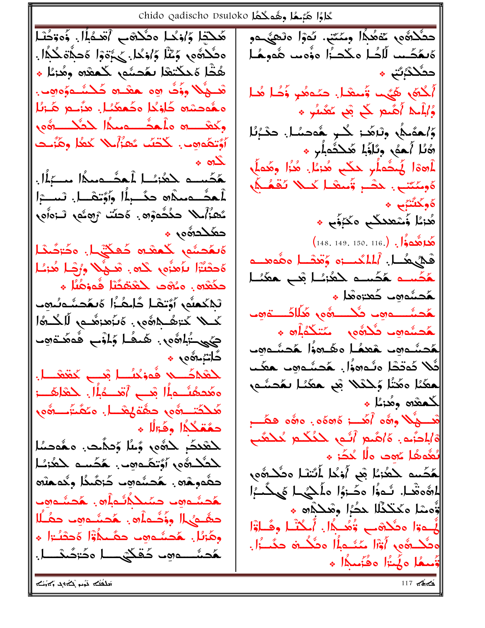كَاوُا هَبُمهُا وِهُمكْهُا Chido gadischo Dsuloko هَٰٓكَتِهَا وُاءْكُـا هَـثَكْ۞بُ ٱتَّنَـٰهُۢ أَا. ۚ وَهُوَحُنْـا حثَكْثُومِ غَفْجُلَا وِمُئَتِّبٍ. نُمْوَا وَنُعَيُّحُو ەڭلاھُەر وَعْنَا وَ/وْكُل كِمُّقَوْلِ هَجِدُّة كُلُّهِ!. هُبِمُكَـبِبِ لَأَهُـلِ مَكْتُدُو مؤْمِيبٍ هُمْوِهُـلِ هُنَّا هَدَكْتَهَا بِمُحِسُّمٍ كَعْعَدُهِ وِهُزْءُلُ \* | حثْكْبْرْتُ ﴾ هْدِيْلًا وَوَّفُ 69 هَعْدَ 10 كَلْمُسْدَوُ90 ب أَكْتَى تَعَيَّب تُمثَّل حَدَثَبٍ ذُكَّلَ ثَدَلَ ەھُەھشە كَافْحًا ەكْھْكْتَا. ھَزْسْعَرْ كَائْتَا وُ}ِلَما أَصَّم كُمْ ثَقِ عَعُسُو \* وكشب ه ما هدُ حداً للمُكسورُه و |وَ/همَّىكُل وِتَرَهَٰدَ لَكَــدٍ هُوصِبًا. حَكَـرُنًا أَوُّتِكُمُوبَ. كَتْتَبَ مُعَزَّلِيٍ كَعُلِ وَمَّنْتِ هُنَا أَهِهُ وِنَاؤُلِمْ هَٰذَهَٰذُ \*  $20.3$ ـأَهةَا لَمَحْمَلُو حَكَّمٍ هُزْئًا. هُزًا وِهَٰمَلًا حَكَست حَعْزَئَا أَحَدٌ وَمَحَالًا مِكْرًا. ةومَّمَّت جدْ فَيَعْدَلْ كَلَّلا تَقْمُلُّي أَهشُــــهمدُان حكَــــرِلُم الْوَرُتِـتْقَـــــل تَـمـــــــْزا أَهْوِكْتُنْتِمِ \* مُعَزَّأَمِلًا حَدُّدُوْهِ. هُحتَت رُهِيْهِ، ثَـزَهأَهِ، | هُزْمًا وُسْعِدِكُم مَكْبُوَٰمٍ ﴾ حعَكْدَدُهُ و  $(148, 149, 150, 116.)$  وَكُل مَحْكُودُ ەتمەشەر كەشە كەڭپا. ەكرگىقا فْحَيْهِكْلِ. ٱلْمَلْكُنْتُ: وَقَفْتُنَا وَهُوَهْتُمْ هَحثَتْرَا بِأَهْزَى ۚ كَلِهِ . شَـهُكُ وَرُضًا هُـزَيُـا مَكَّســـه مَكَســه لحَقُوْسًا قِب مِعَنْسًا حَكْشَهِ . هَنْهُد لِلصَّفَضَّا هُمْوَهُمُّا \* هُدسُّەرەب كُعتوەتْدا \* تْكْتَعْشَى أَوّْتَتْمَا خُلِيضُزًا ةَبْغُجِشُوبُيهِت كَمِلًا كَتَوْهُدِهُوهُ مِنْ وَمُرْمَوْهُدِ لَلْكُلُّ وَمَا يَدْوُلُ أَهْجِسُوهِمَا مُكْلُّهُمْ ۚ مُتَنَكِّهُ إِلَّا ﴾ كَيْمِيتُبْلُادُّەب. ھُىھُـل وُلمْوْب ھُەھُـة *وە* لْمُحَسَّدُهُ لَمُعَمَّلَ مَثَّدَهُ أَلْمُحَسَّدَهُ دُ انْتَ ِ مِثَى وَ قُلًّا ضَوْتَهَا وَيُورُووُا. هُدَسُورُو هَدَ حَمَّمُا وَهُتُا وُحِكْلًا ثِمَ حَمَّمُا بِمُحِسَّمٍ ەمّْدەمُنْــەلْمْ قْبِي أَقْـــەٰلُمْا. كَعْلَاھَـــز لكعقده ومُنئل \* مَكْتَتْ وَهُوَ مِهْتَمْ هُوَ الْمُسَاءِ. وَعَمَّتُوَ صَوْمٍ قْصَيْحًا وِرَةُه أَهَٰصَــز هُ٥٥ هِ دَقَّة هَصَــرٍ حمٌقحُدُا وقَرْالُا \* ة/احَنَّم. ة/هُم أَنَّم، كَخُكُم خُلْعَب لِلْتَعْدَكُمْ لِلْأُومِ ۚ وَمِنَّا وَحَذَّمَتٌ. مَعْوَدَمُنَا الُعُّوهُا £0ت ولًا لُحَدُ: ﴾ لْحَثَكْتُومِ أَوْتَتَمَدُّوبَ. هَجَسَدَ لَحَقُنَكُمْ |هَكَسه لِحَعْبْنُا بْنِي أَوْحُا لَمُتَنْتَا وَثَكْرُوهِ حقُّەوٖۿ۞. ۿؘڂۺٞە۞ٮ ڂٞۯۿؘٮۮۢڵۄػڡڡڷ۞ اشُعْشًا. نُـعِذًا عَضَرَهُ! عِلَّكُـدُ عَلَيْكُمْ إِ هُجِيئَةِ مِنْ حَمَيْكُمْ تُوَاهِرِ. هُجِيئَةِ مِنْ أَوْمِسْلِ مَكْكُمُلا حَدُرُا وَهْكِلُوهِ \* حَقَّـٰهُ ﴾ ﴿ وَذُهُـٰهُ مِنْ مَعْصَنُـٰهِ مِنْ حَقَّـٰلًا ﴾ لُوءَا مِثْلَاهُبِ وُهُـبُوا كَلْمُلْمَا وِهُـاوَّا وهَّرْنُل هُجِسُوفٍ حقَيْداً وَاحْتَنُـٰرًا ﴾ وَحَكَّمَهِ أَوْٓا مَنْسُولًا وَحَكَّمَهُ حَكَّسًٰا. \* Kuso Fijo Lai بَعْلَهُ الْمُؤْمَنِ بِهِمْ بَعْيَامَ الْمُؤْمَنَةِ  $117$   $\frac{1}{20}$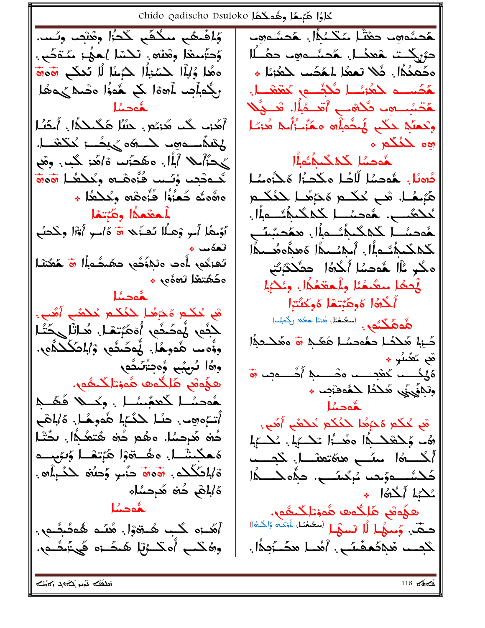كَاوُا هَبُمهُا وِهُمكْهُا Chido gadischo Dsuloko وَٰٓاهَٰٮِهُم مَكْفَى كَدُۥَٰا وَمْتَنِص ونُـُـْب. هَدشُوهِ دِهْتْلَ مُتَكَلِّمًا. هُدَسُوهِ وَحَتَمِيعًا وِمْتَحٍ . تَكْسًا إِحْهُمْ مَتْوَكِّي . دَرْبِكْتْ هْعِدُلْ. هُجِسُدەب حصُلُّل هِ هَٰذَا ذَٰلِهَا الْكَمِنَا لَّا تَحَكُّمِ وَهُوَ وَ ەكھۇكال قْلا تىغا لىقكىپ خغزئا م بَكْمِلْصِدْ مُحَمَّدُ مَعْمَدُ اءْمِهْ لَكَ اءْمِلْكَ بِهِ مَعْلَمَةٍ مِنْ هَدَّســـم حَمُّ:يُـــل مُحَجَّـــم، كَمَّمْـــل. كَتْسُبِيتِ شَكْرْهْبِ أَمْنُ ذَلَّا. شَــؤُكَلَا أَهَّنِ لَّكَ هَٰنِكُمْ. هِنُمْ هَكُلْكُمُّا. أَيْضُلُم وتَحْمَدِ حَكْمٍ هُمُدَالِهِ مَغَنُّسُأَلُّهُ هُنَّا لمَسْمَدُ : حَيْرَهُ مَنْ مَسْمَدٍ مِنْ الْمَحْمَلِ | وه لملكم \* هُدَمِنْهُ حَكْمَدُهُ الْمُحَمَّدُ جَدَّأَمِلا أَبَلًا. وهُدَّس ةَاهَٰذِ كَبْ. وهْع دُهِنُل. هُوجِسُل لَأَجُل وكُحِزَٰل وَكَرُوسُال كُــوْتُـْتَ وُنُـَـت قُزُّوَهْــرَ وكُـلْـتُعَــلُ 200 ورڤوعٌ جُعزُوٗا فُزُوهُ۞ وحُكْمُا ﴾ كَبْسُهْا. قْبِ يُنْكُلُّ مْدَرْهُمَا لْحُنْكُلُّ مِ حُكْفَبٍ. هُوصُبُ لِكُمْكُمْثُوا أَ. أهثمه المعثم هُوصُباً كَمْكُنْهُ وَالْ. هَمُجْسَنَب أَوُّبِّكُمْ أَبِ وَهِـلًا نَعْذَىٰ ۞ ةَ أَسْرِ أَوْٓا وِكْحَبُّ كَمْكُمْشُواْلِ أَحْسُمًا وَهِدَّوهُمْ مِمَّا تمەّىب ئَعزتُم، أُهِد و<sup>ِ</sup>ثِلاَؤُخُم، حَهَّىضُواُ! ۞ حَقَّتَنَا مكْبِ ۦُٱا ـهُـمَـصُا أَلكُهُا \_ حثَكْثَرِتُبْ ۖ ه مُهُتَمَّا لَهُ مَهِ \* لْمَحْمَا مِحْمَمْا وِلْمَعْمَدًا. وِحْكِمًا أَكْدُا هُوهَّئِتْهَا هُوكْتُتْرا مْعِ يُحَكَّمِ مُحَرِّهُا كَتُكْمَ يُحْمَّى أَهُبَ اسلبطُ مضع النه هُنا هُنا مُعَلا رِكْمِلِ) لَتُصْرِ لَتَالَمْ . الْمَتَبْهُمَ أَمْ مَفْدَمِنْ رَعِبُكُمْ كَنِهِ هَدَدُ الْحَمُوصُلِ هُهَدِ اللَّهُ مَعَدَدِهُ وِؤْهِ مَا هُوجُمَا. هُوَجَمَعُو وُ/اِطَكْلِدُوم. مْعِ عَعَْمُبٍ ﴾ وهُا نُرِيَّبٍ وُودِّتُنَفُّعِ كَمْ مُحْسَبُ كَعْبُرْ مِسْمَدٍ مِنْ مُحْسَنِينٍ مِنْ مَنْ مَنْ مَنْ مَنْ مَنْ مَنْ مَنْ هِ هُوهُم هَٰلِكُوهِ هُوزَالِكَيْفُونِ. وتَكَفِّيْنِي مَكْحُلِ حَقَّدَهْتِ \* هُوصِيًا خُعِهُنيًا . وِكَـــلا فَعَــمِ مُوصِبًا أُتِّرَهِ وَمِن. حِبَّا كَثَيِّا هُوهِمَا. وَإِلَيْهِم قى مُكَم مَحَصًّا حَبَّكُم مُحْقَى أَهُى . دُن هُرِحسًا. وهُم دُن هُتهُكُل سَتَتْلَ هُ وَحْشَحْكُمُ هُ مُحْبُرُ عَجَيْدٍ. حُكِيْدٍ ەْھېشل ەھْتەۋا ھۇتقىل ۇتۇبىت أَكْسَرُهُ مِنَسَبٍ مِدَةَ تَمِنْسَا. كَجِسَسَتَ ة/إدَكُكُم: 600 دَّنِّبٍ وَدَنُهَ كَكَبِرْآهِ: كَحْشَـــەَوَّىمَا مُرِكْمَنَـــى. حِبُّەحْـــــــــاًا ەُ/لِمْ دُنْ هُرِهسُلْه  $|32/122|$ حُودِينَا هَهُمْ هَٰلَكُمْهِ هُُوَيْلَكُمْهِ.<br>حقّ وَسَهُا لَّا تَسَهْا لَسَّفُنَا أَيْنَهِ وَلَنَّهَا) أَهَٰــ;ه كُـب هُــةوٓا. هُنَــه هُـهَـمُـبُــم . وهُكْب أُهكْــرُبْل هُـحَــزه فَيْ:َنفُــهِ. كْجِسْتْ هْدْخُصْفَتْتِي. أَهْسَا هَضُـَّرْجَدًا. بَعْلِهُمْ لَهُمْ الْمُؤْمَرُ مِنْ الْمُؤْمَنَ  $118 \pi \pi \Delta$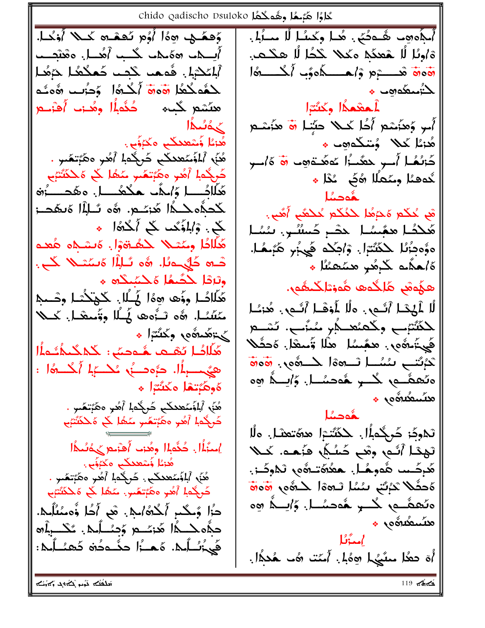كَاوُا هَبُمهُا وِهُمكْهُا Chido gadischo Dsuloko وَقِعَـٰهِـ هِهُمْ أُوُمِ نَقِقَـٰهِ كَـٰلاً أُوْكُـٰدًا. أَبِكُوهِب هُـودُبٌ . هُـل وِكَيتُـل لَّا مِيـرُلِمْ . أبلها ودَمله لله أهُل، وقَتِصَب ة/وِنَا لَا هَعِنَدِ مَكِلًا كَدًا لَا عَكَـم. قَوْمَة تَعْسَيْهِمْ وْالْمُسْلَمُومُ، أَلْمُسْتَمَرْا آبلىكبل فُمعت لكحت خُمحْفُظ حَرْهُا لمُفْمَلُكُل مَعْمَة أَلْمُدْهُ | وَحِزُب هُءَيْهِ المؤسكة وب أعقمكا وكثترا هنّشع لكء للصُّحُما وهُدى أَهْزَمِهِ أَسِ وَهَزَمْهِ أَهُا كَــلا حَبِّنا قَ هزَمْهِ حمائكما هُزئا وُسْعِدِكُم مَكَرُوُمٍ. هُزْمًا كَلا وُسْكُوهِ \* هُنَّهِ ٱلمُؤَمَّعِيلَيْكُم ضَرِيْكُم! أَهُو مَكْبٌتِمُسِ. كَرْتُغْطْ أُسِي حَعَّمَةُ! عُوَّضَةِ وَمَنْ وَأَوْ وَاسْتِي كَرِكُوا أَهُرٍ وَهُبْتَعُبٍ سُعًا كُلِّ وَكَفَّتْتِهِ لَّدهمُا مِمُعلَا هُنَّ لَدْا \* هَٰلَائُــــــــــــ وَٰاٰمِمَّـــ ــمحْمَــــــــــــــــــــــــوَّة المُوصِيُة كْحدُّەخىدا هُزسُـــم. ۞ سَّـالْمَا ەَبىھَجــز مْعِ خُكْمٍ مَجَهُدَ حَجُمًا لِلْحُكْمِ خُطْعُمٍ أَهُمٍ. كَبِ. وَابْلُؤْكُمَا كُمْ أَكْدُهُ أَبْلَى مَنْ الْمُحْمَدُ مَحْدُمَا هِمُسُمَا آَحْشِ جُسْسُبٍ. بَشُمَا هَلَلامُل ومَحْسَلًا لِحَصَّةَوْلَ. هَيْسَلَاه هُعْد ٥ؤ٥جِنُلًا حَكَنُتِرًا. وْاجْحَدْ هَيْ بِر هَبُعْهَا. تْــه كَايْــەنُا. ھُە ئَــالْمَا ەَسَىْــى كَــى. أَهُ/هذَبه كَرِهُمٍ هِمَّعْتُنَا ﴾ وثرثا حضُمُا هَ حَسَبْ هَ \* هِجُوهُم هَٰلِكُوهِ هُوزَالِكُنفُو. هَٰلَلاَصًا وَؤَهِ وَهُ! لَمَـلًا. كَـٰهَـٰذُمَـا وَصَّـٰدِ لًا ـأَلِحْـا أَنَّـهِ. ولًا ـأَوْفَـا أَنَّـهِ. هُزَـُـا مَنَّسُمًا. ۞ه تَـزُّهِ۞ لَمِـلًا وِوَّٰمِيْهَــلَ كَـــلا لْحَقَّتْبَا وِكْمُعْكُبُو مُنْسَى. تَسْتَعْر \* ابتثْعُهِ وهُمْعَة كَهْجَرْمُوهِ فِي مَسْتَمَالِ مِنْ الْمُسْتَمَارِ. وَهُمْ تَرْجَعُوا مَلَلائُمْ نَهْتَ هُـوَصِّي : كَلَا كُنْدُوَيْ وَلَمْ تَجْتُبَ سُسُمًا تَهَا كَلْمُوهِ. 200 هَهْمُ إِذَا. دَءُهِ دَبَ لَكَ يَذَا أَكْسَنُهُا : ەئھھًے گے خُوصلاً. وَأَيْنَظُ وَهِ هُوهَّنِتْهَا مكتَّتَها \*  $\cdot$   $\cdot$   $\cdot$   $\cdot$   $\cdot$   $\cdot$ هُنَّى أَبْلَغْمَعْدَكَبِ حُرِيْكُمْ! أَهْدٍ مَكَّبِّنَعْسٍ . كَرِكْما أَهُرٍ وَهَّتِمُرٍ مُنْهَا كَلِ مَكْتُتَبِعِ تَدْوِجُرْ حُوجُدْواْ. حَكَمَّتْ الْمَعَتَمَتْ الْمَالِّيَّةِ وَلَا إسبَّأل حُذْمال وهُنِ أَهْنَدِ كَمُنْدَأ تَهِدًا أَنُـمٍ وَهُـمٍ كَسُلِّي هِ َعـهـه. كَــلا هُنا فُتعدكَ مَكَبُوً .<br>هُنَّهِ ٱبِلزَّمْتَعدكَ . حُرِيْكُمْ ٱهُر مَكَبَّتَعُسِ . هُرِكَــب هُوهُــل ههُوَّـَــوُه لَــدُوكَــز. هَحثَلا تَدْتُنِي سُمُل تَـ30 لَـ30 مِنْ مِنْ ضَكُما أَهُرٍ مَمُّتِمُسٍ. سَمَّا كُبَ مَكْتُتَبِ ەئھھًے گے مُّەھسُط. وَأَيْــدُّ وَه دَٰۥۢا وَۡـكُـٰبِ ٱلۡـكُمُاۡـٰبِهِۦ ۚ هَٰىٖ آُحَٰا ۚ وَۡصَٰـُلُلُـٰهِۥ متسمك وه و الله حِدُّه حَـــدًا هَٰـ: ـُـــم وَجِئُـــأَبِـمْ . ـُحْـــــزِيْمِهِ استوٹا فَي ٰٓالُكُ، هَمــُّا حَثَــهِ مَٰهَ ضَعْــأَمـه: أَة حَمَّا مِثْيُىا هِهْا. أَمَّتْ هُـ هُدِمًا. بَعْلِهُمْ لَهُمْ الْمُؤْمَرُ مِنْ الْمُؤْمَنَ  $119 \pi \pi$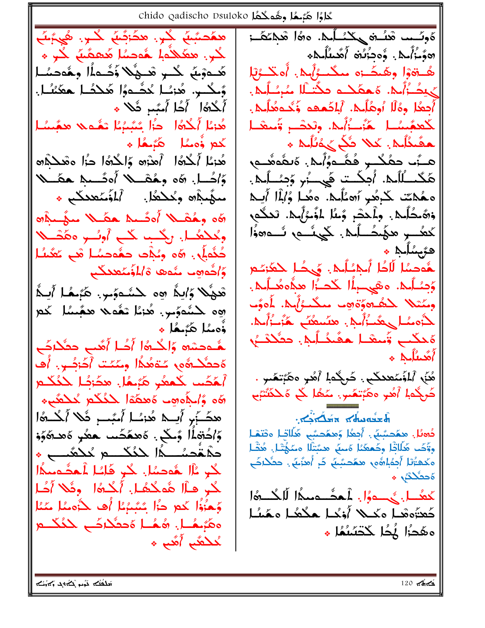كَاوُا هَبُمُا وِهُمكْهُا Chido gadischo Dsuloko هُولَــب هْلُــةِ وَكَـُــلَّـه. هِهْ الْهَدْكَةُــز هَهُدَسٌبُهُ كُلِّ هَدَّدَّشَهُ كُلْسٍ هُيَّ بَفَ لْكُنِّ. مَعَكَلُوبًا هُوصُلًا مُتَعَفِّينَ كُنِّ ﴾ oوٌَ*ـزُأُبِـدُ.* وُهجرُبُه*ٰ أُهُ*بِي*نُا*ُبِـد*ُ* هُــةوْا وهُـكَــزه مىكَــرُّهُــا. أُهتَــرُّهَا. هُــوۡهِـنَى ۖ خُــــو ۚ هَــوۡهَا ۖ وَهُــوَــٰـَـا ۖ وَهُوَجِئَــا ۖ وًىكْبٍ. هُزْسًا خُشَّدَوُا هَٰلاَصًا حَعَنُسًا. جِيدُأَبُم، هَممَكِم مِكْتِبًا سُرِسُلُم، أَحْدُهُ أَكُمْ أَسْدِ ثَلا \* أُحمَٰا وهُٱل اُوهُلُما. ٱبِلصَّعفِ وَّخْتَمَعُلُما. كَعْفُسُكُمْ هُزُكْرُكُمْ. وتَحْصُرِ وَيُمْعَكُمْ هُٰذِيُا أَيْحُرُهُ! حَزَّا يُسْبُرُ الْمُحَمَّدِ مِجْسَسًا ه مماْنُهْرِ کِٹْ کُلا . مَلْکُمْ ه كُمْ ذُوسًا وَيُعَادُ هـزُب حفُكْــرِ فُعُــٰمَوُٰٓأُبكِ. هَنفُمڤــم هُنِئَا أَحْدُهُا أَهْنَرُه وَاحْدُهُا حَزَا هِ مَحْدَدُهِ وَاحُــا. 6ه وهُمْـــلا أُهتُـــمِهِ همَّـــلا هَكَسْلَلَم. أُجِكْتَ فَيِسْئُو وَجِئْسِلُمْ. سَهَّيةُ وَحُكْمًا. أَلْمُ مَعْدَكُم \* ەھكلت كىرەد أەمْلَك. ەھْدا وُابْدًا أَيْكُم وَهُمكُلُمْ. وِلْمَصْرِ وُمِلًا لِمُؤْمَرُهُمْ. تَعكُمِ 06، وهُصْلاً أَ٥تُـمط هضَلاً سَهُمْاً كَعْسَى مِكْمِنْسَلْمَ. ݣَيْمُسْمَى تُسْمَعَوْا وحُلْعُمَا. رَبُّب كَبِ أُوسُـرِ هِمُصْـلًا هۇمئىلگى ھ كُنُّهلِّ. ۞ه وبُجْت حقُّوصيُا هُي يَعْبُبُا هُوصَمْا لَأَهْلَ أَجِمْتُكُمْ. وَجَمَعْنَا لَحْقَدَتُو وَٱخُوق مُنَّوها وْٱلْمُتَعْدِكُبِ وَجِئْـأَمِي. هِ هَيْ—بِأَا كُحَــزًا هِجَّاهِ هُــأَمِي. هْهُلا وَ*ابِدُ* وه حَسَّمَوِّسِ. هُبُعُا أَبِـدُ وسُنْلًا لَحْشُدُهُ وَةَ هِ سَكْسَةٌ أَمِدًا. لَمَوْت يوە كْشُەۋىر. ھُزىُل تْغُەللا ھَجْسُلْ كُلُّ لْخَرْوِينَا لِلْمَشْتَرَةِ مِنْ مَسْتَمْرِ الْمَوْرَةَ مِنْ الْمَوْرَةَ مِنْ مَنْ الْمَوْرَةِ مِنْ ؤْەمْدَا هَرَْمُهَا \* هُكْلَبٍ تُسْعْدا هَقَبْذُاُبِهِ. حَقُلْتَهُ هُـــوَــْـتَـرُهُ أَرْضُلُّـــا أُهُـــــى حَثَّــْدَكَـــى أأقْمَلْك هَحفُكْ1ؤه كَـتَمَعُدُا مِمَّعْتَ أَخَرَضُـدٍ. أُفَّ هُنَّهِ ٱلمُؤَسِّعِدِكَمِ. ضَرِكُم! ٱهُرِ مِمَّتِنَعَسِ . أَهَدَّسَا لَكَمِعُتِي هَزَيْمًا. مِدَّرْدًا كَتْكُلُّمَ كَرِكُم! أَهُرٍ مَمَّتِمَرٍ. مَمْا كَبِ مَكْتَبَعِ 6ه وًا لِمُوسى هُمْهُمْ لِمُكُمْ يُحْمَّمْ. هكَــَزُم أَيِــدْ هُـْـئُــا أَمِيَّـــرٍ شَلا أَحْــْهَا أوتده المستحكم وَٱخۡقِفَا۟ا وَمِكَى ۚ هَ هُهُكُسَ ۖ هَعُدٍ هَ هَـ هَٰوَٰوَ دُهِنُا. مِمُحِبَّبِيٍّ. أَحِمًا وَمِمُحِبَّبٍ مَكَاتِ اهْتَمْ ا وتَكَبِّ هَلَلاَيَّا وَجُمِعَيْا وَسَبِّ هِيَّتِلَا وَسَيْتَا. هُتَّار حكَمْعُصِيُـــــــكَّا حَجُكَــــــــص حُحْجَيَــــــح \* ەكھَرَّنَا أَهْلِمُوْمٍ مَعَصِّبِيٍّ كَرٍ أَمْرَيْبٍّ. حَمَّكْرَكُمْ لْكُمْ عْلَا حُدْدَسُلْ. كُمْ قَالْنَا غُجْدُدْمَالْ ەددىگى ھ لْكُبِ هِـٱلْ هُمَكْهُـلْ. أَنْكُـدُهُلْ وَشَلاً أَضُل كَعْصًا. ﴾ وهوا الْمُصْدَمِنَا لَلْكُلْمَا وَحَزُوْا خَمْ جَزَا عَبْدِيْنَا أَفْ كُرْوَسُا مِنْنَا كَعْتُوهْمَا وَحُمْلًا أُوْجُمَا حَكْمُمَا وَحَمْنُا ەمگىگىل ھگىل ەدىگاركىي كىگىى ەھْدُا لُھُا ك<mark>َدَىُسُم</mark>َا ﴾ مُحْجَمَعِ أُهُّعِ \*

بَلْهُمُكُمْ مُوَسِمٌ بِهِمْ بَلْتُمُكُمْ بَلْهُمْ الْمُؤْلَّمَةِ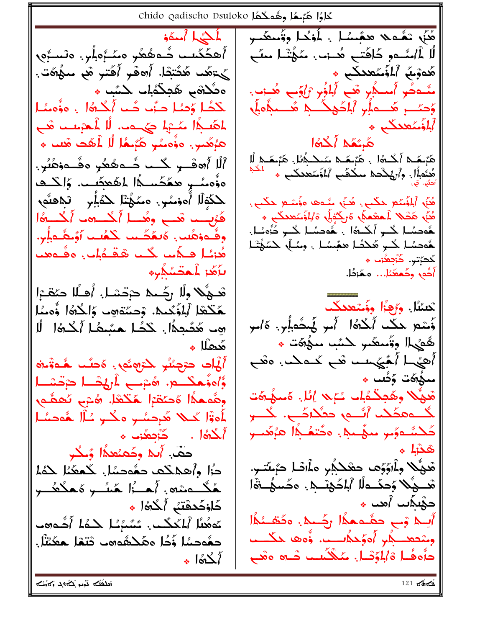كَاوُا هَبُمهُا وِهُمكْهُا Chido gadischo Dsuloko هُنَّى تَعْمَلا هِجُسُلْ . لَمْوَكُلْ وِقُسِعَيبِ أكها أسمّو أَهْكَكْتِبْ شُوْهُكُو وَمُتَوَّوْمٍ وَاللَّهُ وَالْسَوْمِ لًا أَاٰمِنُـدو دَٰاهَتے هُــ;۔ مَعَیْتَـا مِنَے ﴾ توهُم مَحَّتِهَا. أَ9ْهَر أَكَتَر هُم مَجْ6َتَ. | هَدوْمَهُ  $\big\}$ أَوْمَعدكم ﴾ منُـدتُـدٍ أَمـــدِّيرٍ ثَنَــ أَبْلَؤُرِ رَامِّـــ تُــزت. ەئكۋەم ھُجڭەلما كىسّە لْكَحُلاً وَصُلًّا حَبُّت ضَّبٍّ أَنْكُلُّهُ! . هَؤُهْنُنَا! وَحَسَّــ مَّــــماِّرِ ٱلمَّحْكَـــدِ مَّـــــدِّه) لمَصْبِهَا سَبِيْهِا كَمِصْحَفٍ. لَا أَحْتِمِعَتْ هُبِ أباؤُمَّصْلِكُمْ \* عَشَمَه أَلْحُمَّا هَزْهُنِي. وَوُّوْمَنِي هُزْنِكُمْ لَّا غُلْقُتْ هُنْتَ ﴾ هَبَعَــم أَحْــهَا . هَبَعَــم سَــــــمُلَا. هَبَعَــم لُلـ<br>مِثَملُا. وأنهجـد سكفَب ألمَنَعدكب \* أَلَّا أَهْفَـــدٍ كَـــد خُــدهُعُدٍ مقْــدوْهُنُدٍ. ەۋەمئىي ھەكسىدا لمۇھۇبىيا. ۋاڭىپ لحَكَّةِلًا أُهوَمُبُو. ممَّهُتْل لِكَهْلُو – تَكِلَّفَه هُنَّىٰ ٱبِلزَّمَـٰهِ حَكَّبٍ . هُــَىٰ عَنْـهِ وَزَعْتَـٰهِ حَكَّبٍ . كَرُبْتَ تَعْبَ وِتُعَالِمٌ لَكْتُوبَ أَيْكُسْتُوا هُنَّ، هَدْ الْمَعْمَلِ هَ رَبِّحْهِلُ هَ/اوَسُعِدِكَم \* هُدمُنا كُــرٍ أَكْــرُهُ! . هُدمُنا كُــرٍ دُرُّهُــًا. وڤـُـووَكُت. كَانغَكَــت كَلْعُلَـت أَوَّنڤَــوَإِنِّي. هُدَسُل كُـرٍ هُكْشًا همُسُـل . وسُـلٌ كَسَوُّتْنَا هُزئا فَــكَمْتَ كَــت هْـقَــهُلِتْ. ەقْــەھت **كَحَزِّتْنِ. كَأْبْتِكْنِتْ** \* بِرَهُدِ أَحْضَلُهِ \* أَدُّه وحُمعَنَا... ممَّزئا. هَــهَٰلا وِلًا رَكَـــدا حرْكَـسْـا. أُهــُلا حَكَمْــرْا تَعْسُلُ. وَوَقَوْا وَوُسْعَدِكَتْ هَنْكُمْا ٱبِلْغُكُمِينَ. وْحِسَّةُوِفْ وَالْحُرْهَا ۚ وْمِسُلْ ذَّسْمِ حكَّم أَكْدُّا ۖ أَمِرٍ يُمشُوبُو. هَامِرِ هِ - هُجُدِدًا. حَجَا هِيَبِجُا أَجْدَهُ! لَا هُيُّ الْمُؤْسِطَّىرِ لِكْتُبِ سَهُوَّتَ ﴾  $\bullet$  llas أَهْيُهَا أَهْيَىٰمِسَا هُمْ كَسْمَرْهُمْ أَسْرَحُواْ أَهْلُوا حَرْجِئْبُو حَرْجِيْهِ . هُجِيَّتَ هُوَيْتُو مىڭ بۇڭ بوڭسى ھ وُّاهؤُهگـــم. هُــْرِـــــــ آرهڪـــا حرّڪـثــــا ەْدەْ بار ئىلىنىڭ ئىلگەن، ئىلگەن ئەيدا ئايدا ئايدا ئايدا ئايدا ئايدا ئايدا ئايدا ئايدا ئايدا ئايدا ئ وهُمهاً وَحَتَّتْهِ هَكْتُمَا. هُـْبِ نَهفُمِ گے۔مکٹ آئے حنگائے. گے لَمَاءَوْا كَتَلَا هُوَصُّبُو مَكْنُو غَالَ هُوَصُّنَا. كَكْشُـْمَوِّسْ سَتَّىْتِيْهِ. مَكْتَمُـْجُلْ هَزْهَْنِــْشْ أَلْحُدُهُ الْمُسْتَوْمِينَ \* حَقٌّ. أَبْدَ وَجُعِنُعَدًا وَّبِكُنِ **شناء** مْدِيْلا وِۦٱرْوَوُڡ حَعْدِكُمِ وَۦٱرْتَـا دَءَٖٮتَنــر. دُّا وأَهِدْكُمْ حَقْوَصْلَ: كَعْعَمْا حَدْمًا هَـــوْلا وَحكَـــه لَا أَبْلَكُوْسَـــِمْ. هكَــموُـــوْهَ ا هُگَــدَمْهُ. أُهــُ:ا هُمُــُــو هُـهَكُعُـــو | حَبْلُهُ أَمَد \* دَاوْدَحْقْتُمْ أَلْحُدُّا ﴾ أَيــد وْبِ حَمَّــمَـمْا رَجَّــد وَحَقَــنْدَا مُعمُّلُا أَلمُكُب. تُسُبُّطُ لحِمُل أَشْع وشططها أهؤهلالسماء وأهبها للكسما حفُّحسُل ذُكُل مَكْتَشُوهِ وَتَنْقُلُ هَمَّنْتُلُ. دأەفْ) ة/إوَّتْ). سُلَّكُت تْدە ەقى أكثعا ه <u>المنابات المجانبة المناسبة المجموعة المناسبة المجموعة المجموعة المجموعة المجموعة المجموعة المجموعة المجموعة ا</u>  $121 \pi \pi 4$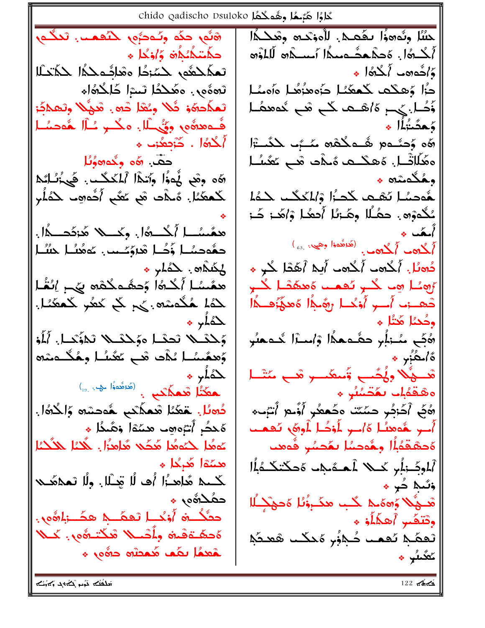كَاوُا هَبُمهُا وِهُمكْهُا Chido gadischo Dsuloko اڤَتُم حَكُم وِنُـمحزَّمِ لِلْنُفَعَـبِ. تَعَلُّـم حلُمُّا وِنُوهوُا بِغَمِي، لِأُووْجَدِهِ وِهْكِدًا حكَمْتَمَلَّكُمُّةَ وَّادْخَا \* أَكْتُوا وَحَدْهُمْ مُحَدًّا أَمْسَنُوا وَالْمُؤْوَى تعكِّلهُم حَسَّرْدًا مِعْلِفُمِحْدًا حَكَّدَلًا |وُاَحُده ۖ أَكْدُهُ الْهَ تَوەُەب. ەھَكْدُا تَسْرَا خَلِكْرُهَا ﴾ دُّا وَهِكُم كُمِعَيْدا دُوهُ:هُدا وَأُوسُا تَعَكَّدَةَ: ثَلاَ وِنُعْلَ دُهِ . ثَدَيْلاَ وِتَعَكَّرُ: ذَكَر كَبِ هَا هُـم كَبِ هَبِ كَمْعَمَا ۖ فُـدهدَهُم، وفَيْــلَا. مكْـــو سُــاْل هُدَهسَــا  $\ast$   $1$  $\stackrel{?}{\dots}$ هُه وُحِنُـهِ هُـهكُـهُ مَـٰبُـب لِكَنَــٰتَهُا أَلْحُدُّا . كَاتَحْتُنِتْ \* حقّ ، هُو وِنُدوووُنُا ەھُلاَتْـا. ەَھڭــم ەُلْمُد ھَــ مُعُسُّـا هَه وهْدٍ لْمُعَوَّا وَتَنَدَّا أَمْكَكَبٍ. هَيْ تُلْكَمُ  $\bullet$  qûc  $\bullet$ لْحَمَعُمُّا. ةَحْلَات هُم يُعَيْمِ أَشُمْرِهِ حَدَّاتُهِمْ هُوصِبًا تَشْعَب جُحَزًا وَالْمُحَكَّبِ حَدًا مُكْدَوْهِ . حصُلًا وهَٰـ;يُا أُحصُـا وْاهُــز حَــز همَّسُط أَكْسُوا وكُسِلًا هُزْخُصِيدًا . أبكلهم أبكلهمي (هُدَهُموا وهيي. ...) حفَّدمُــا وَّدُــا مْدَوِّــْــب. عَەمُنُــا حَنُـُـا دُوبُل. أَكْسَد أَكْسَد أَبِيهِ أَهْدًا كُلِّ \*  $\int$  and  $\int$  and  $\int$ همَّسُا أَحْدُهُا وَحشَّـمحْقَه بَيْ- إِنْشَا رُومُا وَمَا كُلِّ تُفْعَلْهُ وَهَدَهُمْا كُلِّر تَّـْھــز، أَـــرِ أَوْكُــا رَهُٰبِهُۢا هَمْهُزُهِــدُا لحَمْلَ هُكُمْتُمْنَ بِيَ لَحْيَ كَمُو لَكُمْعَتَا. √ەلمُ ∻ | وحُدْا هَنْا ﴾ وَحْكَــــلا تَحكَــا هوَحْكَـــلا تَمْؤُكَــا. أَلَمُو هُجِّي مُنْذِبُرِ حَقَّـٰهَـهُا وْٱسْـَالْ شُـٰهِـهُرِ وَهمَّسُا مُكْت مْبِ مُعَسُّا وِهُگُـــمِنْتِهِ ةُامطُبُو \* قَنْتُمْ وَيُضَّبِ وَّسْعَيْنِي قَبْلَ مَتْنَار حْفُلُو \*  $\left(\sum_{i=1}^n\sum_{j=1}^n\frac{1}{j} \sum_{j=1}^n\sum_{j=1}^n\frac{1}{j} \sum_{j=1}^n\sum_{j=1}^n\frac{1}{j} \sum_{j=1}^n\frac{1}{j} \sum_{j=1}^n\frac{1}{j} \sum_{j=1}^n\frac{1}{j} \sum_{j=1}^n\frac{1}{j} \sum_{j=1}^n\frac{1}{j} \sum_{j=1}^n\frac{1}{j} \sum_{j=1}^n\frac{1}{j} \sum_{j=1}^n\frac{1}{j} \sum_{j=1}^n\frac{1}{j$ ەشقۇبات تەتبىئە \* هُكِّ أَحَاثُو حَمَّتَ هَجُعَعُو أَؤُيمَ أَتَبَتَ ﴾ دُوبُل. هَعَنْا مْعِكّْلِي هُودِسْو وَالْحُرْهَا. أَسر هُوهنُا هَاسر لَمُوْشَا لَمُوهَىٰ نُصْعَب هُ دِهُمْ أُنْتُوهُ مِنْ مَنْ مَنْ أَوْ مُحَمَّلًا ﴾ عَمْدا لِكَمْمَا مَكَنْ مُامْرَا. لَمْحًا لِلنَّكَا كَحْمَقْتُمْ) وَحُدَّدَسًا بِمُحَسُّرٍ فَدِهَد همّةا هُرْدًا ﴾ أَلْمُوَكِّبْهُم كَلِّي لَمْسَمَّدِكَ وَحَكَّتَكُمْهُ ا كَّــدا هُـاهــزُا أُف لُا تَجِــُلا. ولُا تَـماهَـد وَتُبْدِ جُرِ ﴾ حفكشه و شَيْكًا وُ5مَطْ كَب مِكْبِوْنًا هَجَيْرِيًا حثْكُــ ۞ أُوْحُـــا تَعصَّــه هصَّــزلِهُ». |وتتفَّىر أَهكُلُوْ ﴾ ەَحكَــةقىغ وِلْمْسالا مْكْـَــۋەب كىــلا تَعَظَّظِ تَعْمَلَتْ خُلِفُو وَحَكَّلَتْ مُعْجَجًا معدمًا بعَم مُعصَّده حدَّى ﴾ **َىْكُىلُې ۞** 

 $122 \times \pi \times 2$ 

أمعًا \*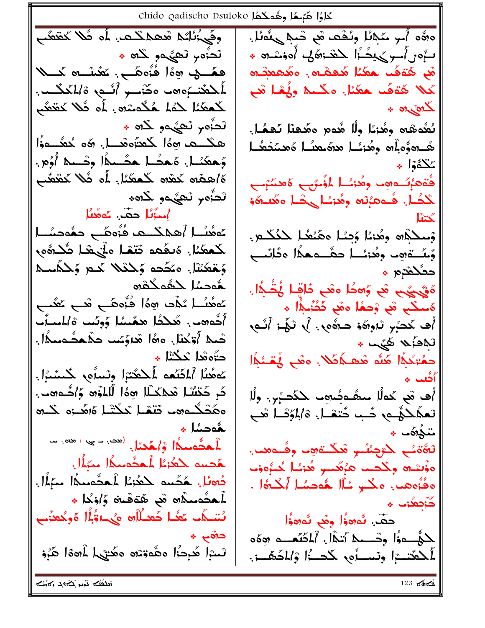كَاوُا هَبُمهُا وِهُمكْهُا Chido gadischo Dsuloko وفَيْ أَمْلَهُمْ تَعْتَمْهُكُمْ. أَه فُلّا كَقْفَىم هُ أَسْرِ سَكِّلًا وِنُفْعَه مْعَ شَكِّرٍ مِثْلًا . م صمْتُولُ لِكَانَ مِنْ أَيْكُلِ أَوْمِنْدِ ﴾ تكأهر تكهكو لكه \* فَعَسَمٍ وَهُمْ فُنُوهُبٍ. كَعُنْسُوهِ كَسْلًا هْمْ هُدْفُ هَعْدُا هُدْهُ نَ هُ هُدَهُ عَلَيْهِ لَمْلَاهُنَّــزَّەھە ەكْنْسىر أَلَسُم ةْالمْكَــْس. كَلًّا هَٰذَهَ حَقَدًا. مَكْتُمْ وَهُمْا شَيْ كْمِعْنَا حْدًا هُكُوسْنَ، أَو قُلا كَقْعَب  $\cdot$  or on  $\leq$ تطأەم تىھگەو گىلە \* ىُبْدُهْو، وهُزْءُ ولًا هُدم وهُدِيْل نُحِصًا. هكْسُمْ وَوَٰا لَكُعْتُوهْمِسَا. وَوَ خُعْصُودُ هُـــهؤُهلُه وهُزْسُـل ههُـعْسُـل هَهمْنْصْل وَحِقَنُا. هَجَدًا حَدَّبَهُ! وَتَحِيمُ أَوُمٍ. ئڭدُول چ ة/همْه كَعْدَه كَعْعَمُا. لَمْ قُلا كَعْعَمُبْ فُقْهِرُسُدِهِت وِهُنْسًا الْمُبْهَى ۚ هَمْسُرْب تَحَزُّه وتَعيُّهو گُلُهِ \* لْكَحُا. فُـ2مُ}نَّه وهُزَىُـا حَمَّدُوْ وَهُنَا مِنْهُ مِنْهُ مِنْ إمرُّئُل حقّ. كَمْعُلُل عَمْنُــا أَهمْكُـــم فُنُومًـــ حَقُومُــا وْسِلْكُلُهِ ۚ وِهُٰٓئِمُا وَٰٓئِمَا وَهُنُعُا لِلْكُلُّعِ . برەشكە لىشرنام لىقتە مصفىن . كنصفك وًكَـــٰةوما وهُـٰهُـــا حمَّــــممدًّا هدَّائَـــــع وَعْعَكْنْا. ەڭكچە وَحْلْفْلا كْبْتْرْ وَحْكَمْسِيْدْ حضَّكْتَبْهِر \* هُوصُل لحَقُو لُحْقَةِ ەَيْ چُي شَمْ وَهَدًا هُفْ كَاقِيا هُتُكُمُّا. عَمْنُــا مُّأَد هِهُا فُنُوهَــع مُّــع عَمَّــع ەَسكىي ھَي وَحمُّا هَقِي كَتُبْتِدًا ﴾ أُثُّدهب. هُـٰلائُـا همُّـسُا وُوِنَّـب ةُالمسأَب أُف كَحَبُرٍ لَاوِهُوْ حَــهُوهِ . أَبِي لَـهَٰـ: أَلَـٰـهِ ۖ ضَّى أَوْكُلُل. 6% قَدْرَكْت حَكْمَحْـُـومِـكَٰلْ. أَبْدَاهِ مَنْ مَدْنُهُمْ مِنْ حَرُّهِ مْلا تَمَكَّتْلُ \* حَمْتِكُمُّا هَنَّهَ مَعْكَلاً مِّي هُمْئُمُّا عَمْنُا ٱلمَنَعَم لَمَحْتَمَ وَتَسْأَى كَسَّبَرَا. كَر كَتْسْلَ شَهْكَـلْل 3% لِّلْلُؤْ۞ وَٰائِـُـ2%. أُفْ هُمْ كُمْلًا مَنْقُومُنُومَا كَلَاصُرُمْ. وَلَا ەھَدْگەھە قتقىل ئىكتىل ۇاھْدۇ كىھ تَعَكَّلَكُمْ وَجِبْ خُتَهْلَ. وْكِلْوُقْلُ هْب هُوصِيًا \*  $\bullet$   $\sim$ 61 $\wedge$   $\sim$ أمدُه مدار والمدار. (هدات الله الله عليه الله تَمَّةَمُّـــ لِمُجَمَّلُـــدٍ مُكْتَّةِهِــ وَقُـــدَهَبَ. حَصبه لحَعُزْمًا أَحدُّومِكُم الْمَحْلَلِ. ەۋىتىھ وڭچىما ھۇھىس ھُزئىل ئىئۇەۋما دُوبُل. هَجَسه لِحَمْزِيْل الْحَدْمِيمُل مِبْلًا. ەقْتُەھىر. ەڭبو سُلَّا خُەصسًا أَبْحُدُّا . أَحدُّمبدَّاه هُم هُدَفَّيهَ وَ}وَحُل \* حزدمكن ىُتىكُ عَجْا خَعْلَاه ٯْ وَقُوْلًا هُوِخْعَتَى حقّ نُوووُّا وقْع نُوووُّا ் கூ لِحَمُّدةُ وحُسِيمٌ ٱتنَّهُلُّ ٱلْمُخَلِّصُدِ وَوَوَهِ تسرًا هُرِدُا مِثْدَتِهِ مِعْتِياً أَمَّةَا هَبُوْ لَمَحْقَسْـــْمِ الْمَسْـــانُّ مِنْ الْمُحَمَّــــزِ. <u>المنابه بانظر بابه الأعلمة</u>  $123 \times \pi$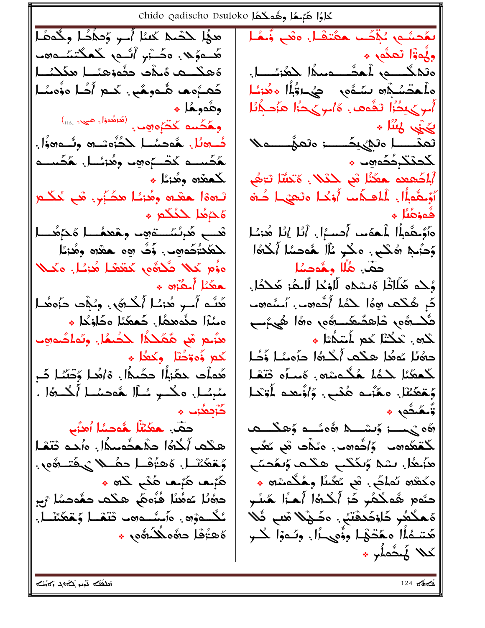كَاوُا هَبُمهُا وِهُمكْهُا Chido gadischo Dsuloko هؤا للصَّلَّهُ كَتَنَا أُسِرٍ وَتَذَكَّلُ وِكُومًا. بِمُحِشُوبِ يُؤْكِّبُ بِمُمْتَقَالِ وَهُلِ وُبِمُلْ وِيُورْ اتْعِثُو \* هُــوَمِلا. وَحُــْرَى أَلَـــمِ كَــمَكْتَنَبَـــوهـد ەُھڭىمە ەُنىڭ خشەۋھىُسا ھكَكْسَا كُمْ زُوْمَ مُحْوِيَّى ﴾ [كَنْفُر أَكْتَلْ وَوُّوْمُنْكَلْ مَلْحَصَّبُوْهِ سَمَّوَى وَصَلَّمَ مِنْهُمَا مِثْمَلِّكَمْ أَسْرِ كَيْحَةُ انْصِرْ بِذَاهِ فَيَحْتَ انْضَرِرْ بِذَأَ وهُدوهُا ۞ \* لَمَنْ لِهُ مَنْ كُــــرەئل. ۿُـدَحَسُــــا ۖ حَكُنُوتـــرە وتُـــدرەؤُل. هَكَســه كَخَـــرّە۞ وهُزئـــل. هَكَســه لكحثكردُهُ مِه \* أباكُههم حَعَيْنَا مِّي حَكَلاً . هَجَسَّاً تَرْهُى كمعقده وهُزئا \* تـ169 ـمعْـــرە وهُـُـُــل هڪَــُـُبِ. هَـــ كَـكــمر أَوُحِقُولُهِ ٱلْمُعَظِّمِينَ أَوْجُلَ وَتَحِيْنِهِا حُبْثَةَ ەخۇدا خىگە \* ا فْەخْمُىُّا ﴾ | هَزَوْجَتُمِلًا لِمُحَمَّى أَحْسَبُرا . أَنَا إِنَّا هُذَـٰا ا هب هُرسُسْتوب وهُعهُــا هُدَهُــا للعَكْتُرَكُمومٍ . وَّثُّ وهو حَقَّوه وِهُزْمًا وَحَزَىٰهِ شَكْبٍ . مكْبِ عُلَّا هُوَجِسًا أَيْحُرْهَا حقّ هُلًا وهُوصِمُل هُو كَلا شُلْقُومٍ كَعْقَا هُزْسًا. مَكَلا وُحْد هَٰلَاتْل هَىسْدَه لَّاوْحُا لَّاعِمْ; هَٰحْدُا. هعكما أحدَّ \* \* هَٰلُـهِ أَسـرٍ هُٰذَا أَكْـهَٰ وَبُبْكَ حَزَٰهَ مَا ضَ هُكُم هِهُ لَكُمُ أُشُوهِ . أَسْتُوهِ ئَكْشُوهِ دَاهْدُهُسْتُوهِ وَهَٰا هُيْ بِ مِنْدًا حِذْهِ مِحْمًا. حَمِعَنَا مِحَافِكَا \* هَّبُم هُم هَٰهَكُمَّا لِكُمُهَا. وِتَمَاكُمُوهِ | لاه . تَكْتُلْ كَمْ لَمْتَكْتَلْ \* حمُّلًا عَمُّدا هكْم أَحْدُهُ! حَزَمتُ أَخُطْ لَّكُمْ وَادْفُلْلُ وَكُفُلُ \* هُدءُك حكَبَاُ! حَصَّدًا. ۞اهُـا وَحَسَّا كَـرِ كْمِعْنَا لِكُمَّا هُكُمْتُو. وَسَأَو قَتْهَا مُبْرِسًا. وَكُبِ سُأَلَ هُوَدِسًا أَكْرَدُا . وَحْقَقَتْلَ مِعْنُدِهِ هُدْبٍ وَافْعِدِهِ لِمُقْطِرِ كَّائِيْتِيْنِ \* **ۆمكىشى ھ** حقّ مَعْمَتْلُ هُوصِمًا أَهْبَى هُه يُحِسبَ وَتَسْتَسَبْهُ هُهُ مُشْتَهِ وَهْكَسْتَمَدْ هكْمَ أَخْدُهُ! حَمْعَتُمِيجًا. وأحد ثَنَقْهَ لْكَمْعَكُدُوهَا وَأَشُدُوهَا وَالْمُؤْمَنَ هُمْ يُعَكِّب بِرَمَّقَتَ مِنْ مَا حَدَّدَ الْتَوَعَّدَ مِنْ مَا يَحْمَدُونَ مِنْ مَا يَحْمَدُونَ ھزُيغُا. بشك وُبكَكَبِ ھِكْتَ وُبِمُحِيَّبِ هَّبُعَا هَّبُعًا هُنْدٍ ݣُلُهُ \* ەڭھە ئەلمى. ھى ئېئىلا وھگەشە \* دەُنْا مُەھْلَا فُنُوهُمْ ھىلىم دەھەدىئا رُببر حثُّوم هُوكُمُو جَز أَكْـدُّا أَحَـزًا حَمَيْو ىُكْتُوْھ. وَاَسْتُنْقَصْ قَنْقَصَا وَجْعَعَنْنَا. ەَھْكْمُو خَاوْخُدْقْتُو . ەخَنْهَا شَى ثَلا ەَهْزُقْا دەُەللْلُمەُ ، هَتَسْمُلًا مَعَّضَهَا وِفْهِيْمَا. وتُودَا جُبْ كَلا هُخُدْمٍ \*

بَعْلَفُتُهِ مَوْمَعَ بِمَاءَ الْمُسْتَمَرَّةِ مِنْ الْمُسْتَمَرَّةِ مِنْ الْمُسْتَمَرَّةِ مِنْ الْ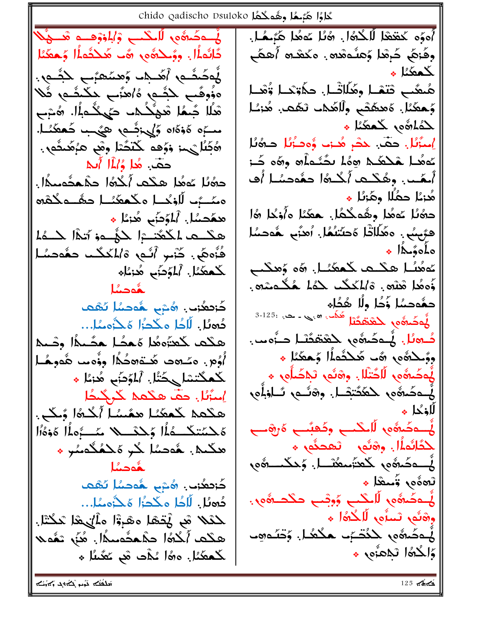كَاوُا هَبُمهُا وِهُمكْهُا Chido gadischo Dsuloko ضُحَدَّةُ الْأَسْدَبِ وْإِبْرْوْهِــــم تَعَــــوْيَا أُووَه كَعْعَدْ لَلْكُرُهَا. وَقُلْ عَوْهُا هَٰذِهَا. ثَالُهااً. ووُحْدُثُوم، هُب هُحْدُهُاْ وُحِعَدًا وَفَرْهُمْ خَرْهُا وُهِنُوهُمْ. وكُنْفُرُه أُهِمَّى لكعكئا \* لُهضَفُــمِ أَهۡــبِكَ وَهشَمَبۡــم حَفَــمِ . هُىعُب دْتْعْسَا وِهَٰلَاتْسَا. حكَّةِ ْحَسَا ةُهْسَا ەُووِقَىم لِمَشَمْرٍ ەُاھنَىم بِكَيْشَمْ قَلا وَحِمَدُاً. هَ مَحَمَّضَ وِلْلصَّدَات تَنَفَّعَتَ هُـٰٓءَيُّـل هَلَا جَعْل مْدِنْكُـمْد حَيْكْـهِلَا. هُـثْبِ المثمارةُ مستقاطة مَسْرَهِ وَهُمُوا وَلِيَ مِنْهُمْ وَلَيْهِمْ مَعْ مَلْكُمْ مِنْ مَسْتَمْرِ مِنْ مَنْ مَنْ مَنْ مَنْ إِسْتُطًا. حَقَّة. حَصَّر هُـَـٰٓتٍ وُوصَرُّطُ حَـٰهُطُ رُهُكُمُّا يَهِمْ وَوُهِمْ لَكَنْكُمْ وَهُوَ هُوُمَشُومٍ. مُعمَّل هَكْتُكُمْ هِهُمْ بِكُنْدَاهِ وِهُمْ كُمْ حقٌّ. هُا وُالْمَا أَبِيا أَسْعَبٍ. وهُكْـدٍ أَكْـرُهُ| حَهُّوصُبًا أُف دەُنا غەمْل ھىكم أَحْدە ا دېمجْمېمار. | هُزِيُل حمُلًا وهَزِيُل \* ومئسَّف لَّاوْجُمْا وكَعْفَيْمَا حَقَّدْمَكْتُمْ حدُّلًا مُعمَّلٍ وهُمكْمًا. حَعَّدُ هَأَوْجُلَ هَا همَّحسًا. ٱلمَرَّدَّبِ هُزِيْلِ \* هرَّبِسُ . هِ مَكْلَاتْلْ هُحِنَّنْهُلْ. اُهزَّبِ هُوحِسُلْ هكـــم لمكعَّنــــــمْ لكهُــــمو أتملَّا حـــــهُــه  $\bullet$   $\mathsf{A}\bullet\mathsf{A}\bullet\mathsf{A}\bullet$ فُنُّہِمَ . كُنْسٍ أَنُّمٍ 13كُـكُــٰ حَقَّدَـنُـا كَمُعْلَم هَكْتَ لَمْعَكُمْ. 60 وَهِكْت ِكْعِعْنُا. *ٱلمَوْ*دَمِ هُزْمُلُ \_\_ ذُهِ هُدْ هُنْهُ . وَالْمُكْكُ لَكُمْ هُكُمْ هُمْ مفوضا | حمَّدصُل ذُكُل ولًا ۖ هُدُا ﴾ كَرْحَقُوْبٍ. هُتْرِبٍ هُوَصِيًا تَّتَقَفَّ فَهَدَمَهُ مِ الشَّقْعَةُ الصَّلَفِي مَعَامِدِ مِنْ 125. دُهلُل. لَاحُل مكْدُرُا مَكْزَمِيْلِ... هكم كَعتَوهُا وَحدًا حَصَّاً وصَّحاً ووُكِلاهُ ۞ مَكْ هُكُمْ أَلْهَ وَحَقَدًا ﴾ أُوُم . دَحْسَن هُــتَمْنَدُا وِذُه ب هُدوجُــا هُڪَهُوَ الْأَحْتَلَا. وِهْنُو تَكِلُّصُوْمٍ \* ِكْمِكْتَسْلِ<sub>ك</sub>ِحَتْلَ. أَمْوَدَنِّي هُذَا \* لُمِعَدُوْهِ لِلْمُكْتَبْصَلِ. وِهْنُــمِ نُــاوَلِمْهِ إستُنَا. حقّ هكْعِمْ كَرِكْبَخَا لُاذِكْرا ﴾ هكْعِمْ كَعِعْبًا مِعْسُلاً أَكْتُوا وُلِكَي. لُسوهُو الْالْكْسب وكُفبُسب وَارْدُسب هَكْتَنْكُـــهُلُّا وَكُكْـــلا مَـــرُهِ] وَوَهُلُّا وَوَهُلُّا ھكىھ. ھُەھسًا كُىر ەَلْھُگُەسُر م لْمِدْمُومِ لْكَعْتُمِيْمُكْسَا. وُحَكَّسَــْمُومِ مفودينا  $\frac{1}{2}$  is in the set of  $\frac{1}{2}$ كَاتْعَدُوبَ الْأَمْرِيمِ الْمُؤْمَنَاتِ لَلْقَمَتِ لُمحَدَثُه، لَأَمكَب وُوقِب حكْصَرْثُه، . دُەىُل. لَاحُل مكْدُا ەَجْرەمْا... وشَفْعٍ تَسِلُّعِجَ لَلْكُلُّهَ \* حْكَمُ ` مَعْيَ أَمْرِزْاْ مِنْهُمْ مِنْكُمْ لِمَكْتَابِ. لْمِحَدَّةُوبِ لِكُتَّبِّبِ هِكْتُدًا. وَتَشَدَّوِت هكْمَ أَخْدُهُ! حَمْعَتُمِيمًا. هُنَّ تَغُمِدَ وَالْحُدُّا نَكِمْهُو \* كُمْعَمَّا. وَهَٰا مُكْتَ هُوَ مُعْمَلًا \* بَلْيُلْكُمْ يُهُومُ لِكُمُوْمٌ بِكُمْ الْمُسْتَدَمَّةِ بِمَا يَسْتَدَمُّ

 $125 \times \text{m}$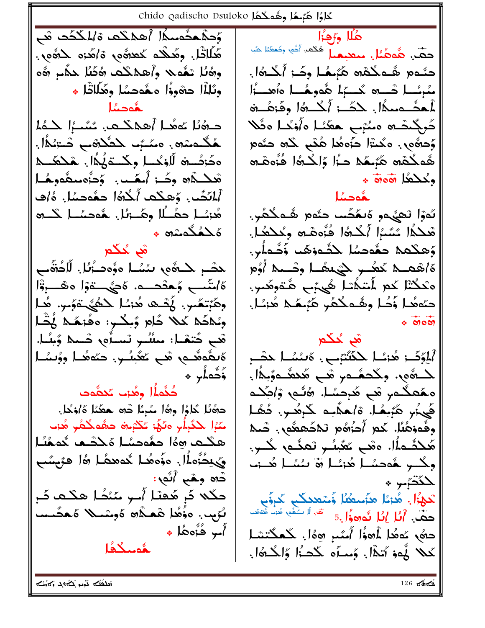كَاوُا هُبُسُا وهُمكْهُا Chido gadischo Dsuloko وُحِكْمِخُوسِكُا أَهِدْكُمِ وْالْمَكْحُدِ شَيْ هُلَا وَوْجُرًا حَقٌّ. هُوهُمُّلْ. معموماً عُنْمٌ أُمُّهِ وَجَعِمًا مِّهِ هَٰلَمَاتَـٰا. وِهُـلْاء كَعِدةُه، وْ/هُـزِه لِحَدُّه،. وهُنُا يَعْمَد وأَهلكَم هُكُنُا حَلَمَ هُء حنُـه هُـهكُـهُ هُبُـمُـا وِحَـٰٓ; أَلَكُـهُا . وِتَلَأَا حِثْوَوْا مِعْوَضَا وِثَعَلَاتًا ﴾ مُبِئِباً شَدِّه كَسَبًا هُوهُما وَأَهْدَٰرَا أَحضُـدمدًا. حضَـز أَحْــدًا وقَزِعَـــف حُودسُا ضَكّْشَة مِنْتِهِ حَقَنًا هِأَوْنُمَا هِفُلا دەُنَا مُەھْلە أَھلانْكم. مُتَسْرًا كَلُمَا ھُگەشە. ەمَـُبُ حَثَكَاثَم تَـُـْتَمُّا. وَحَدُّهِ. مَكْتُرًا حَزَّدَهُمْ هُكُم كُلُّهِ حَدُّم هكُوُّ فَيَ أَلْوَحُكُمْ وَكُنْتُهُمُّا فَيَ مَحْكَمَدُ هُمكْمُه هُبُمُّهُ دُرَٰا وَاحْدُهُا فُزْهِهُم قْطَـٰكُلُّ وَكُـَـزَ أَيْضُـُبَ . وَجَزْهِ مِيقُومِشَارِ  $\frac{1}{2}$  and  $\frac{1}{2}$ أَمْلَتُف. وُهِنْكُم أَكْلُوا حِفُوصِبُل. وُأَف ه دسًا ئەۋا تىپھو ەتككىت چئەم ھُـمكْمُر. هُزِسُـا حمُّــاًا ومَّــزمُا. هُوصُــا كَـــرُو هْكُمُا يُسُمُرُا أَكْتُمَا فُزُوهَـ وِكُكْفُـلٌ. ەككەنتە » وُهكْعِمْ حَقَّوْصُلْ لِحُدُوهُمْ وَّدُولُونَ هُم مُكُمْ حصَّرِ حَــوُّى سُسُـا ووُوصُرُنَا. لَاحُقُّب ة/هْجِمْ كَيْخُصْبِ حَيْيَتِهَا وَجْسَمَةً أُوُمِ ةَ اسْمَبِ وَحَدْدَتْ. ةَدْ تَقْوَا دَهْتِ وَّا ەنْكْتْلْ كَمْ لْمْتْدَّا هُيْ بَ هُدُوهُىب. وهَّتِمُسِ. يُصْهِ هُزْسًا حَمُّهُ تَوَّسٍ. هُـا حَمَمُعًا وَّدًا وِهُـمكُمُو هَبُـمَّـهُ مُرْسًا. وْكِلْكُمْ كُلًّا كُلِّي وُبِكْسٍ: ەقْبْصُلا هُتْما  $\sim 000$ مٓ ۡمَدۡکُم قْبِ خُتْهَـا: مشُــْرِ تَســأَى خَــْـمْ وَّبِنُــا. ەُنىھُەھُنى ھَى مُعْبَسُن. كەھُنا وۇنسُنا ْ أَيْأَوَّكُــٰٓ; هُـٰٓئِـُـٰلَ لِكُنُّتَبِـبِ . هَٰنِـئُنَـٰلِ حَصَـٰٓـِ كُنُوم. وكُحفُـور مْبِ مَحْمَـُـوَبِّدًا. و*َ*حْماَہٖ ٭ كُنُّه أُل وهُزب مُحقَّوف ەمگەگەر قىي قېرمىللى ھۇگە ۋاتىلە حدَّمُل كَلَّوُا وَهَا سُبِئًا دَرَه حَقَمًا هَاوَحًا. فَيْ مَرْبِهْا. ةَاهِدَّبِ كَرِهُـبِ. دُهُا مَبُرْا لِكَبِلُرِ وَتَهْ: يَكْثِبُوْ حَقَّوَكُمُو هُـْت وِقُووْمُلُا. كَمْ أُحَرُّهُمْ لْلأَحْمِعُوْمٍ. حْبِلا هكـم وهُا حفَّوصُـا هَـحصَـم تُوهُنُـا مَكْتُــٰمَاًا. ەقىم ئَعَّبِئُــو تَـعَثَــٰعِ كُــو. صِّيْحَافِي الْمُعْطِ يَحْمِدُ الْمُوَجَّدِينَ مِنْ الْمَالِحَةِ وكُب هُوصُبًا هُزْسًا لَهَ بِنُسًا هُـزَب دْه وِهْمِ أَلْهِ: لمَكْتَبُو \* حکّلا کَرِ هُھلٓا اُس مُنُحُا ھگم کَر ثَكُوْزًا. هُزْمًا هزَّمَعُ*هُا* وُمْعَكَّلِ كَرَوُّى<br>حَقّاء أَمَّا إِمَّا هُووُّا.5 = قَالَ السَّفَّةِ هُوَ مُقَّدَة ئۇيد. دۇھُل ئىمىگەن كوشىلا كىمگىنىد أمو قُذْهِ هَٰ \* دهُی عَمعُل لْمَهُوْا أَسْبِرِ هِهْلِ كَمِكْتِسْلِ مُصْلَحُهُ كَمِلاً فُومَ ٱتِّذَا. وَسَدَّه كُحَدًّا وَالْحُدَّةَ!.